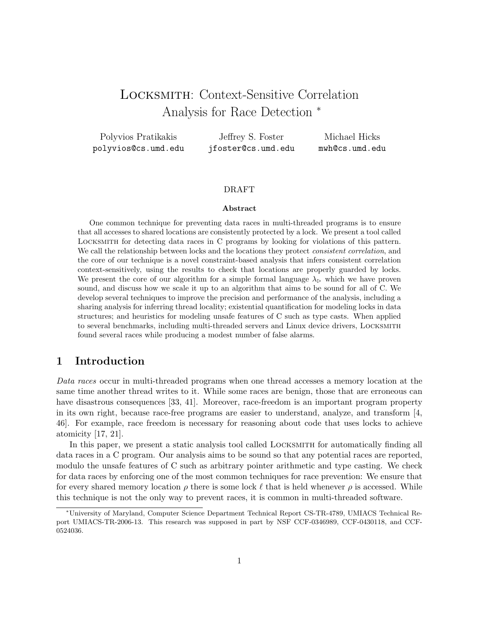# Locksmith: Context-Sensitive Correlation Analysis for Race Detection <sup>∗</sup>

Polyvios Pratikakis polyvios@cs.umd.edu

Jeffrey S. Foster jfoster@cs.umd.edu

Michael Hicks mwh@cs.umd.edu

### DRAFT

#### Abstract

One common technique for preventing data races in multi-threaded programs is to ensure that all accesses to shared locations are consistently protected by a lock. We present a tool called Locksmith for detecting data races in C programs by looking for violations of this pattern. We call the relationship between locks and the locations they protect *consistent correlation*, and the core of our technique is a novel constraint-based analysis that infers consistent correlation context-sensitively, using the results to check that locations are properly guarded by locks. We present the core of our algorithm for a simple formal language  $\lambda_{\triangleright}$  which we have proven sound, and discuss how we scale it up to an algorithm that aims to be sound for all of C. We develop several techniques to improve the precision and performance of the analysis, including a sharing analysis for inferring thread locality; existential quantification for modeling locks in data structures; and heuristics for modeling unsafe features of C such as type casts. When applied to several benchmarks, including multi-threaded servers and Linux device drivers, Locksmith found several races while producing a modest number of false alarms.

# 1 Introduction

Data races occur in multi-threaded programs when one thread accesses a memory location at the same time another thread writes to it. While some races are benign, those that are erroneous can have disastrous consequences [33, 41]. Moreover, race-freedom is an important program property in its own right, because race-free programs are easier to understand, analyze, and transform [4, 46]. For example, race freedom is necessary for reasoning about code that uses locks to achieve atomicity [17, 21].

In this paper, we present a static analysis tool called LOCKSMITH for automatically finding all data races in a C program. Our analysis aims to be sound so that any potential races are reported, modulo the unsafe features of C such as arbitrary pointer arithmetic and type casting. We check for data races by enforcing one of the most common techniques for race prevention: We ensure that for every shared memory location  $\rho$  there is some lock  $\ell$  that is held whenever  $\rho$  is accessed. While this technique is not the only way to prevent races, it is common in multi-threaded software.

<sup>∗</sup>University of Maryland, Computer Science Department Technical Report CS-TR-4789, UMIACS Technical Report UMIACS-TR-2006-13. This research was supposed in part by NSF CCF-0346989, CCF-0430118, and CCF-0524036.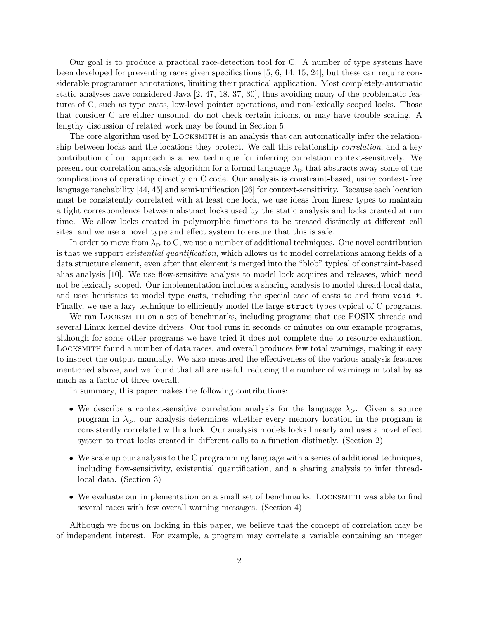Our goal is to produce a practical race-detection tool for C. A number of type systems have been developed for preventing races given specifications [5, 6, 14, 15, 24], but these can require considerable programmer annotations, limiting their practical application. Most completely-automatic static analyses have considered Java [2, 47, 18, 37, 30], thus avoiding many of the problematic features of C, such as type casts, low-level pointer operations, and non-lexically scoped locks. Those that consider C are either unsound, do not check certain idioms, or may have trouble scaling. A lengthy discussion of related work may be found in Section 5.

The core algorithm used by LOCKSMITH is an analysis that can automatically infer the relationship between locks and the locations they protect. We call this relationship *correlation*, and a key contribution of our approach is a new technique for inferring correlation context-sensitively. We present our correlation analysis algorithm for a formal language  $\lambda_{\triangleright}$  that abstracts away some of the complications of operating directly on C code. Our analysis is constraint-based, using context-free language reachability [44, 45] and semi-unification [26] for context-sensitivity. Because each location must be consistently correlated with at least one lock, we use ideas from linear types to maintain a tight correspondence between abstract locks used by the static analysis and locks created at run time. We allow locks created in polymorphic functions to be treated distinctly at different call sites, and we use a novel type and effect system to ensure that this is safe.

In order to move from  $\lambda_{\triangleright}$  to C, we use a number of additional techniques. One novel contribution is that we support *existential quantification*, which allows us to model correlations among fields of a data structure element, even after that element is merged into the "blob" typical of constraint-based alias analysis [10]. We use flow-sensitive analysis to model lock acquires and releases, which need not be lexically scoped. Our implementation includes a sharing analysis to model thread-local data, and uses heuristics to model type casts, including the special case of casts to and from void  $\ast$ . Finally, we use a lazy technique to efficiently model the large struct types typical of C programs.

We ran LOCKSMITH on a set of benchmarks, including programs that use POSIX threads and several Linux kernel device drivers. Our tool runs in seconds or minutes on our example programs, although for some other programs we have tried it does not complete due to resource exhaustion. Locksmith found a number of data races, and overall produces few total warnings, making it easy to inspect the output manually. We also measured the effectiveness of the various analysis features mentioned above, and we found that all are useful, reducing the number of warnings in total by as much as a factor of three overall.

In summary, this paper makes the following contributions:

- We describe a context-sensitive correlation analysis for the language  $\lambda_{\triangleright}$ . Given a source program in  $\lambda_{\triangleright}$ , our analysis determines whether every memory location in the program is consistently correlated with a lock. Our analysis models locks linearly and uses a novel effect system to treat locks created in different calls to a function distinctly. (Section 2)
- We scale up our analysis to the C programming language with a series of additional techniques, including flow-sensitivity, existential quantification, and a sharing analysis to infer threadlocal data. (Section 3)
- We evaluate our implementation on a small set of benchmarks. LOCKSMITH was able to find several races with few overall warning messages. (Section 4)

Although we focus on locking in this paper, we believe that the concept of correlation may be of independent interest. For example, a program may correlate a variable containing an integer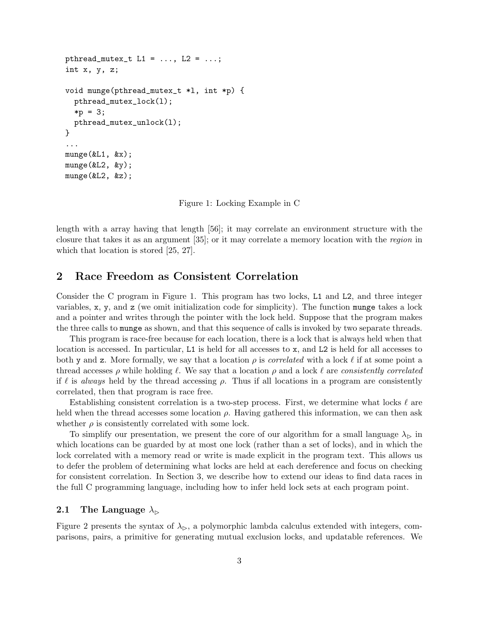```
pthread_mutex_t L1 = ..., L2 = ...;
int x, y, z;
void munge(pthread_mutex_t *l, int *p) {
  pthread_mutex_lock(l);
  *p = 3;pthread_mutex_unlock(l);
}
...
munge(kL1, \&x);munge(kL2, \&y);munge(&L2, &z);
```
Figure 1: Locking Example in C

length with a array having that length [56]; it may correlate an environment structure with the closure that takes it as an argument [35]; or it may correlate a memory location with the region in which that location is stored [25, 27].

# 2 Race Freedom as Consistent Correlation

Consider the C program in Figure 1. This program has two locks, L1 and L2, and three integer variables,  $x$ ,  $y$ , and  $z$  (we omit initialization code for simplicity). The function munge takes a lock and a pointer and writes through the pointer with the lock held. Suppose that the program makes the three calls to munge as shown, and that this sequence of calls is invoked by two separate threads.

This program is race-free because for each location, there is a lock that is always held when that location is accessed. In particular, L1 is held for all accesses to x, and L2 is held for all accesses to both y and z. More formally, we say that a location  $\rho$  is *correlated* with a lock  $\ell$  if at some point a thread accesses  $\rho$  while holding  $\ell$ . We say that a location  $\rho$  and a lock  $\ell$  are consistently correlated if  $\ell$  is always held by the thread accessing  $\rho$ . Thus if all locations in a program are consistently correlated, then that program is race free.

Establishing consistent correlation is a two-step process. First, we determine what locks  $\ell$  are held when the thread accesses some location  $\rho$ . Having gathered this information, we can then ask whether  $\rho$  is consistently correlated with some lock.

To simplify our presentation, we present the core of our algorithm for a small language  $\lambda_{\triangleright}$  in which locations can be guarded by at most one lock (rather than a set of locks), and in which the lock correlated with a memory read or write is made explicit in the program text. This allows us to defer the problem of determining what locks are held at each dereference and focus on checking for consistent correlation. In Section 3, we describe how to extend our ideas to find data races in the full C programming language, including how to infer held lock sets at each program point.

### 2.1 The Language  $\lambda_{\triangleright}$

Figure 2 presents the syntax of  $\lambda_{\triangleright}$ , a polymorphic lambda calculus extended with integers, comparisons, pairs, a primitive for generating mutual exclusion locks, and updatable references. We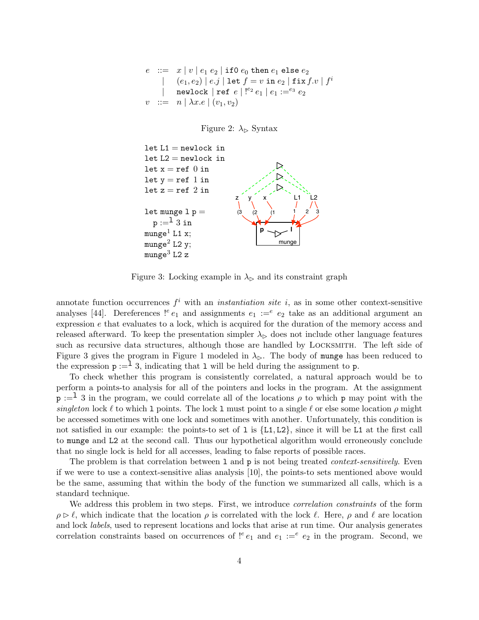$$
\begin{array}{ccl}\ne & ::= & x \; | \; v \; | \; e_1 \; e_2 \; | \; \texttt{if0} \; e_0 \; \texttt{then} \; e_1 \; \texttt{else} \; e_2 \\ & & | & (e_1,e_2) \; | \; e.j \; | \; \texttt{let} \; f = v \; \texttt{in} \; e_2 \; | \; \texttt{fix} \; f.v \; | \; f^i \\ & & | & \texttt{newlock} \; | \; \texttt{ref} \; e \; | \; |^{e_2} \; e_1 \; | \; e_1 :=^{e_3} \; e_2 \\ & & v & ::= & n \; | \; \lambda x.e \; | \; (v_1,v_2)\n\end{array}
$$





Figure 3: Locking example in  $\lambda_{\triangleright}$  and its constraint graph

annotate function occurrences  $f^i$  with an *instantiation site i*, as in some other context-sensitive analyses [44]. Dereferences !<sup>e</sup>  $e_1$  and assignments  $e_1 :=^e e_2$  take as an additional argument an expression e that evaluates to a lock, which is acquired for the duration of the memory access and released afterward. To keep the presentation simpler  $\lambda_{\triangleright}$  does not include other language features such as recursive data structures, although those are handled by Locksmith. The left side of Figure 3 gives the program in Figure 1 modeled in  $\lambda_{\triangleright}$ . The body of munge has been reduced to the expression  $p :=$ <sup>1</sup> 3, indicating that 1 will be held during the assignment to p.

To check whether this program is consistently correlated, a natural approach would be to perform a points-to analysis for all of the pointers and locks in the program. At the assignment  $p :=$ <sup>1</sup> 3 in the program, we could correlate all of the locations  $\rho$  to which p may point with the singleton lock  $\ell$  to which 1 points. The lock 1 must point to a single  $\ell$  or else some location  $\rho$  might be accessed sometimes with one lock and sometimes with another. Unfortunately, this condition is not satisfied in our example: the points-to set of 1 is  $\{L1, L2\}$ , since it will be L1 at the first call to munge and L2 at the second call. Thus our hypothetical algorithm would erroneously conclude that no single lock is held for all accesses, leading to false reports of possible races.

The problem is that correlation between 1 and  $p$  is not being treated *context-sensitively*. Even if we were to use a context-sensitive alias analysis [10], the points-to sets mentioned above would be the same, assuming that within the body of the function we summarized all calls, which is a standard technique.

We address this problem in two steps. First, we introduce *correlation constraints* of the form  $\rho \triangleright \ell$ , which indicate that the location  $\rho$  is correlated with the lock  $\ell$ . Here,  $\rho$  and  $\ell$  are location and lock labels, used to represent locations and locks that arise at run time. Our analysis generates correlation constraints based on occurrences of  $!^e e_1$  and  $e_1 :=^e e_2$  in the program. Second, we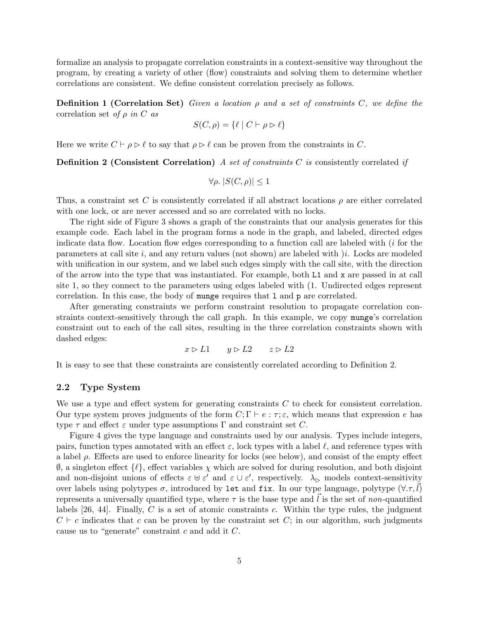formalize an analysis to propagate correlation constraints in a context-sensitive way throughout the program, by creating a variety of other (flow) constraints and solving them to determine whether correlations are consistent. We define consistent correlation precisely as follows.

**Definition 1 (Correlation Set)** Given a location  $\rho$  and a set of constraints C, we define the correlation set of  $\rho$  in C as

$$
S(C, \rho) = \{ \ell \mid C \vdash \rho \rhd \ell \}
$$

Here we write  $C \vdash \rho \rhd \ell$  to say that  $\rho \rhd \ell$  can be proven from the constraints in C.

**Definition 2 (Consistent Correlation)** A set of constraints C is consistently correlated if

$$
\forall \rho. \ |S(C, \rho)| \le 1
$$

Thus, a constraint set C is consistently correlated if all abstract locations  $\rho$  are either correlated with one lock, or are never accessed and so are correlated with no locks.

The right side of Figure 3 shows a graph of the constraints that our analysis generates for this example code. Each label in the program forms a node in the graph, and labeled, directed edges indicate data flow. Location flow edges corresponding to a function call are labeled with  $(i$  for the parameters at call site i, and any return values (not shown) are labeled with  $i$ . Locks are modeled with unification in our system, and we label such edges simply with the call site, with the direction of the arrow into the type that was instantiated. For example, both L1 and x are passed in at call site 1, so they connect to the parameters using edges labeled with (1. Undirected edges represent correlation. In this case, the body of munge requires that l and p are correlated.

After generating constraints we perform constraint resolution to propagate correlation constraints context-sensitively through the call graph. In this example, we copy munge's correlation constraint out to each of the call sites, resulting in the three correlation constraints shown with dashed edges:

$$
x \rhd L1 \qquad y \rhd L2 \qquad z \rhd L2
$$

It is easy to see that these constraints are consistently correlated according to Definition 2.

#### 2.2 Type System

We use a type and effect system for generating constraints  $C$  to check for consistent correlation. Our type system proves judgments of the form  $C; \Gamma \vdash e : \tau; \varepsilon$ , which means that expression e has type  $\tau$  and effect  $\varepsilon$  under type assumptions  $\Gamma$  and constraint set C.

Figure 4 gives the type language and constraints used by our analysis. Types include integers, pairs, function types annotated with an effect  $\varepsilon$ , lock types with a label  $\ell$ , and reference types with a label  $\rho$ . Effects are used to enforce linearity for locks (see below), and consist of the empty effect  $\emptyset$ , a singleton effect  $\{\ell\}$ , effect variables  $\chi$  which are solved for during resolution, and both disjoint and non-disjoint unions of effects  $\varepsilon \cup \varepsilon'$  and  $\varepsilon \cup \varepsilon'$ , respectively.  $\lambda_{\triangleright}$  models context-sensitivity over labels using polytypes  $\sigma$ , introduced by let and fix. In our type language, polytype  $(\forall .\tau, l)$ represents a universally quantified type, where  $\tau$  is the base type and  $\vec{l}$  is the set of non-quantified labels  $[26, 44]$ . Finally, C is a set of atomic constraints c. Within the type rules, the judgment  $C \vdash c$  indicates that c can be proven by the constraint set C; in our algorithm, such judgments cause us to "generate" constraint c and add it C.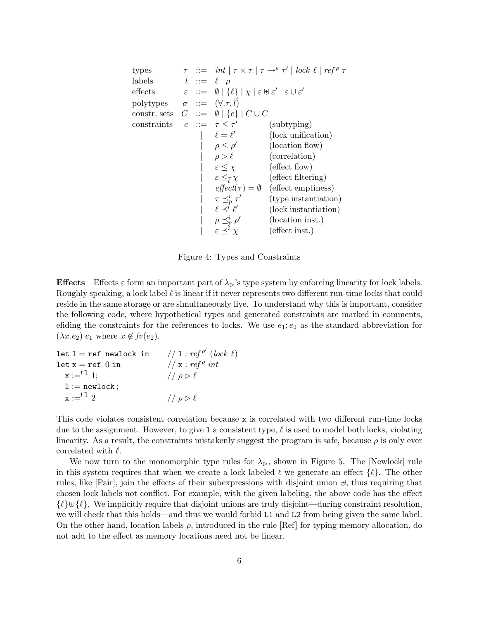types  $\tau := \int int \, |\, \tau \times \tau \, | \, \tau \to^{\varepsilon} \tau' | \, |\, |cck \ell | \, r \in f^{\rho} \tau$ labels  $l ::= \ell | \rho$ effects  $\varepsilon ::= \emptyset | \{\ell\} | \chi | \varepsilon \uplus \varepsilon' | \varepsilon \cup \varepsilon'$ polytypes  $\sigma ::= (\forall . \tau, \vec{l})$ constr. sets  $C := \emptyset | \{c\} | C \cup C$ constraints  $c ::= \tau \leq \tau'$ (subtyping)  $|\ell = \ell'$ (lock unification) |  $\rho \leq \rho'$ (location flow)  $\rho \triangleright \ell$  (correlation)  $\left| \varepsilon \leq \chi \right|$  (effect flow)  $|\quad \varepsilon \leq_{\bar{l}}$ (effect filtering)  $effect(\tau) = \emptyset$  (effect emptiness)  $|\quad \tau \preceq^i_p \tau'$ (type instantiation)  $|\ell \preceq^i \ell'$ (lock instantiation)  $|\quad \rho \preceq^i_p \rho'$ (location inst.) (effect inst.)

Figure 4: Types and Constraints

**Effects** Effects  $\varepsilon$  form an important part of  $\lambda_{\triangleright}$ 's type system by enforcing linearity for lock labels. Roughly speaking, a lock label  $\ell$  is linear if it never represents two different run-time locks that could reside in the same storage or are simultaneously live. To understand why this is important, consider the following code, where hypothetical types and generated constraints are marked in comments, eliding the constraints for the references to locks. We use  $e_1$ ;  $e_2$  as the standard abbreviation for  $(\lambda x.e_2) e_1$  where  $x \notin f(v(e_2))$ .

```
let 1 = ref newlock in
                                                \prime (lock \ell)
let x = ref 0 in
                                   // x : ref^{\rho} intx := '1; // \rho \triangleright \elll := newlock;x := \n\begin{array}{ccccc}\n x := & 1 & 2\n\end{array}
```
This code violates consistent correlation because x is correlated with two different run-time locks due to the assignment. However, to give 1 a consistent type,  $\ell$  is used to model both locks, violating linearity. As a result, the constraints mistakenly suggest the program is safe, because  $\rho$  is only ever correlated with  $\ell$ .

We now turn to the monomorphic type rules for  $\lambda_{\triangleright}$ , shown in Figure 5. The [Newlock] rule in this system requires that when we create a lock labeled  $\ell$  we generate an effect  $\{\ell\}$ . The other rules, like  $[Pair]$ , join the effects of their subexpressions with disjoint union  $\forall$ , thus requiring that chosen lock labels not conflict. For example, with the given labeling, the above code has the effect  $\{\ell\} \cup \{\ell\}$ . We implicitly require that disjoint unions are truly disjoint—during constraint resolution, we will check that this holds—and thus we would forbid L1 and L2 from being given the same label. On the other hand, location labels  $\rho$ , introduced in the rule [Ref] for typing memory allocation, do not add to the effect as memory locations need not be linear.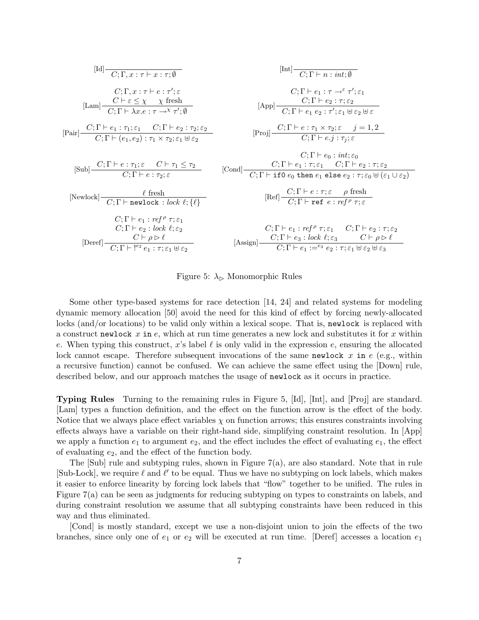$$
[Id] \n\begin{array}{c|c|c|c} \n\hline\n & C; \Gamma, x: \tau \vdash x: \tau; \emptyset & \text{[Int]} \n\end{array}
$$
\n
$$
\begin{array}{c|c|c|c} \n\hline\n & C; \Gamma \vdash a: \tau \rightarrow \varepsilon \tau'; \varepsilon & C; \Gamma \vdash e_1: \tau \rightarrow \varepsilon \tau'; \varepsilon_1 \n\end{array}
$$
\n
$$
[Lam] \n\begin{array}{c|c|c|c} \nC; \Gamma \vdash a: \tau \rightarrow \varepsilon \tau'; \varepsilon_1 & C; \Gamma \vdash e_2: \tau; \varepsilon_2 \n\end{array}
$$
\n
$$
[Rap] \n\begin{array}{c|c|c|c} \n\hline\n & C; \Gamma \vdash e_1: \tau \rightarrow \varepsilon \tau'; \varepsilon_1 \n\end{array}
$$
\n
$$
[Rap] \n\begin{array}{c|c|c|c} \nC; \Gamma \vdash e_2: \tau; \varepsilon_2 & C; \Gamma \vdash e_2: \tau; \varepsilon_2 \n\end{array}
$$
\n
$$
[Proj] \n\begin{array}{c|c|c|c} \nC; \Gamma \vdash e: \tau_1 \times \tau_2; \varepsilon & j = 1, 2 \n\end{array}
$$
\n
$$
[Sub] \n\begin{array}{c|c|c|c} \nC; \Gamma \vdash e: \tau_1; \varepsilon & C \vdash \tau_1 \leq \tau_2 & C; \Gamma \vdash e_1: \tau; \varepsilon_1 & C; \Gamma \vdash e_2: \tau; \varepsilon_2 & C; \Gamma \vdash e_2: \tau; \varepsilon_2 & C; \Gamma \vdash e_2: \tau; \varepsilon_2 & C; \Gamma \vdash e_2: \tau; \varepsilon_2 & C; \Gamma \vdash e_2: \tau; \varepsilon_2 & C; \Gamma \vdash e_2: \tau; \varepsilon_2 & C; \Gamma \vdash e_2: \tau; \varepsilon_2 & C; \Gamma \vdash e_2: \tau; \varepsilon_2 & C; \Gamma \vdash e_2: \tau; \varepsilon_2 & C; \Gamma \vdash e_2: \tau; \varepsilon_2 & C; \Gamma \vdash e_2: \varepsilon_
$$

Figure 5:  $\lambda_{\triangleright}$  Monomorphic Rules

Some other type-based systems for race detection [14, 24] and related systems for modeling dynamic memory allocation [50] avoid the need for this kind of effect by forcing newly-allocated locks (and/or locations) to be valid only within a lexical scope. That is, newlock is replaced with a construct newlock x in  $e$ , which at run time generates a new lock and substitutes it for x within e. When typing this construct, x's label  $\ell$  is only valid in the expression e, ensuring the allocated lock cannot escape. Therefore subsequent invocations of the same newlock x in  $e$  (e.g., within a recursive function) cannot be confused. We can achieve the same effect using the [Down] rule, described below, and our approach matches the usage of newlock as it occurs in practice.

Typing Rules Turning to the remaining rules in Figure 5, [Id], [Int], and [Proj] are standard. [Lam] types a function definition, and the effect on the function arrow is the effect of the body. Notice that we always place effect variables  $\chi$  on function arrows; this ensures constraints involving effects always have a variable on their right-hand side, simplifying constraint resolution. In [App] we apply a function  $e_1$  to argument  $e_2$ , and the effect includes the effect of evaluating  $e_1$ , the effect of evaluating  $e_2$ , and the effect of the function body.

The  $[Sub]$  rule and subtyping rules, shown in Figure 7(a), are also standard. Note that in rule [Sub-Lock], we require  $\ell$  and  $\ell'$  to be equal. Thus we have no subtyping on lock labels, which makes it easier to enforce linearity by forcing lock labels that "flow" together to be unified. The rules in Figure 7(a) can be seen as judgments for reducing subtyping on types to constraints on labels, and during constraint resolution we assume that all subtyping constraints have been reduced in this way and thus eliminated.

[Cond] is mostly standard, except we use a non-disjoint union to join the effects of the two branches, since only one of  $e_1$  or  $e_2$  will be executed at run time. [Deref] accesses a location  $e_1$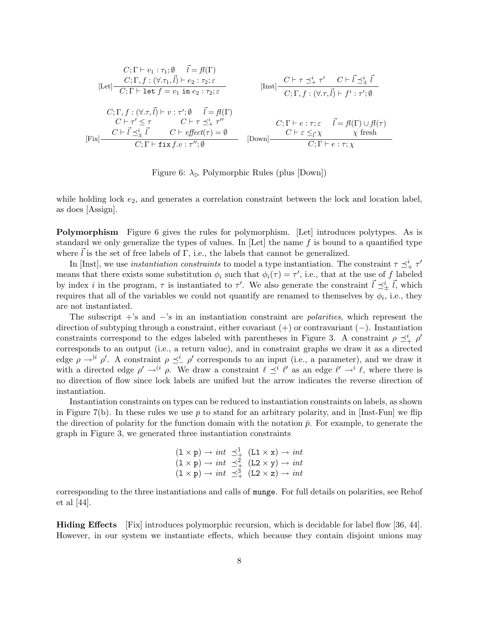$$
C; \Gamma \vdash v_1 : \tau_1; \emptyset \quad \vec{l} = \mathcal{H}(\Gamma)
$$
  
\n
$$
[Let] \frac{C; \Gamma, f : (\forall .\tau_1, \vec{l}) \vdash e_2 : \tau_2; \varepsilon}{C; \Gamma \vdash \text{let } f = v_1 \text{ in } e_2 : \tau_2; \varepsilon}
$$
  
\n
$$
[Inst] \frac{C \vdash \tau \preceq^i_+ \tau' \quad C \vdash \vec{l} \preceq^i_\pm \vec{l}}{C; \Gamma, f : (\forall .\tau, \vec{l}) \vdash f^i : \tau'; \emptyset}
$$
  
\n
$$
C; \Gamma, f : (\forall .\tau, \vec{l}) \vdash v : \tau'; \emptyset \quad \vec{l} = \mathcal{H}(\Gamma)
$$
  
\n
$$
C \vdash \tau' \leq \tau \quad C \vdash \tau \preceq^i_+ \tau''
$$
  
\n
$$
C; \Gamma \vdash e : \tau; \varepsilon \quad \vec{l} = \mathcal{H}(\Gamma) \cup \mathcal{H}(\tau)
$$
  
\n
$$
[Fix] \frac{C \vdash \vec{l} \preceq^i_\pm \vec{l} \quad C \vdash \text{effect}(\tau) = \emptyset}{C; \Gamma \vdash \text{fix } f \cdot v : \tau''; \emptyset}
$$
  
\n
$$
[Down] \frac{C \vdash \varepsilon \leq^i_\tau \chi \quad \chi \text{ fresh}}{C; \Gamma \vdash e : \tau; \chi}
$$

Figure 6:  $\lambda_{\triangleright}$  Polymorphic Rules (plus [Down])

while holding lock  $e_2$ , and generates a correlation constraint between the lock and location label, as does [Assign].

Polymorphism Figure 6 gives the rules for polymorphism. [Let] introduces polytypes. As is standard we only generalize the types of values. In  $[Let]$  the name f is bound to a quantified type where  $\ell$  is the set of free labels of  $\Gamma$ , i.e., the labels that cannot be generalized.

In [Inst], we use *instantiation constraints* to model a type instantiation. The constraint  $\tau \preceq^i_+ \tau'$ means that there exists some substitution  $\phi_i$  such that  $\phi_i(\tau) = \tau'$ , i.e., that at the use of f labeled by index i in the program,  $\tau$  is instantiated to  $\tau'$ . We also generate the constraint  $\vec{l} \preceq^i_{\pm} \vec{l}$ , which requires that all of the variables we could not quantify are renamed to themselves by  $\phi_i$ , i.e., they are not instantiated.

The subscript  $+$ 's and  $-$ 's in an instantiation constraint are *polarities*, which represent the direction of subtyping through a constraint, either covariant (+) or contravariant (−). Instantiation constraints correspond to the edges labeled with parentheses in Figure 3. A constraint  $\rho \preceq^i_+ \rho'$ corresponds to an output (i.e., a return value), and in constraint graphs we draw it as a directed edge  $\rho \rightarrow^i \rho'$ . A constraint  $\rho \preceq^i_{-} \rho'$  corresponds to an input (i.e., a parameter), and we draw it with a directed edge  $\rho' \to^{(i} \rho$ . We draw a constraint  $\ell \preceq^{i} \ell'$  as an edge  $\ell' \to^{i} \ell$ , where there is no direction of flow since lock labels are unified but the arrow indicates the reverse direction of instantiation.

Instantiation constraints on types can be reduced to instantiation constraints on labels, as shown in Figure 7(b). In these rules we use p to stand for an arbitrary polarity, and in  $[Inst-Fun]$  we flip the direction of polarity for the function domain with the notation  $\bar{p}$ . For example, to generate the graph in Figure 3, we generated three instantiation constraints

$$
(1 \times p) \rightarrow int \preceq^1_+
$$

$$
(L1 \times x) \rightarrow int
$$

$$
(1 \times p) \rightarrow int \preceq^2_+
$$

$$
(L2 \times y) \rightarrow int
$$

$$
(1 \times p) \rightarrow int \preceq^3_+
$$

$$
(L2 \times z) \rightarrow int
$$

corresponding to the three instantiations and calls of munge. For full details on polarities, see Rehof et al [44].

Hiding Effects [Fix] introduces polymorphic recursion, which is decidable for label flow [36, 44]. However, in our system we instantiate effects, which because they contain disjoint unions may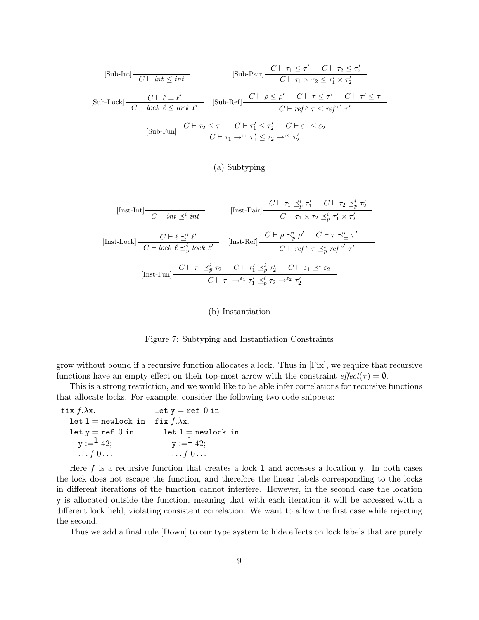$$
[\text{Sub-Int}] \frac{C \vdash \tau_1 \leq \tau_1' \quad C \vdash \tau_2 \leq \tau_2'}{C \vdash \tau_1 \times \tau_2 \leq \tau_1' \times \tau_2'}
$$
  
\n
$$
[\text{Sub-Lock}] \frac{C \vdash \ell = \ell'}{C \vdash lock \ell \leq lock \ell'} \quad [\text{Sub-Ref}] \frac{C \vdash \rho \leq \rho' \quad C \vdash \tau \leq \tau'}{C \vdash ref^{\rho} \tau \leq ref^{\rho'} \tau'}
$$
  
\n
$$
[\text{Sub-Fun}] \frac{C \vdash \tau_2 \leq \tau_1 \quad C \vdash \tau_1' \leq \tau_2'}{C \vdash \tau_1 \to ^{\varepsilon_1} \tau_1' \leq \tau_2 \to ^{\varepsilon_2} \tau_2'}
$$

### (a) Subtyping

 $[\text{Inst-Int}]$   $\frac{C \vdash \tau_1 \preceq^i \tau'_1 \quad C \vdash \tau_2 \preceq^i_p \tau'_2}{C \vdash \tau_1 \times \tau_2 \preceq^i_p \tau'_1 \times \tau'_2}$  $C\vdash \tau_1\times \tau_2\preceq_p^i \tau_1'\times \tau_2'$ [Inst-Lock]  $\frac{C \vdash \ell \preceq^i \ell'}{\cdots}$  $\overbrace{C \vdash lock \ell \preceq^i_p lock \ell'}^{\text{Text } \bot} \quad [\text{Inst-Ref}]$  $C \vdash \rho \preceq^i_p \rho'$   $C \vdash \tau \preceq^i_{\pm} \tau'$  $C\vdash \mathit{ref}^{\,\rho} \ \tau \preceq^{i}_{p} \mathit{ref}^{\,\rho'} \ \tau'$  $[\text{Inst-Fun}]$   $\frac{C \vdash \tau_1 \preceq_p^i \tau_2 \quad C \vdash \tau_1' \preceq_p^i \tau_2'}{C \vdash \tau_1 \preceq_p^i \tau_2' \quad C \vdash \varepsilon_1 \preceq_e^i \varepsilon_2'}$  $C\vdash \tau_1 \rightarrow^{\varepsilon_1} \tau'_1 \preceq^i_p \tau_2 \rightarrow^{\varepsilon_2} \tau'_2$ 

#### (b) Instantiation

Figure 7: Subtyping and Instantiation Constraints

grow without bound if a recursive function allocates a lock. Thus in [Fix], we require that recursive functions have an empty effect on their top-most arrow with the constraint  $effect(\tau) = \emptyset$ .

This is a strong restriction, and we would like to be able infer correlations for recursive functions that allocate locks. For example, consider the following two code snippets:

fix  $f.\lambda x$ .  $\texttt{let}~\texttt{l} = \texttt{newlock}$ in let  $y = ref$  0 in  $y :=$ <sup>1</sup> 42;  $\ldots f\ 0 \ldots$ let  $y = ref$  0 in fix  $f.\lambda x$ .  $\texttt{let } \texttt{l} = \texttt{newlock in}$  $y :=$ <sup>1</sup> 42;  $\ldots f\ 0 \ldots$ 

Here f is a recursive function that creates a lock 1 and accesses a location y. In both cases the lock does not escape the function, and therefore the linear labels corresponding to the locks in different iterations of the function cannot interfere. However, in the second case the location y is allocated outside the function, meaning that with each iteration it will be accessed with a different lock held, violating consistent correlation. We want to allow the first case while rejecting the second.

Thus we add a final rule [Down] to our type system to hide effects on lock labels that are purely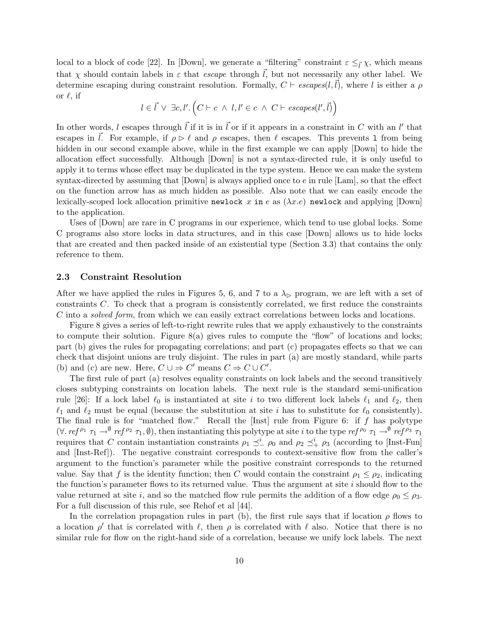local to a block of code [22]. In [Down], we generate a "filtering" constraint  $\varepsilon \leq_{\vec{l}} \chi$ , which means that  $\chi$  should contain labels in  $\varepsilon$  that *escape* through  $\vec{l}$ , but not necessarily any other label. We determine escaping during constraint resolution. Formally,  $C \vdash \text{escapes}(l,l)$ , where l is either a  $\rho$ or  $\ell$ , if

$$
l \in \vec{l} \ \lor \ \exists c, l' . \left( C \vdash c \ \land \ l, l' \in c \ \land \ C \vdash \mathit{escapes}(l', \vec{l}) \right)
$$

In other words, l escapes through  $\vec{l}$  if it is in  $\vec{l}$  or if it appears in a constraint in C with an l' that escapes in  $\vec{l}$ . For example, if  $\rho \triangleright \ell$  and  $\rho$  escapes, then  $\ell$  escapes. This prevents 1 from being hidden in our second example above, while in the first example we can apply  $\lceil$ Down $\rceil$  to hide the allocation effect successfully. Although [Down] is not a syntax-directed rule, it is only useful to apply it to terms whose effect may be duplicated in the type system. Hence we can make the system syntax-directed by assuming that  $[Down]$  is always applied once to  $e$  in rule  $[Lam]$ , so that the effect on the function arrow has as much hidden as possible. Also note that we can easily encode the lexically-scoped lock allocation primitive newlock x in e as  $(\lambda x.e)$  newlock and applying [Down] to the application.

Uses of [Down] are rare in C programs in our experience, which tend to use global locks. Some C programs also store locks in data structures, and in this case [Down] allows us to hide locks that are created and then packed inside of an existential type (Section 3.3) that contains the only reference to them.

### 2.3 Constraint Resolution

After we have applied the rules in Figures 5, 6, and 7 to a  $\lambda_{\triangleright}$  program, we are left with a set of constraints C. To check that a program is consistently correlated, we first reduce the constraints C into a solved form, from which we can easily extract correlations between locks and locations.

Figure 8 gives a series of left-to-right rewrite rules that we apply exhaustively to the constraints to compute their solution. Figure 8(a) gives rules to compute the "flow" of locations and locks; part (b) gives the rules for propagating correlations; and part (c) propagates effects so that we can check that disjoint unions are truly disjoint. The rules in part (a) are mostly standard, while parts (b) and (c) are new. Here,  $C \cup \Rightarrow C'$  means  $C \Rightarrow C \cup C'$ .

The first rule of part (a) resolves equality constraints on lock labels and the second transitively closes subtyping constraints on location labels. The next rule is the standard semi-unification rule [26]: If a lock label  $\ell_0$  is instantiated at site i to two different lock labels  $\ell_1$  and  $\ell_2$ , then  $\ell_1$  and  $\ell_2$  must be equal (because the substitution at site i has to substitute for  $\ell_0$  consistently). The final rule is for "matched flow." Recall the [Inst] rule from Figure 6: if  $f$  has polytype  $(\forall. \text{ref}^{\rho_1} \tau_1 \rightarrow^{\emptyset} \text{ref}^{\rho_2} \tau_1, \emptyset)$ , then instantiating this polytype at site *i* to the type ref<sup> $\rho_0$ </sup>  $\tau_1 \rightarrow^{\emptyset} \text{ref}^{\rho_3} \tau_1$ requires that C contain instantiation constraints  $\rho_1 \preceq_{-}^{i} \rho_0$  and  $\rho_2 \preceq_{+}^{i} \rho_3$  (according to [Inst-Fun] and [Inst-Ref]). The negative constraint corresponds to context-sensitive flow from the caller's argument to the function's parameter while the positive constraint corresponds to the returned value. Say that f is the identity function; then C would contain the constraint  $\rho_1 \leq \rho_2$ , indicating the function's parameter flows to its returned value. Thus the argument at site  $i$  should flow to the value returned at site i, and so the matched flow rule permits the addition of a flow edge  $\rho_0 \leq \rho_3$ . For a full discussion of this rule, see Rehof et al [44].

In the correlation propagation rules in part (b), the first rule says that if location  $\rho$  flows to a location  $\rho'$  that is correlated with  $\ell$ , then  $\rho$  is correlated with  $\ell$  also. Notice that there is no similar rule for flow on the right-hand side of a correlation, because we unify lock labels. The next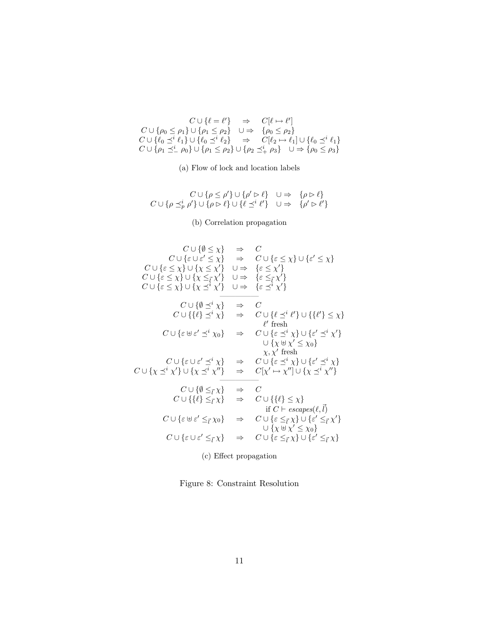$$
C \cup \{\ell = \ell'\} \Rightarrow C[\ell \mapsto \ell']
$$
  
\n
$$
C \cup \{\rho_0 \le \rho_1\} \cup \{\rho_1 \le \rho_2\} \cup \Rightarrow \{\rho_0 \le \rho_2\}
$$
  
\n
$$
C \cup \{\ell_0 \preceq^i \ell_1\} \cup \{\ell_0 \preceq^i \ell_2\} \Rightarrow C[\ell_2 \mapsto \ell_1] \cup \{\ell_0 \preceq^i \ell_1\}
$$
  
\n
$$
C \cup \{\rho_1 \preceq^i \rho_0\} \cup \{\rho_1 \le \rho_2\} \cup \{\rho_2 \preceq^i_+ \rho_3\} \cup \Rightarrow \{\rho_0 \le \rho_3\}
$$

(a) Flow of lock and location labels

$$
\begin{array}{ccc}C\cup\{\rho\leq\rho'\}\cup\{\rho'\vartriangleright\ell\}&\cup\Rightarrow&\{\rho\vartriangleright\ell\}\\C\cup\{\rho\preceq^i_p\rho'\}\cup\{\rho\vartriangleright\ell\}\cup\{\ell\preceq^i\ell'\}&\cup\Rightarrow&\{\rho'\vartriangleright\ell'\}\end{array}
$$

(b) Correlation propagation

$$
C \cup \{\emptyset \leq \chi\} \Rightarrow C
$$
  
\n
$$
C \cup \{\varepsilon \cup \varepsilon' \leq \chi\} \Rightarrow C \cup \{\varepsilon \leq \chi\} \cup \{\varepsilon' \leq \chi\}
$$
  
\n
$$
C \cup \{\varepsilon \leq \chi\} \cup \{\chi \leq \chi'\} \cup \Rightarrow \{\varepsilon \leq \chi'\}
$$
  
\n
$$
C \cup \{\varepsilon \leq \chi\} \cup \{\chi \leq \chi'\} \cup \Rightarrow \{\varepsilon \leq \chi'\}
$$
  
\n
$$
C \cup \{\varepsilon \leq \chi\} \cup \{\chi \leq \chi'\} \cup \Rightarrow \{\varepsilon \leq \chi'\}
$$
  
\n
$$
C \cup \{\{\emptyset \leq \chi\} \Rightarrow C
$$
  
\n
$$
C \cup \{\{\emptyset \leq \chi\} \Rightarrow C \cup \{\emptyset \leq \chi'\} \cup \{\{\ell'\} \leq \chi\}
$$
  
\n
$$
C \cup \{\varepsilon \oplus \varepsilon' \leq \chi\} \Rightarrow C \cup \{\varepsilon \leq \chi'\} \cup \{\varepsilon' \leq \chi'\}
$$
  
\n
$$
C \cup \{\varepsilon \oplus \varepsilon' \leq \chi\} \Rightarrow C \cup \{\varepsilon \leq \chi'\} \cup \{\varepsilon' \leq \chi'\}
$$
  
\n
$$
C \cup \{\varepsilon \cup \varepsilon' \leq \chi'\} \Rightarrow C \cup \{\varepsilon \leq \chi'\} \cup \{\varepsilon' \leq \chi'\}
$$
  
\n
$$
C \cup \{\chi \leq \chi'\} \cup \{\chi \leq \chi'\} \Rightarrow C \cup \{\varepsilon \leq \chi'\} \cup \{\chi \leq \chi'\}
$$
  
\n
$$
C \cup \{\emptyset \leq \chi\} \Rightarrow C
$$
  
\n
$$
C \cup \{\{\emptyset \leq \chi\} \Rightarrow C
$$
  
\n
$$
C \cup \{\{\emptyset \leq \chi\} \Rightarrow C \cup \{\{\ell\} \leq \chi\} \cup \{\varepsilon' \leq \chi'\}
$$
  
\n
$$
C \cup \{\varepsilon \oplus \varepsilon' \leq \chi\} \Rightarrow C \cup \{\{\ell\} \le
$$

(c) Effect propagation

Figure 8: Constraint Resolution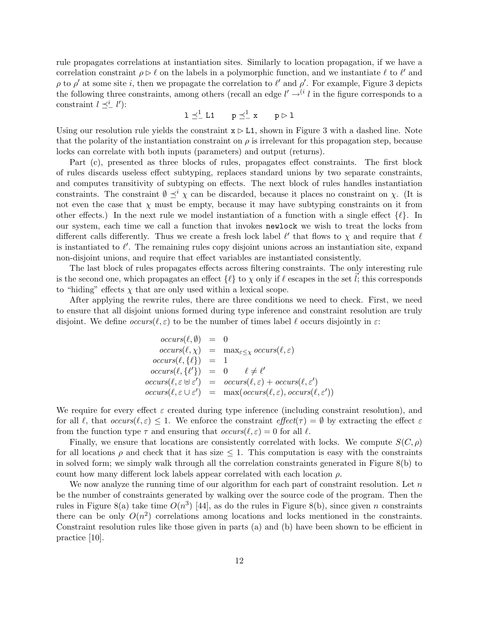rule propagates correlations at instantiation sites. Similarly to location propagation, if we have a correlation constraint  $\rho \triangleright \ell$  on the labels in a polymorphic function, and we instantiate  $\ell$  to  $\ell'$  and  $\rho$  to  $\rho'$  at some site i, then we propagate the correlation to  $\ell'$  and  $\rho'$ . For example, Figure 3 depicts the following three constraints, among others (recall an edge  $l' \rightarrow^{(i} l$  in the figure corresponds to a constraint  $l \preceq_{-}^{i} l'$ :

$$
1\preceq^1_- L1 \qquad p\preceq^1_- x \qquad p\rhd 1
$$

Using our resolution rule yields the constraint  $x \triangleright L1$ , shown in Figure 3 with a dashed line. Note that the polarity of the instantiation constraint on  $\rho$  is irrelevant for this propagation step, because locks can correlate with both inputs (parameters) and output (returns).

Part (c), presented as three blocks of rules, propagates effect constraints. The first block of rules discards useless effect subtyping, replaces standard unions by two separate constraints, and computes transitivity of subtyping on effects. The next block of rules handles instantiation constraints. The constraint  $\emptyset \preceq^i \chi$  can be discarded, because it places no constraint on  $\chi$ . (It is not even the case that  $\chi$  must be empty, because it may have subtyping constraints on it from other effects.) In the next rule we model instantiation of a function with a single effect  $\{\ell\}$ . In our system, each time we call a function that invokes newlock we wish to treat the locks from different calls differently. Thus we create a fresh lock label  $\ell'$  that flows to  $\chi$  and require that  $\ell$ is instantiated to  $\ell'$ . The remaining rules copy disjoint unions across an instantiation site, expand non-disjoint unions, and require that effect variables are instantiated consistently.

The last block of rules propagates effects across filtering constraints. The only interesting rule is the second one, which propagates an effect  $\{\ell\}$  to  $\chi$  only if  $\ell$  escapes in the set  $\ell$ ; this corresponds to "hiding" effects  $\chi$  that are only used within a lexical scope.

After applying the rewrite rules, there are three conditions we need to check. First, we need to ensure that all disjoint unions formed during type inference and constraint resolution are truly disjoint. We define  $occurs(\ell, \varepsilon)$  to be the number of times label  $\ell$  occurs disjointly in  $\varepsilon$ :

$$
occurs(\ell, \emptyset) = 0
$$
  
\n
$$
occurs(\ell, \chi) = \max_{\varepsilon \leq \chi} occurs(\ell, \varepsilon)
$$
  
\n
$$
occurs(\ell, \{\ell\}) = 1
$$
  
\n
$$
occurs(\ell, \{\ell'\}) = 0 \quad \ell \neq \ell'
$$
  
\n
$$
occurs(\ell, \varepsilon \cup \varepsilon') = occurs(\ell, \varepsilon) + occurs(\ell, \varepsilon')
$$
  
\n
$$
occurs(\ell, \varepsilon \cup \varepsilon') = \max(occurs(\ell, \varepsilon), occurs(\ell, \varepsilon'))
$$

We require for every effect  $\varepsilon$  created during type inference (including constraint resolution), and for all  $\ell$ , that  $occurs(\ell, \varepsilon) \leq 1$ . We enforce the constraint  $effect(\tau) = \emptyset$  by extracting the effect  $\varepsilon$ from the function type  $\tau$  and ensuring that  $occurs(\ell, \varepsilon) = 0$  for all  $\ell$ .

Finally, we ensure that locations are consistently correlated with locks. We compute  $S(C, \rho)$ for all locations  $\rho$  and check that it has size  $\leq 1$ . This computation is easy with the constraints in solved form; we simply walk through all the correlation constraints generated in Figure 8(b) to count how many different lock labels appear correlated with each location  $\rho$ .

We now analyze the running time of our algorithm for each part of constraint resolution. Let  $n$ be the number of constraints generated by walking over the source code of the program. Then the rules in Figure 8(a) take time  $O(n^3)$  [44], as do the rules in Figure 8(b), since given n constraints there can be only  $O(n^2)$  correlations among locations and locks mentioned in the constraints. Constraint resolution rules like those given in parts (a) and (b) have been shown to be efficient in practice [10].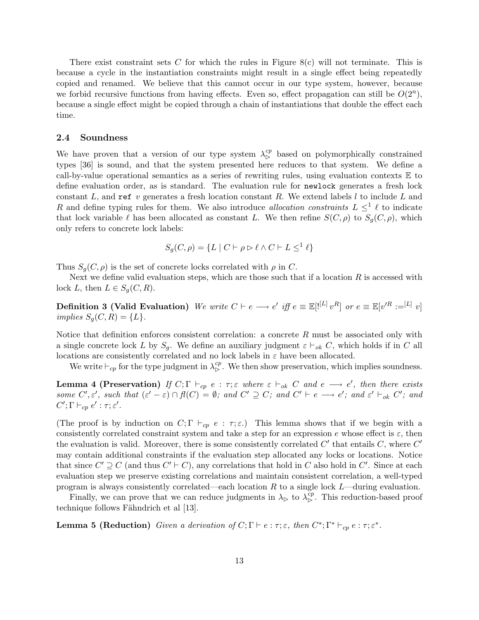There exist constraint sets C for which the rules in Figure  $8(c)$  will not terminate. This is because a cycle in the instantiation constraints might result in a single effect being repeatedly copied and renamed. We believe that this cannot occur in our type system, however, because we forbid recursive functions from having effects. Even so, effect propagation can still be  $O(2^n)$ , because a single effect might be copied through a chain of instantiations that double the effect each time.

#### 2.4 Soundness

We have proven that a version of our type system  $\lambda_{\rm b}^{cp}$  based on polymorphically constrained types [36] is sound, and that the system presented here reduces to that system. We define a call-by-value operational semantics as a series of rewriting rules, using evaluation contexts  $E$  to define evaluation order, as is standard. The evaluation rule for newlock generates a fresh lock constant L, and ref v generates a fresh location constant R. We extend labels  $l$  to include L and R and define typing rules for them. We also introduce *allocation constraints*  $L \leq^{1} \ell$  to indicate that lock variable  $\ell$  has been allocated as constant L. We then refine  $S(C, \rho)$  to  $S_q(C, \rho)$ , which only refers to concrete lock labels:

$$
S_g(C, \rho) = \{ L \mid C \vdash \rho \rhd \ell \land C \vdash L \le^1 \ell \}
$$

Thus  $S_g(C, \rho)$  is the set of concrete locks correlated with  $\rho$  in C.

Next we define valid evaluation steps, which are those such that if a location  $R$  is accessed with lock L, then  $L \in S_q(C, R)$ .

**Definition 3 (Valid Evaluation)** We write  $C \vdash e \longrightarrow e'$  iff  $e \equiv \mathbb{E}[{}^{[L]} \, v^R]$  or  $e \equiv \mathbb{E}[v'^R := [L] \, v]$ implies  $S_q(C, R) = \{L\}.$ 

Notice that definition enforces consistent correlation: a concrete  $R$  must be associated only with a single concrete lock L by  $S_q$ . We define an auxiliary judgment  $\varepsilon \vdash_{ok} C$ , which holds if in C all locations are consistently correlated and no lock labels in  $\varepsilon$  have been allocated.

We write  $\vdash_{cp}$  for the type judgment in  $\lambda_{\rhd}^{cp}$ . We then show preservation, which implies soundness.

**Lemma 4 (Preservation)** If  $C; \Gamma \vdash_{cp} e : \tau; \varepsilon$  where  $\varepsilon \vdash_{ok} C$  and  $e \longrightarrow e'$ , then there exists some  $C', \varepsilon'$ , such that  $(\varepsilon' - \varepsilon) \cap f(C) = \emptyset$ ; and  $C' \supseteq C$ ; and  $C' \vdash e \longrightarrow e'$ ; and  $\varepsilon' \vdash_{ok} C'$ ; and  $C'; \Gamma \vdash_{cp} e' : \tau; \varepsilon'.$ 

(The proof is by induction on  $C; \Gamma \vdash_{cp} e : \tau; \varepsilon$ .) This lemma shows that if we begin with a consistently correlated constraint system and take a step for an expression e whose effect is  $\varepsilon$ , then the evaluation is valid. Moreover, there is some consistently correlated  $C'$  that entails  $C$ , where  $C'$ may contain additional constraints if the evaluation step allocated any locks or locations. Notice that since  $C' \supseteq C$  (and thus  $C' \vdash C$ ), any correlations that hold in C also hold in C'. Since at each evaluation step we preserve existing correlations and maintain consistent correlation, a well-typed program is always consistently correlated—each location  $R$  to a single lock  $L$ —during evaluation.

Finally, we can prove that we can reduce judgments in  $\lambda_{\triangleright}$  to  $\lambda_{\triangleright}^{cp}$ . This reduction-based proof technique follows Fähndrich et al [13].

**Lemma 5 (Reduction)** Given a derivation of  $C; \Gamma \vdash e : \tau; \varepsilon$ , then  $C^*; \Gamma^* \vdash_{cp} e : \tau; \varepsilon^*$ .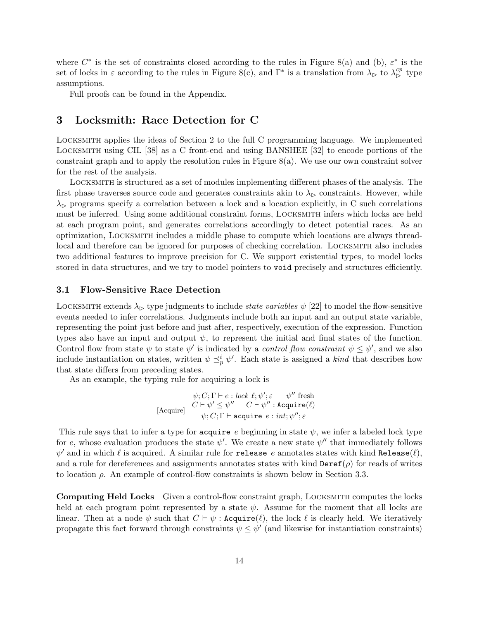where  $C^*$  is the set of constraints closed according to the rules in Figure 8(a) and (b),  $\varepsilon^*$  is the set of locks in  $\varepsilon$  according to the rules in Figure 8(c), and  $\Gamma^*$  is a translation from  $\lambda_{\rhd}$  to  $\lambda_{\rhd}^{cp}$  type assumptions.

Full proofs can be found in the Appendix.

# 3 Locksmith: Race Detection for C

Locksmith applies the ideas of Section 2 to the full C programming language. We implemented Locksmith using CIL [38] as a C front-end and using BANSHEE [32] to encode portions of the constraint graph and to apply the resolution rules in Figure 8(a). We use our own constraint solver for the rest of the analysis.

Locksmith is structured as a set of modules implementing different phases of the analysis. The first phase traverses source code and generates constraints akin to  $\lambda_{\triangleright}$  constraints. However, while  $\lambda_{\triangleright}$  programs specify a correlation between a lock and a location explicitly, in C such correlations must be inferred. Using some additional constraint forms, Locksmith infers which locks are held at each program point, and generates correlations accordingly to detect potential races. As an optimization, Locksmith includes a middle phase to compute which locations are always threadlocal and therefore can be ignored for purposes of checking correlation. LOCKSMITH also includes two additional features to improve precision for C. We support existential types, to model locks stored in data structures, and we try to model pointers to void precisely and structures efficiently.

### 3.1 Flow-Sensitive Race Detection

LOCKSMITH extends  $\lambda_{\triangleright}$  type judgments to include state variables  $\psi$  [22] to model the flow-sensitive events needed to infer correlations. Judgments include both an input and an output state variable, representing the point just before and just after, respectively, execution of the expression. Function types also have an input and output  $\psi$ , to represent the initial and final states of the function. Control flow from state  $\psi$  to state  $\psi'$  is indicated by a *control flow constraint*  $\psi \leq \psi'$ , and we also include instantiation on states, written  $\psi \preceq^i_{p} \psi'$ . Each state is assigned a kind that describes how that state differs from preceding states.

As an example, the typing rule for acquiring a lock is

$$
\psi; C; \Gamma \vdash e : lock \ \ell; \psi'; \varepsilon \qquad \psi'' \ \text{ fresh} \newline (Acquire] \frac{C \vdash \psi' \leq \psi'' \quad C \vdash \psi'' : Acquire(\ell)}{\psi; C; \Gamma \vdash acquire \ e : int; \psi''; \varepsilon}
$$

This rule says that to infer a type for acquire e beginning in state  $\psi$ , we infer a labeled lock type for e, whose evaluation produces the state  $\psi'$ . We create a new state  $\psi''$  that immediately follows  $\psi'$  and in which  $\ell$  is acquired. A similar rule for release  $e$  annotates states with kind Release $(\ell),$ and a rule for dereferences and assignments annotates states with kind  $\text{Der}(\rho)$  for reads of writes to location  $\rho$ . An example of control-flow constraints is shown below in Section 3.3.

Computing Held Locks Given a control-flow constraint graph, Locksmith computes the locks held at each program point represented by a state  $\psi$ . Assume for the moment that all locks are linear. Then at a node  $\psi$  such that  $C \vdash \psi$ : Acquire( $\ell$ ), the lock  $\ell$  is clearly held. We iteratively propagate this fact forward through constraints  $\psi \leq \psi'$  (and likewise for instantiation constraints)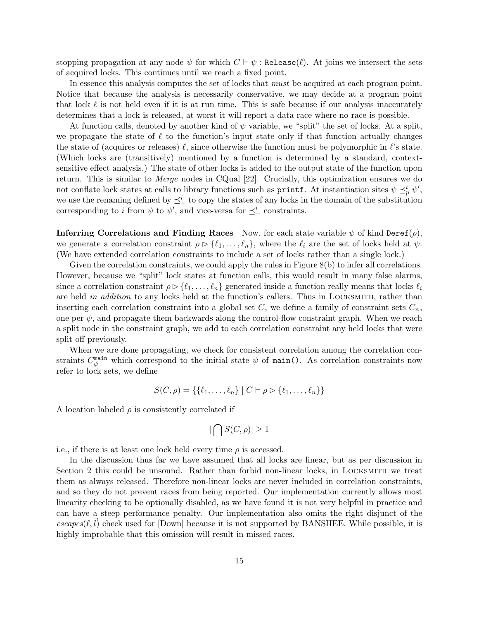stopping propagation at any node  $\psi$  for which  $C \vdash \psi$ : Release( $\ell$ ). At joins we intersect the sets of acquired locks. This continues until we reach a fixed point.

In essence this analysis computes the set of locks that must be acquired at each program point. Notice that because the analysis is necessarily conservative, we may decide at a program point that lock  $\ell$  is not held even if it is at run time. This is safe because if our analysis inaccurately determines that a lock is released, at worst it will report a data race where no race is possible.

At function calls, denoted by another kind of  $\psi$  variable, we "split" the set of locks. At a split, we propagate the state of  $\ell$  to the function's input state only if that function actually changes the state of (acquires or releases)  $\ell$ , since otherwise the function must be polymorphic in  $\ell$ 's state. (Which locks are (transitively) mentioned by a function is determined by a standard, contextsensitive effect analysis.) The state of other locks is added to the output state of the function upon return. This is similar to Merge nodes in CQual [22]. Crucially, this optimization ensures we do not conflate lock states at calls to library functions such as **printf**. At instantiation sites  $\psi \preceq^i_p \psi'$ , we use the renaming defined by  $\preceq^i_+$  to copy the states of any locks in the domain of the substitution corresponding to *i* from  $\psi$  to  $\psi'$ , and vice-versa for  $\preceq^i_{-}$  constraints.

**Inferring Correlations and Finding Races** Now, for each state variable  $\psi$  of kind Deref( $\rho$ ), we generate a correlation constraint  $\rho \triangleright \{\ell_1, \ldots, \ell_n\}$ , where the  $\ell_i$  are the set of locks held at  $\psi$ . (We have extended correlation constraints to include a set of locks rather than a single lock.)

Given the correlation constraints, we could apply the rules in Figure 8(b) to infer all correlations. However, because we "split" lock states at function calls, this would result in many false alarms, since a correlation constraint  $\rho \triangleright \{ \ell_1, \ldots, \ell_n \}$  generated inside a function really means that locks  $\ell_i$ are held in addition to any locks held at the function's callers. Thus in LOCKSMITH, rather than inserting each correlation constraint into a global set C, we define a family of constraint sets  $C_{\psi}$ , one per  $\psi$ , and propagate them backwards along the control-flow constraint graph. When we reach a split node in the constraint graph, we add to each correlation constraint any held locks that were split off previously.

When we are done propagating, we check for consistent correlation among the correlation constraints  $C_{\psi}^{\text{main}}$  which correspond to the initial state  $\psi$  of main(). As correlation constraints now refer to lock sets, we define

$$
S(C, \rho) = \{ \{ \ell_1, \ldots, \ell_n \} \mid C \vdash \rho \rhd \{ \ell_1, \ldots, \ell_n \} \}
$$

A location labeled  $\rho$  is consistently correlated if

$$
|\bigcap S(C,\rho)|\geq 1
$$

i.e., if there is at least one lock held every time  $\rho$  is accessed.

In the discussion thus far we have assumed that all locks are linear, but as per discussion in Section 2 this could be unsound. Rather than forbid non-linear locks, in Locksmith we treat them as always released. Therefore non-linear locks are never included in correlation constraints, and so they do not prevent races from being reported. Our implementation currently allows most linearity checking to be optionally disabled, as we have found it is not very helpful in practice and can have a steep performance penalty. Our implementation also omits the right disjunct of the  $\epsilon$ scapes( $\ell, l$ ) check used for [Down] because it is not supported by BANSHEE. While possible, it is highly improbable that this omission will result in missed races.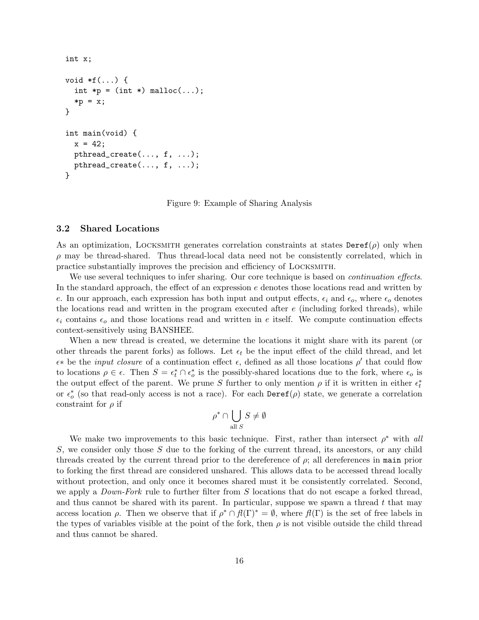```
int x;
void *f(...) {
  int *p = (int * ) malloc(...);*p = x;}
int main(void) {
 x = 42;
 pthread_create(..., f, ...);
 pthread_create(..., f, ...);
}
```
Figure 9: Example of Sharing Analysis

#### 3.2 Shared Locations

As an optimization, LOCKSMITH generates correlation constraints at states  $\text{Deref}(\rho)$  only when  $\rho$  may be thread-shared. Thus thread-local data need not be consistently correlated, which in practice substantially improves the precision and efficiency of Locksmith.

We use several techniques to infer sharing. Our core technique is based on *continuation effects*. In the standard approach, the effect of an expression e denotes those locations read and written by e. In our approach, each expression has both input and output effects,  $\epsilon_i$  and  $\epsilon_o$ , where  $\epsilon_o$  denotes the locations read and written in the program executed after  $e$  (including forked threads), while  $\epsilon_i$  contains  $\epsilon_o$  and those locations read and written in e itself. We compute continuation effects context-sensitively using BANSHEE.

When a new thread is created, we determine the locations it might share with its parent (or other threads the parent forks) as follows. Let  $\epsilon_t$  be the input effect of the child thread, and let  $\epsilon^*$  be the *input closure* of a continuation effect  $\epsilon$ , defined as all those locations  $\rho'$  that could flow to locations  $\rho \in \epsilon$ . Then  $S = \epsilon_t^* \cap \epsilon_o^*$  is the possibly-shared locations due to the fork, where  $\epsilon_o$  is the output effect of the parent. We prune S further to only mention  $\rho$  if it is written in either  $\epsilon_t^*$ or  $\epsilon_o^*$  (so that read-only access is not a race). For each  $\text{Deref}(\rho)$  state, we generate a correlation constraint for  $\rho$  if

$$
\rho^* \cap \bigcup_{\text{all } S} S \neq \emptyset
$$

We make two improvements to this basic technique. First, rather than intersect  $\rho^*$  with all S, we consider only those S due to the forking of the current thread, its ancestors, or any child threads created by the current thread prior to the dereference of  $\rho$ ; all dereferences in main prior to forking the first thread are considered unshared. This allows data to be accessed thread locally without protection, and only once it becomes shared must it be consistently correlated. Second, we apply a *Down-Fork* rule to further filter from S locations that do not escape a forked thread. and thus cannot be shared with its parent. In particular, suppose we spawn a thread  $t$  that may access location  $\rho$ . Then we observe that if  $\rho^* \cap \mathcal{H}(\Gamma)^* = \emptyset$ , where  $\mathcal{H}(\Gamma)$  is the set of free labels in the types of variables visible at the point of the fork, then  $\rho$  is not visible outside the child thread and thus cannot be shared.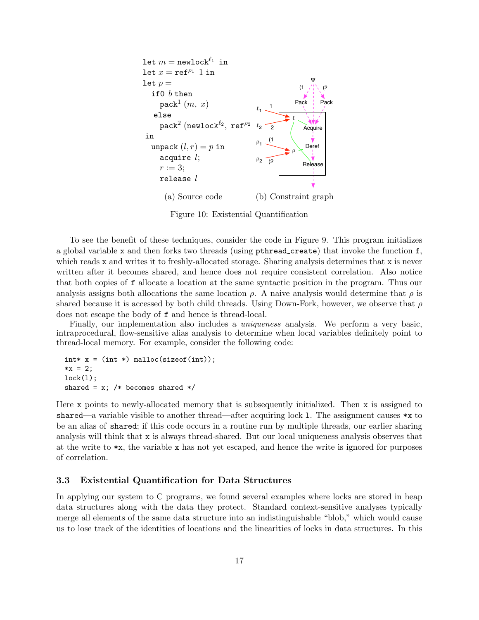

Figure 10: Existential Quantification

To see the benefit of these techniques, consider the code in Figure 9. This program initializes a global variable x and then forks two threads (using pthread create) that invoke the function f, which reads x and writes it to freshly-allocated storage. Sharing analysis determines that x is never written after it becomes shared, and hence does not require consistent correlation. Also notice that both copies of f allocate a location at the same syntactic position in the program. Thus our analysis assigns both allocations the same location  $\rho$ . A naive analysis would determine that  $\rho$  is shared because it is accessed by both child threads. Using Down-Fork, however, we observe that  $\rho$ does not escape the body of f and hence is thread-local.

Finally, our implementation also includes a *uniqueness* analysis. We perform a very basic, intraprocedural, flow-sensitive alias analysis to determine when local variables definitely point to thread-local memory. For example, consider the following code:

int\*  $x = (int * )$  malloc(sizeof(int));  $*x = 2;$  $lock(1);$ shared =  $x$ ; /\* becomes shared \*/

Here x points to newly-allocated memory that is subsequently initialized. Then x is assigned to shared—a variable visible to another thread—after acquiring lock 1. The assignment causes  $\ast x$  to be an alias of shared; if this code occurs in a routine run by multiple threads, our earlier sharing analysis will think that x is always thread-shared. But our local uniqueness analysis observes that at the write to \*x, the variable x has not yet escaped, and hence the write is ignored for purposes of correlation.

### 3.3 Existential Quantification for Data Structures

In applying our system to C programs, we found several examples where locks are stored in heap data structures along with the data they protect. Standard context-sensitive analyses typically merge all elements of the same data structure into an indistinguishable "blob," which would cause us to lose track of the identities of locations and the linearities of locks in data structures. In this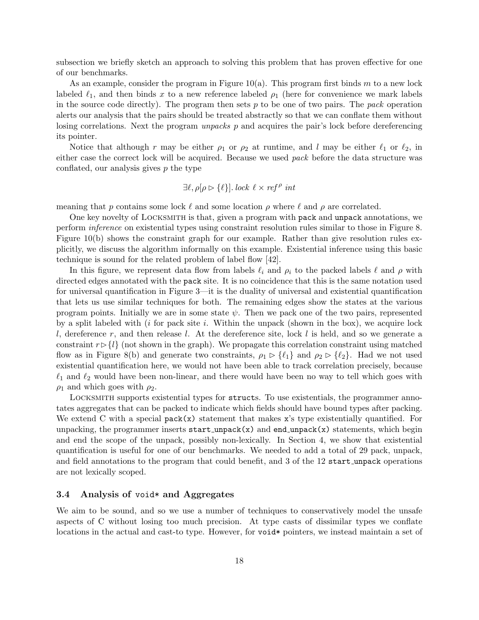subsection we briefly sketch an approach to solving this problem that has proven effective for one of our benchmarks.

As an example, consider the program in Figure 10(a). This program first binds m to a new lock labeled  $\ell_1$ , and then binds x to a new reference labeled  $\rho_1$  (here for convenience we mark labels in the source code directly). The program then sets  $p$  to be one of two pairs. The pack operation alerts our analysis that the pairs should be treated abstractly so that we can conflate them without losing correlations. Next the program *unpacks*  $p$  and acquires the pair's lock before dereferencing its pointer.

Notice that although r may be either  $\rho_1$  or  $\rho_2$  at runtime, and l may be either  $\ell_1$  or  $\ell_2$ , in either case the correct lock will be acquired. Because we used pack before the data structure was conflated, our analysis gives  $p$  the type

$$
\exists \ell, \rho[\rho \rhd \{\ell\}]. \, lock \, \, \ell \times \, ref^{\rho} \, \, int
$$

meaning that p contains some lock  $\ell$  and some location  $\rho$  where  $\ell$  and  $\rho$  are correlated.

One key novelty of Locksmith is that, given a program with pack and unpack annotations, we perform inference on existential types using constraint resolution rules similar to those in Figure 8. Figure 10(b) shows the constraint graph for our example. Rather than give resolution rules explicitly, we discuss the algorithm informally on this example. Existential inference using this basic technique is sound for the related problem of label flow [42].

In this figure, we represent data flow from labels  $\ell_i$  and  $\rho_i$  to the packed labels  $\ell$  and  $\rho$  with directed edges annotated with the pack site. It is no coincidence that this is the same notation used for universal quantification in Figure 3—it is the duality of universal and existential quantification that lets us use similar techniques for both. The remaining edges show the states at the various program points. Initially we are in some state  $\psi$ . Then we pack one of the two pairs, represented by a split labeled with  $(i$  for pack site  $i$ . Within the unpack (shown in the box), we acquire lock l, dereference r, and then release l. At the dereference site, lock l is held, and so we generate a constraint  $r > \{l\}$  (not shown in the graph). We propagate this correlation constraint using matched flow as in Figure 8(b) and generate two constraints,  $\rho_1 \triangleright \{\ell_1\}$  and  $\rho_2 \triangleright \{\ell_2\}$ . Had we not used existential quantification here, we would not have been able to track correlation precisely, because  $\ell_1$  and  $\ell_2$  would have been non-linear, and there would have been no way to tell which goes with  $\rho_1$  and which goes with  $\rho_2$ .

Locksmith supports existential types for structs. To use existentials, the programmer annotates aggregates that can be packed to indicate which fields should have bound types after packing. We extend C with a special  $pack(x)$  statement that makes x's type existentially quantified. For unpacking, the programmer inserts start\_unpack(x) and end\_unpack(x) statements, which begin and end the scope of the unpack, possibly non-lexically. In Section 4, we show that existential quantification is useful for one of our benchmarks. We needed to add a total of 29 pack, unpack, and field annotations to the program that could benefit, and 3 of the 12 start unpack operations are not lexically scoped.

#### 3.4 Analysis of void\* and Aggregates

We aim to be sound, and so we use a number of techniques to conservatively model the unsafe aspects of C without losing too much precision. At type casts of dissimilar types we conflate locations in the actual and cast-to type. However, for void\* pointers, we instead maintain a set of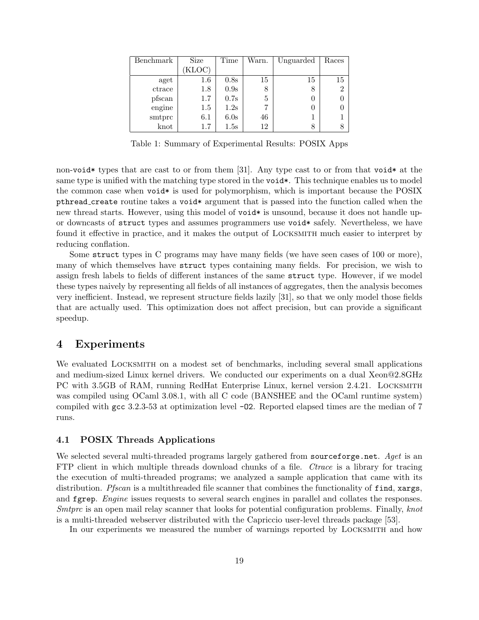| Benchmark | Size    | Time | Warn. | Unguarded | Races          |
|-----------|---------|------|-------|-----------|----------------|
|           | KLOC)   |      |       |           |                |
| aget      | $1.6\,$ | 0.8s | 15    | 15        | 15             |
| ctrace    | 1.8     | 0.9s | 8     | 8         | $\overline{2}$ |
| pfscan    | 1.7     | 0.7s | 5     |           |                |
| engine    | $1.5\,$ | 1.2s |       |           |                |
| smtprc    | 6.1     | 6.0s | 46    |           |                |
| $k$ not   | 1.7     | 1.5s | 12    |           |                |

Table 1: Summary of Experimental Results: POSIX Apps

non-void\* types that are cast to or from them [31]. Any type cast to or from that void\* at the same type is unified with the matching type stored in the void\*. This technique enables us to model the common case when void\* is used for polymorphism, which is important because the POSIX pthread create routine takes a void\* argument that is passed into the function called when the new thread starts. However, using this model of void\* is unsound, because it does not handle upor downcasts of struct types and assumes programmers use void\* safely. Nevertheless, we have found it effective in practice, and it makes the output of Locksmith much easier to interpret by reducing conflation.

Some struct types in C programs may have many fields (we have seen cases of 100 or more), many of which themselves have struct types containing many fields. For precision, we wish to assign fresh labels to fields of different instances of the same struct type. However, if we model these types naively by representing all fields of all instances of aggregates, then the analysis becomes very inefficient. Instead, we represent structure fields lazily [31], so that we only model those fields that are actually used. This optimization does not affect precision, but can provide a significant speedup.

### 4 Experiments

We evaluated LOCKSMITH on a modest set of benchmarks, including several small applications and medium-sized Linux kernel drivers. We conducted our experiments on a dual Xeon@2.8GHz PC with 3.5GB of RAM, running RedHat Enterprise Linux, kernel version 2.4.21. LOCKSMITH was compiled using OCaml 3.08.1, with all C code (BANSHEE and the OCaml runtime system) compiled with gcc 3.2.3-53 at optimization level -O2. Reported elapsed times are the median of 7 runs.

### 4.1 POSIX Threads Applications

We selected several multi-threaded programs largely gathered from sourceforge.net. Aget is an FTP client in which multiple threads download chunks of a file. Ctrace is a library for tracing the execution of multi-threaded programs; we analyzed a sample application that came with its distribution. *Pfscan* is a multithreaded file scanner that combines the functionality of find, xargs, and fgrep. *Engine* issues requests to several search engines in parallel and collates the responses. Smtprc is an open mail relay scanner that looks for potential configuration problems. Finally, knot is a multi-threaded webserver distributed with the Capriccio user-level threads package [53].

In our experiments we measured the number of warnings reported by Locksmith and how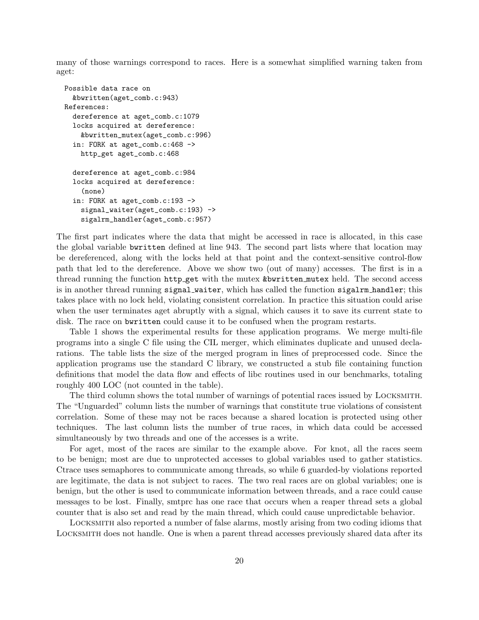many of those warnings correspond to races. Here is a somewhat simplified warning taken from aget:

```
Possible data race on
 &bwritten(aget_comb.c:943)
References:
 dereference at aget_comb.c:1079
  locks acquired at dereference:
    &bwritten_mutex(aget_comb.c:996)
  in: FORK at aget_comb.c:468 ->
    http_get aget_comb.c:468
 dereference at aget_comb.c:984
 locks acquired at dereference:
    (none)
  in: FORK at aget_comb.c:193 ->
    signal_waiter(aget_comb.c:193) ->
    sigalrm_handler(aget_comb.c:957)
```
The first part indicates where the data that might be accessed in race is allocated, in this case the global variable bwritten defined at line 943. The second part lists where that location may be dereferenced, along with the locks held at that point and the context-sensitive control-flow path that led to the dereference. Above we show two (out of many) accesses. The first is in a thread running the function http get with the mutex &bwritten mutex held. The second access is in another thread running signal waiter, which has called the function sigalrm handler; this takes place with no lock held, violating consistent correlation. In practice this situation could arise when the user terminates aget abruptly with a signal, which causes it to save its current state to disk. The race on bwritten could cause it to be confused when the program restarts.

Table 1 shows the experimental results for these application programs. We merge multi-file programs into a single C file using the CIL merger, which eliminates duplicate and unused declarations. The table lists the size of the merged program in lines of preprocessed code. Since the application programs use the standard C library, we constructed a stub file containing function definitions that model the data flow and effects of libc routines used in our benchmarks, totaling roughly 400 LOC (not counted in the table).

The third column shows the total number of warnings of potential races issued by Locksmith. The "Unguarded" column lists the number of warnings that constitute true violations of consistent correlation. Some of these may not be races because a shared location is protected using other techniques. The last column lists the number of true races, in which data could be accessed simultaneously by two threads and one of the accesses is a write.

For aget, most of the races are similar to the example above. For knot, all the races seem to be benign; most are due to unprotected accesses to global variables used to gather statistics. Ctrace uses semaphores to communicate among threads, so while 6 guarded-by violations reported are legitimate, the data is not subject to races. The two real races are on global variables; one is benign, but the other is used to communicate information between threads, and a race could cause messages to be lost. Finally, smtprc has one race that occurs when a reaper thread sets a global counter that is also set and read by the main thread, which could cause unpredictable behavior.

Locksmith also reported a number of false alarms, mostly arising from two coding idioms that Locksmith does not handle. One is when a parent thread accesses previously shared data after its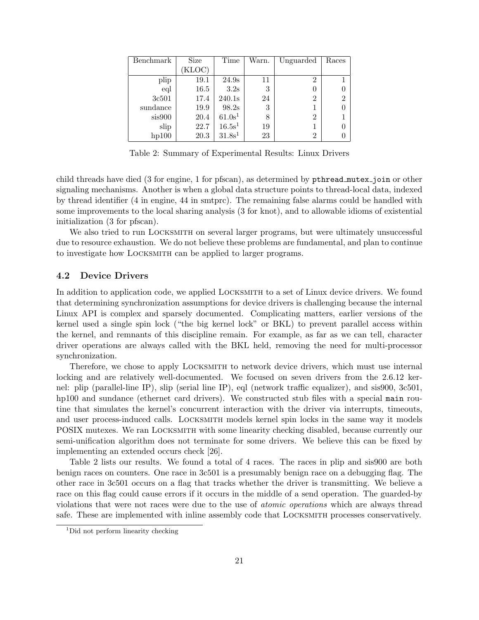| Benchmark | Size   | Time               | Warn. | Unguarded | Races |
|-----------|--------|--------------------|-------|-----------|-------|
|           | (KLOC) |                    |       |           |       |
| plip      | 19.1   | 24.9s              | 11    | 2         |       |
| eql       | 16.5   | 3.2s               | 3     |           |       |
| 3c501     | 17.4   | 240.1s             | 24    | 2         | 2     |
| sundance  | 19.9   | 98.2s              | 3     |           |       |
| sis900    | 20.4   | 61.0s <sup>1</sup> | 8     | 2         |       |
| slip      | 22.7   | 16.5s <sup>1</sup> | 19    |           |       |
| hp100     | 20.3   | 31.8s <sup>1</sup> | 23    | 2         |       |

Table 2: Summary of Experimental Results: Linux Drivers

child threads have died (3 for engine, 1 for pfscan), as determined by pthread mutes join or other signaling mechanisms. Another is when a global data structure points to thread-local data, indexed by thread identifier (4 in engine, 44 in smtprc). The remaining false alarms could be handled with some improvements to the local sharing analysis (3 for knot), and to allowable idioms of existential initialization (3 for pfscan).

We also tried to run LOCKSMITH on several larger programs, but were ultimately unsuccessful due to resource exhaustion. We do not believe these problems are fundamental, and plan to continue to investigate how Locksmith can be applied to larger programs.

### 4.2 Device Drivers

In addition to application code, we applied Locksmith to a set of Linux device drivers. We found that determining synchronization assumptions for device drivers is challenging because the internal Linux API is complex and sparsely documented. Complicating matters, earlier versions of the kernel used a single spin lock ("the big kernel lock" or BKL) to prevent parallel access within the kernel, and remnants of this discipline remain. For example, as far as we can tell, character driver operations are always called with the BKL held, removing the need for multi-processor synchronization.

Therefore, we chose to apply Locksmith to network device drivers, which must use internal locking and are relatively well-documented. We focused on seven drivers from the 2.6.12 kernel: plip (parallel-line IP), slip (serial line IP), eql (network traffic equalizer), and sis900, 3c501, hp100 and sundance (ethernet card drivers). We constructed stub files with a special main routine that simulates the kernel's concurrent interaction with the driver via interrupts, timeouts, and user process-induced calls. Locksmith models kernel spin locks in the same way it models POSIX mutexes. We ran Locksmith with some linearity checking disabled, because currently our semi-unification algorithm does not terminate for some drivers. We believe this can be fixed by implementing an extended occurs check [26].

Table 2 lists our results. We found a total of 4 races. The races in plip and sis900 are both benign races on counters. One race in 3c501 is a presumably benign race on a debugging flag. The other race in 3c501 occurs on a flag that tracks whether the driver is transmitting. We believe a race on this flag could cause errors if it occurs in the middle of a send operation. The guarded-by violations that were not races were due to the use of atomic operations which are always thread safe. These are implemented with inline assembly code that LOCKSMITH processes conservatively.

<sup>&</sup>lt;sup>1</sup>Did not perform linearity checking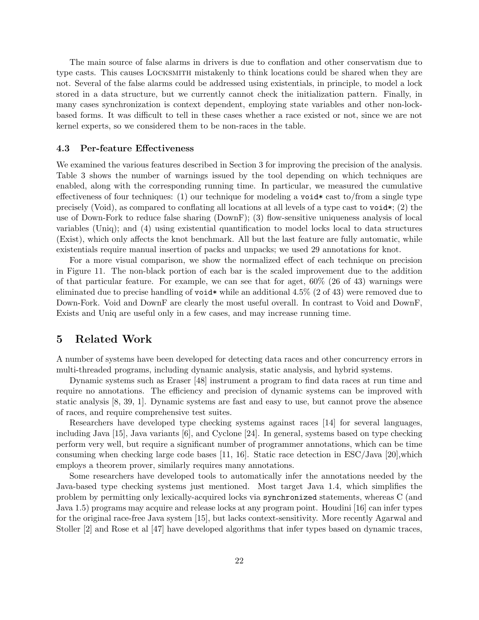The main source of false alarms in drivers is due to conflation and other conservatism due to type casts. This causes Locksmith mistakenly to think locations could be shared when they are not. Several of the false alarms could be addressed using existentials, in principle, to model a lock stored in a data structure, but we currently cannot check the initialization pattern. Finally, in many cases synchronization is context dependent, employing state variables and other non-lockbased forms. It was difficult to tell in these cases whether a race existed or not, since we are not kernel experts, so we considered them to be non-races in the table.

#### 4.3 Per-feature Effectiveness

We examined the various features described in Section 3 for improving the precision of the analysis. Table 3 shows the number of warnings issued by the tool depending on which techniques are enabled, along with the corresponding running time. In particular, we measured the cumulative effectiveness of four techniques: (1) our technique for modeling a void\* cast to/from a single type precisely (Void), as compared to conflating all locations at all levels of a type cast to void\*; (2) the use of Down-Fork to reduce false sharing (DownF); (3) flow-sensitive uniqueness analysis of local variables (Uniq); and (4) using existential quantification to model locks local to data structures (Exist), which only affects the knot benchmark. All but the last feature are fully automatic, while existentials require manual insertion of packs and unpacks; we used 29 annotations for knot.

For a more visual comparison, we show the normalized effect of each technique on precision in Figure 11. The non-black portion of each bar is the scaled improvement due to the addition of that particular feature. For example, we can see that for aget, 60% (26 of 43) warnings were eliminated due to precise handling of void\* while an additional  $4.5\%$  (2 of 43) were removed due to Down-Fork. Void and DownF are clearly the most useful overall. In contrast to Void and DownF, Exists and Uniq are useful only in a few cases, and may increase running time.

# 5 Related Work

A number of systems have been developed for detecting data races and other concurrency errors in multi-threaded programs, including dynamic analysis, static analysis, and hybrid systems.

Dynamic systems such as Eraser [48] instrument a program to find data races at run time and require no annotations. The efficiency and precision of dynamic systems can be improved with static analysis [8, 39, 1]. Dynamic systems are fast and easy to use, but cannot prove the absence of races, and require comprehensive test suites.

Researchers have developed type checking systems against races [14] for several languages, including Java [15], Java variants [6], and Cyclone [24]. In general, systems based on type checking perform very well, but require a significant number of programmer annotations, which can be time consuming when checking large code bases [11, 16]. Static race detection in ESC/Java [20],which employs a theorem prover, similarly requires many annotations.

Some researchers have developed tools to automatically infer the annotations needed by the Java-based type checking systems just mentioned. Most target Java 1.4, which simplifies the problem by permitting only lexically-acquired locks via synchronized statements, whereas C (and Java 1.5) programs may acquire and release locks at any program point. Houdini [16] can infer types for the original race-free Java system [15], but lacks context-sensitivity. More recently Agarwal and Stoller [2] and Rose et al [47] have developed algorithms that infer types based on dynamic traces,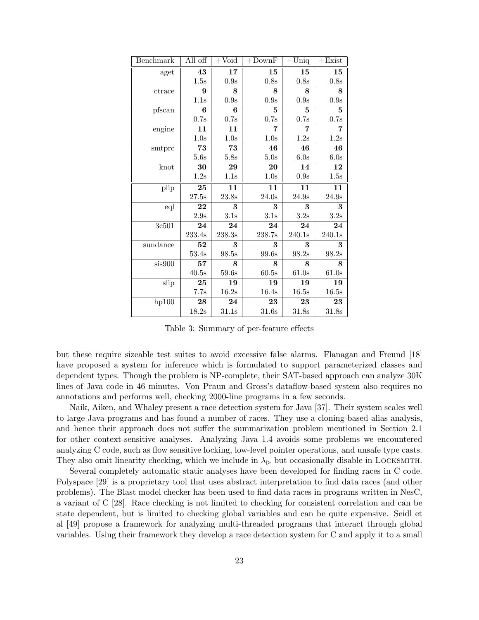| Benchmark | All off  | $+$ Void        | $+$ Down $F$ | $+$ Uniq          | $+Exist$     |
|-----------|----------|-----------------|--------------|-------------------|--------------|
| aget      | 43       | 17              | 15           | 15                | 15           |
|           | 1.5s     | 0.9s            | 0.8s         | 0.8s              | 0.8s         |
| ctrace    | 9        | 8               | 8            | 8                 | 8            |
|           | 1.1s     | 0.9s            | 0.9s         | 0.9s              | 0.9s         |
| pfscan    | $\bf{6}$ | 6               | 5            | 5                 | $\mathbf{5}$ |
|           | 0.7s     | 0.7s            | 0.7s         | 0.7s              | 0.7s         |
| engine    | 11       | 11              | 7            | 7                 | 7            |
|           | 1.0s     | 1.0s            | 1.0s         | 1.2s              | 1.2s         |
| smtprc    | 73       | 73              | 46           | 46                | 46           |
|           | 5.6s     | $5.8\mathrm{s}$ | 5.0s         | 6.0s              | 6.0s         |
| knot      | 30       | 29              | 20           | 14                | 12           |
|           | 1.2s     | 1.1s            | 1.0s         | 0.9s              | 1.5s         |
| plip      | 25       | 11              | 11           | 11                | 11           |
|           | 27.5s    | 23.8s           | 24.0s        | 24.9s             | 24.9s        |
| eql       | 22       | 3               | 3            | 3                 | 3            |
|           | 2.9s     | $3.1\mathrm{s}$ | 3.1s         | 3.2s              | 3.2s         |
| 3c501     | 24       | 24              | 24           | 24                | 24           |
|           | 233.4s   | 238.3s          | 238.7s       | $240.1\mathrm{s}$ | 240.1s       |
| sundance  | 52       | 3               | 3            | 3                 | 3            |
|           | 53.4s    | 98.5s           | 99.6s        | 98.2s             | 98.2s        |
| sis900    | 57       | 8               | 8            | 8                 | 8            |
|           | 40.5s    | 59.6s           | 60.5s        | 61.0s             | 61.0s        |
| slip      | 25       | 19              | 19           | 19                | 19           |
|           | 7.7s     | 16.2s           | 16.4s        | 16.5s             | 16.5s        |
| hp100     | 28       | 24              | 23           | 23                | 23           |
|           | 18.2s    | 31.1s           | 31.6s        | 31.8s             | 31.8s        |

Table 3: Summary of per-feature effects

but these require sizeable test suites to avoid excessive false alarms. Flanagan and Freund [18] have proposed a system for inference which is formulated to support parameterized classes and dependent types. Though the problem is NP-complete, their SAT-based approach can analyze 30K lines of Java code in 46 minutes. Von Praun and Gross's dataflow-based system also requires no annotations and performs well, checking 2000-line programs in a few seconds.

Naik, Aiken, and Whaley present a race detection system for Java [37]. Their system scales well to large Java programs and has found a number of races. They use a cloning-based alias analysis, and hence their approach does not suffer the summarization problem mentioned in Section 2.1 for other context-sensitive analyses. Analyzing Java 1.4 avoids some problems we encountered analyzing C code, such as flow sensitive locking, low-level pointer operations, and unsafe type casts. They also omit linearity checking, which we include in  $\lambda_{\triangleright}$  but occasionally disable in LOCKSMITH.

Several completely automatic static analyses have been developed for finding races in C code. Polyspace [29] is a proprietary tool that uses abstract interpretation to find data races (and other problems). The Blast model checker has been used to find data races in programs written in NesC, a variant of C [28]. Race checking is not limited to checking for consistent correlation and can be state dependent, but is limited to checking global variables and can be quite expensive. Seidl et al [49] propose a framework for analyzing multi-threaded programs that interact through global variables. Using their framework they develop a race detection system for C and apply it to a small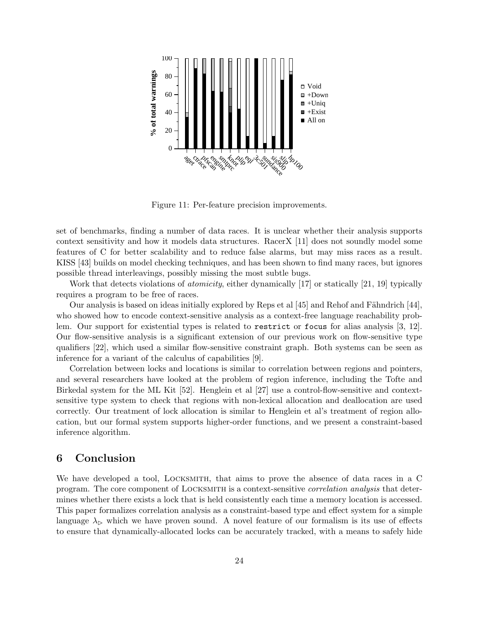

Figure 11: Per-feature precision improvements.

set of benchmarks, finding a number of data races. It is unclear whether their analysis supports context sensitivity and how it models data structures. RacerX [11] does not soundly model some features of C for better scalability and to reduce false alarms, but may miss races as a result. KISS [43] builds on model checking techniques, and has been shown to find many races, but ignores possible thread interleavings, possibly missing the most subtle bugs.

Work that detects violations of *atomicity*, either dynamically [17] or statically [21, 19] typically requires a program to be free of races.

Our analysis is based on ideas initially explored by Reps et al  $[45]$  and Rehof and Fähndrich  $[44]$ . who showed how to encode context-sensitive analysis as a context-free language reachability problem. Our support for existential types is related to restrict or focus for alias analysis [3, 12]. Our flow-sensitive analysis is a significant extension of our previous work on flow-sensitive type qualifiers [22], which used a similar flow-sensitive constraint graph. Both systems can be seen as inference for a variant of the calculus of capabilities [9].

Correlation between locks and locations is similar to correlation between regions and pointers, and several researchers have looked at the problem of region inference, including the Tofte and Birkedal system for the ML Kit [52]. Henglein et al [27] use a control-flow-sensitive and contextsensitive type system to check that regions with non-lexical allocation and deallocation are used correctly. Our treatment of lock allocation is similar to Henglein et al's treatment of region allocation, but our formal system supports higher-order functions, and we present a constraint-based inference algorithm.

# 6 Conclusion

We have developed a tool, LOCKSMITH, that aims to prove the absence of data races in a C program. The core component of LOCKSMITH is a context-sensitive *correlation analysis* that determines whether there exists a lock that is held consistently each time a memory location is accessed. This paper formalizes correlation analysis as a constraint-based type and effect system for a simple language  $\lambda_{\triangleright}$  which we have proven sound. A novel feature of our formalism is its use of effects to ensure that dynamically-allocated locks can be accurately tracked, with a means to safely hide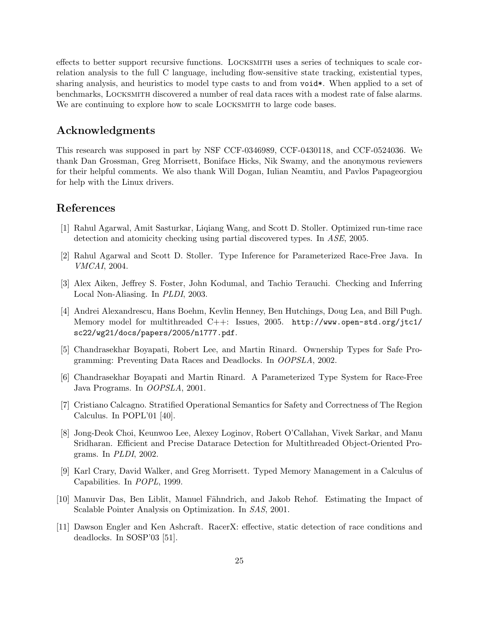effects to better support recursive functions. Locksmith uses a series of techniques to scale correlation analysis to the full C language, including flow-sensitive state tracking, existential types, sharing analysis, and heuristics to model type casts to and from void. When applied to a set of benchmarks, Locksmith discovered a number of real data races with a modest rate of false alarms. We are continuing to explore how to scale LOCKSMITH to large code bases.

# Acknowledgments

This research was supposed in part by NSF CCF-0346989, CCF-0430118, and CCF-0524036. We thank Dan Grossman, Greg Morrisett, Boniface Hicks, Nik Swamy, and the anonymous reviewers for their helpful comments. We also thank Will Dogan, Iulian Neamtiu, and Pavlos Papageorgiou for help with the Linux drivers.

# References

- [1] Rahul Agarwal, Amit Sasturkar, Liqiang Wang, and Scott D. Stoller. Optimized run-time race detection and atomicity checking using partial discovered types. In ASE, 2005.
- [2] Rahul Agarwal and Scott D. Stoller. Type Inference for Parameterized Race-Free Java. In VMCAI, 2004.
- [3] Alex Aiken, Jeffrey S. Foster, John Kodumal, and Tachio Terauchi. Checking and Inferring Local Non-Aliasing. In PLDI, 2003.
- [4] Andrei Alexandrescu, Hans Boehm, Kevlin Henney, Ben Hutchings, Doug Lea, and Bill Pugh. Memory model for multithreaded C++: Issues, 2005. http://www.open-std.org/jtc1/ sc22/wg21/docs/papers/2005/n1777.pdf.
- [5] Chandrasekhar Boyapati, Robert Lee, and Martin Rinard. Ownership Types for Safe Programming: Preventing Data Races and Deadlocks. In OOPSLA, 2002.
- [6] Chandrasekhar Boyapati and Martin Rinard. A Parameterized Type System for Race-Free Java Programs. In OOPSLA, 2001.
- [7] Cristiano Calcagno. Stratified Operational Semantics for Safety and Correctness of The Region Calculus. In POPL'01 [40].
- [8] Jong-Deok Choi, Keunwoo Lee, Alexey Loginov, Robert O'Callahan, Vivek Sarkar, and Manu Sridharan. Efficient and Precise Datarace Detection for Multithreaded Object-Oriented Programs. In PLDI, 2002.
- [9] Karl Crary, David Walker, and Greg Morrisett. Typed Memory Management in a Calculus of Capabilities. In POPL, 1999.
- [10] Manuvir Das, Ben Liblit, Manuel Fähndrich, and Jakob Rehof. Estimating the Impact of Scalable Pointer Analysis on Optimization. In SAS, 2001.
- [11] Dawson Engler and Ken Ashcraft. RacerX: effective, static detection of race conditions and deadlocks. In SOSP'03 [51].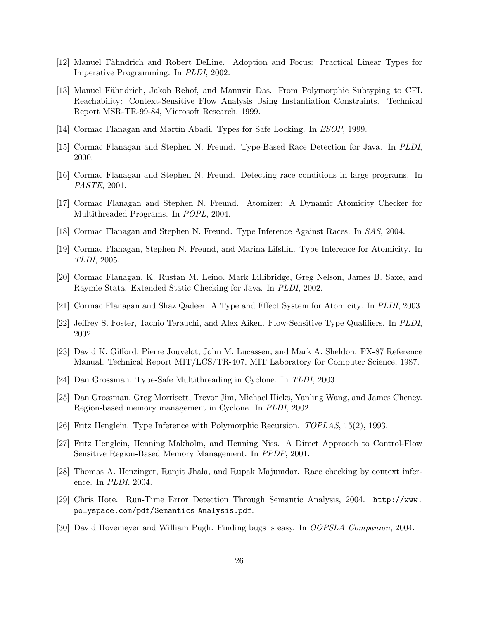- [12] Manuel Fähndrich and Robert DeLine. Adoption and Focus: Practical Linear Types for Imperative Programming. In PLDI, 2002.
- [13] Manuel Fähndrich, Jakob Rehof, and Manuvir Das. From Polymorphic Subtyping to CFL Reachability: Context-Sensitive Flow Analysis Using Instantiation Constraints. Technical Report MSR-TR-99-84, Microsoft Research, 1999.
- [14] Cormac Flanagan and Martín Abadi. Types for Safe Locking. In ESOP, 1999.
- [15] Cormac Flanagan and Stephen N. Freund. Type-Based Race Detection for Java. In PLDI, 2000.
- [16] Cormac Flanagan and Stephen N. Freund. Detecting race conditions in large programs. In PASTE, 2001.
- [17] Cormac Flanagan and Stephen N. Freund. Atomizer: A Dynamic Atomicity Checker for Multithreaded Programs. In POPL, 2004.
- [18] Cormac Flanagan and Stephen N. Freund. Type Inference Against Races. In SAS, 2004.
- [19] Cormac Flanagan, Stephen N. Freund, and Marina Lifshin. Type Inference for Atomicity. In TLDI, 2005.
- [20] Cormac Flanagan, K. Rustan M. Leino, Mark Lillibridge, Greg Nelson, James B. Saxe, and Raymie Stata. Extended Static Checking for Java. In PLDI, 2002.
- [21] Cormac Flanagan and Shaz Qadeer. A Type and Effect System for Atomicity. In PLDI, 2003.
- [22] Jeffrey S. Foster, Tachio Terauchi, and Alex Aiken. Flow-Sensitive Type Qualifiers. In PLDI, 2002.
- [23] David K. Gifford, Pierre Jouvelot, John M. Lucassen, and Mark A. Sheldon. FX-87 Reference Manual. Technical Report MIT/LCS/TR-407, MIT Laboratory for Computer Science, 1987.
- [24] Dan Grossman. Type-Safe Multithreading in Cyclone. In TLDI, 2003.
- [25] Dan Grossman, Greg Morrisett, Trevor Jim, Michael Hicks, Yanling Wang, and James Cheney. Region-based memory management in Cyclone. In PLDI, 2002.
- [26] Fritz Henglein. Type Inference with Polymorphic Recursion. TOPLAS, 15(2), 1993.
- [27] Fritz Henglein, Henning Makholm, and Henning Niss. A Direct Approach to Control-Flow Sensitive Region-Based Memory Management. In PPDP, 2001.
- [28] Thomas A. Henzinger, Ranjit Jhala, and Rupak Majumdar. Race checking by context inference. In PLDI, 2004.
- [29] Chris Hote. Run-Time Error Detection Through Semantic Analysis, 2004. http://www. polyspace.com/pdf/Semantics Analysis.pdf.
- [30] David Hovemeyer and William Pugh. Finding bugs is easy. In OOPSLA Companion, 2004.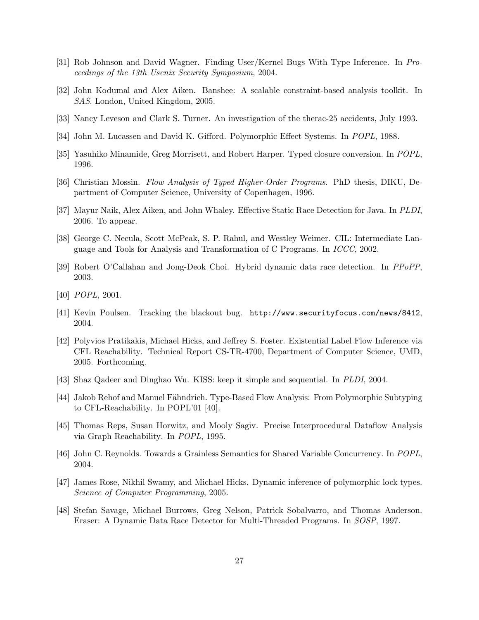- [31] Rob Johnson and David Wagner. Finding User/Kernel Bugs With Type Inference. In Proceedings of the 13th Usenix Security Symposium, 2004.
- [32] John Kodumal and Alex Aiken. Banshee: A scalable constraint-based analysis toolkit. In SAS. London, United Kingdom, 2005.
- [33] Nancy Leveson and Clark S. Turner. An investigation of the therac-25 accidents, July 1993.
- [34] John M. Lucassen and David K. Gifford. Polymorphic Effect Systems. In POPL, 1988.
- [35] Yasuhiko Minamide, Greg Morrisett, and Robert Harper. Typed closure conversion. In POPL, 1996.
- [36] Christian Mossin. Flow Analysis of Typed Higher-Order Programs. PhD thesis, DIKU, Department of Computer Science, University of Copenhagen, 1996.
- [37] Mayur Naik, Alex Aiken, and John Whaley. Effective Static Race Detection for Java. In PLDI, 2006. To appear.
- [38] George C. Necula, Scott McPeak, S. P. Rahul, and Westley Weimer. CIL: Intermediate Language and Tools for Analysis and Transformation of C Programs. In ICCC, 2002.
- [39] Robert O'Callahan and Jong-Deok Choi. Hybrid dynamic data race detection. In PPoPP, 2003.
- [40] POPL, 2001.
- [41] Kevin Poulsen. Tracking the blackout bug. http://www.securityfocus.com/news/8412, 2004.
- [42] Polyvios Pratikakis, Michael Hicks, and Jeffrey S. Foster. Existential Label Flow Inference via CFL Reachability. Technical Report CS-TR-4700, Department of Computer Science, UMD, 2005. Forthcoming.
- [43] Shaz Qadeer and Dinghao Wu. KISS: keep it simple and sequential. In PLDI, 2004.
- [44] Jakob Rehof and Manuel Fähndrich. Type-Based Flow Analysis: From Polymorphic Subtyping to CFL-Reachability. In POPL'01 [40].
- [45] Thomas Reps, Susan Horwitz, and Mooly Sagiv. Precise Interprocedural Dataflow Analysis via Graph Reachability. In POPL, 1995.
- [46] John C. Reynolds. Towards a Grainless Semantics for Shared Variable Concurrency. In POPL, 2004.
- [47] James Rose, Nikhil Swamy, and Michael Hicks. Dynamic inference of polymorphic lock types. Science of Computer Programming, 2005.
- [48] Stefan Savage, Michael Burrows, Greg Nelson, Patrick Sobalvarro, and Thomas Anderson. Eraser: A Dynamic Data Race Detector for Multi-Threaded Programs. In SOSP, 1997.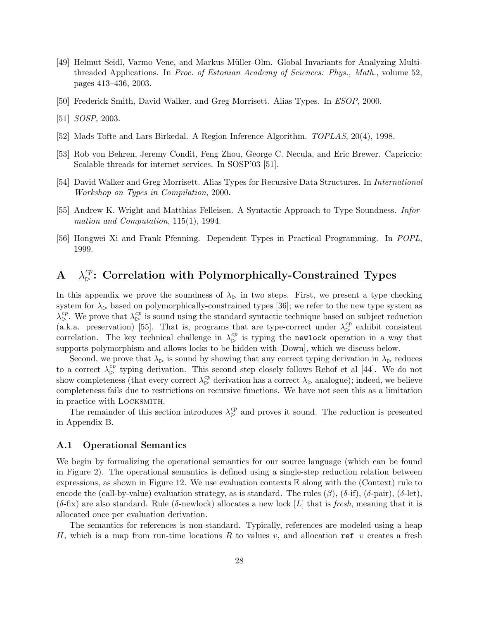- [49] Helmut Seidl, Varmo Vene, and Markus Müller-Olm. Global Invariants for Analyzing Multithreaded Applications. In Proc. of Estonian Academy of Sciences: Phys., Math., volume 52, pages 413–436, 2003.
- [50] Frederick Smith, David Walker, and Greg Morrisett. Alias Types. In ESOP, 2000.
- [51] SOSP, 2003.
- [52] Mads Tofte and Lars Birkedal. A Region Inference Algorithm. TOPLAS, 20(4), 1998.
- [53] Rob von Behren, Jeremy Condit, Feng Zhou, George C. Necula, and Eric Brewer. Capriccio: Scalable threads for internet services. In SOSP'03 [51].
- [54] David Walker and Greg Morrisett. Alias Types for Recursive Data Structures. In International Workshop on Types in Compilation, 2000.
- [55] Andrew K. Wright and Matthias Felleisen. A Syntactic Approach to Type Soundness. Information and Computation, 115(1), 1994.
- [56] Hongwei Xi and Frank Pfenning. Dependent Types in Practical Programming. In POPL, 1999.

# A  $\lambda_{\triangleright}^{cp}$ : Correlation with Polymorphically-Constrained Types

In this appendix we prove the soundness of  $\lambda_{\triangleright}$  in two steps. First, we present a type checking system for  $\lambda_{\triangleright}$  based on polymorphically-constrained types [36]; we refer to the new type system as  $\lambda_{\rm b}^{cp}$ . We prove that  $\lambda_{\rm b}^{cp}$  is sound using the standard syntactic technique based on subject reduction (a.k.a. preservation) [55]. That is, programs that are type-correct under  $\lambda_{\rm p}^{cp}$  exhibit consistent correlation. The key technical challenge in  $\lambda_{\triangleright}^{cp}$  is typing the newlock operation in a way that supports polymorphism and allows locks to be hidden with [Down], which we discuss below.

Second, we prove that  $\lambda_{\triangleright}$  is sound by showing that any correct typing derivation in  $\lambda_{\triangleright}$  reduces to a correct  $\lambda_{\rm p}^{cp}$  typing derivation. This second step closely follows Rehof et al [44]. We do not show completeness (that every correct  $\lambda_{\mathcal{D}}^{\ c p}$  derivation has a correct  $\lambda_{\mathcal{D}}$  analogue); indeed, we believe completeness fails due to restrictions on recursive functions. We have not seen this as a limitation in practice with Locksmith.

The remainder of this section introduces  $\lambda_{\rm b}^{cp}$  and proves it sound. The reduction is presented in Appendix B.

### A.1 Operational Semantics

We begin by formalizing the operational semantics for our source language (which can be found in Figure 2). The operational semantics is defined using a single-step reduction relation between expressions, as shown in Figure 12. We use evaluation contexts  $\mathbb E$  along with the (Context) rule to encode the (call-by-value) evaluation strategy, as is standard. The rules  $(\beta)$ ,  $(\delta$ -if),  $(\delta$ -pair),  $(\delta$ -let),  $(\delta$ -fix) are also standard. Rule ( $\delta$ -newlock) allocates a new lock [L] that is fresh, meaning that it is allocated once per evaluation derivation.

The semantics for references is non-standard. Typically, references are modeled using a heap H, which is a map from run-time locations R to values v, and allocation ref v creates a fresh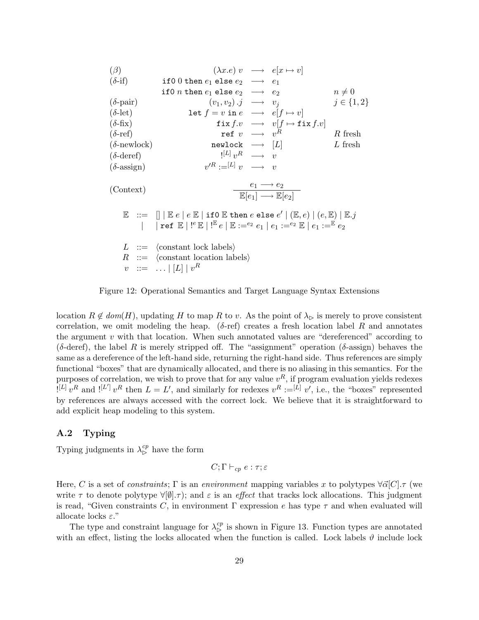| ( $\beta$ )                                                                                                                             | $(\lambda x.e)$ $v \longrightarrow e[x \mapsto v]$                        |                  |
|-----------------------------------------------------------------------------------------------------------------------------------------|---------------------------------------------------------------------------|------------------|
| ( $\delta$ -if)                                                                                                                         | if 0 0 then $e_1$ else $e_2 \longrightarrow e_1$                          |                  |
| ( $\delta$ -pair)                                                                                                                       | $(v_1, v_2) .j \longrightarrow v_j$                                       | $j \in \{1, 2\}$ |
| ( $\delta$ -let)                                                                                                                        | let $f = v$ in $e \longrightarrow e[f \mapsto v]$                         |                  |
| ( $\delta$ -fix)                                                                                                                        | $f(x, v) \longrightarrow v[f \mapsto f(x, v)]$                            |                  |
| ( $\delta$ -ref)                                                                                                                        | $\text{revlock} \longrightarrow v^R$                                      | $R$ fresh        |
| ( $\delta$ -heref)                                                                                                                      | $[L] v^R \longrightarrow v$                                               | $E$ fresh        |
| ( $\delta$ -deref)                                                                                                                      | $[L] v^R \longrightarrow v$                                               |                  |
| ( $\delta$ -assign)                                                                                                                     | $v'^R := [L] v \longrightarrow v$                                         |                  |
| ( $\delta$ -assign)                                                                                                                     | $v'^R := [L] v \longrightarrow v$                                         |                  |
| ( $\delta$ -assign)                                                                                                                     | $v'^R := [L] v \longrightarrow v$                                         |                  |
| ( $\delta$ -assign)                                                                                                                     | $v'^R := [L] v \longrightarrow v$                                         |                  |
| ( $\delta$ -assign)                                                                                                                     | $\frac{e_1 \rightarrow e_2}{\mathbb{E}[e_1] \rightarrow \mathbb{E}[e_2]}$ |                  |
| $\mathbb{E} := \text{supp}[E \mid E \in E \text{ then } e \text{ else } e' \mid (\mathbb{E}, e) \mid (e, \mathbb{E}) \mid \mathbb{E}.j$ |                                                                           |                  |
| $\mathbb{E} := \text{constant lock labels}$                                                                                             |                                                                           |                  |
| $\mathbb{E} := \text$                                                                                                                   |                                                                           |                  |

Figure 12: Operational Semantics and Target Language Syntax Extensions

location  $R \notin dom(H)$ , updating H to map R to v. As the point of  $\lambda_{\mathcal{D}}$  is merely to prove consistent correlation, we omit modeling the heap. ( $\delta$ -ref) creates a fresh location label R and annotates the argument v with that location. When such annotated values are "dereferenced" according to ( $\delta$ -deref), the label R is merely stripped off. The "assignment" operation ( $\delta$ -assign) behaves the same as a dereference of the left-hand side, returning the right-hand side. Thus references are simply functional "boxes" that are dynamically allocated, and there is no aliasing in this semantics. For the purposes of correlation, we wish to prove that for any value  $v^R$ , if program evaluation yields redexes  $[L] \hat{v}^R$  and  $[L'] v^R$  then  $L = L'$ , and similarly for redexes  $v^R := [L] v'$ , i.e., the "boxes" represented by references are always accessed with the correct lock. We believe that it is straightforward to add explicit heap modeling to this system.

### A.2 Typing

Typing judgments in  $\lambda_{\rm b}^{cp}$  have the form

$$
C;\Gamma\vdash_{cp}e:\tau;\varepsilon
$$

Here, C is a set of constraints;  $\Gamma$  is an environment mapping variables x to polytypes  $\forall \vec{\alpha}[C]$ .  $\tau$  (we write  $\tau$  to denote polytype  $\forall [\emptyset], \tau$ ; and  $\varepsilon$  is an effect that tracks lock allocations. This judgment is read, "Given constraints C, in environment  $\Gamma$  expression e has type  $\tau$  and when evaluated will allocate locks  $\varepsilon$ ."

The type and constraint language for  $\lambda_{\triangleright}^{cp}$  is shown in Figure 13. Function types are annotated with an effect, listing the locks allocated when the function is called. Lock labels  $\vartheta$  include lock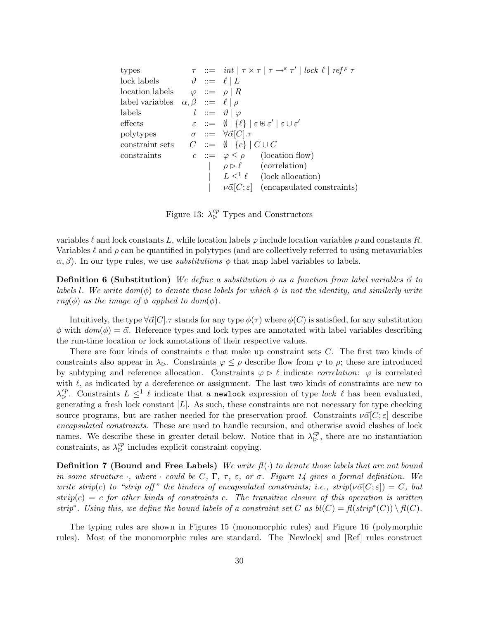types  $\tau := \int int \mid \tau \times \tau \mid \tau \to^{\varepsilon} \tau' \mid \text{lock } \ell \mid \text{ref}^{\rho} \tau$ lock labels  $\vartheta := \ell | L$ location labels  $\varphi ::= \rho | R$ label variables  $\alpha, \beta \ ::= \ell \mid \rho$ labels  $l ::= \vartheta | \varphi$ effects  $\varepsilon ::= \emptyset | \{\ell\} | \varepsilon \uplus \varepsilon' | \varepsilon \cup \varepsilon'$ polytypes  $\sigma := \forall \vec{\alpha}[C].\tau$ constraint sets  $C := \emptyset | \{c\} | C \cup C$ constraints  $c ::= \varphi \leq \rho$  (location flow)  $\int \rho \triangleright \ell$  (correlation)  $\left| \right| L \leq^{1} \ell$  (lock allocation)  $|\nu\vec{\alpha}|C;\varepsilon|$  (encapsulated constraints)

Figure 13:  $\lambda_{\rm b}^{cp}$  Types and Constructors

variables  $\ell$  and lock constants L, while location labels  $\varphi$  include location variables  $\rho$  and constants R. Variables  $\ell$  and  $\rho$  can be quantified in polytypes (and are collectively referred to using metavariables  $\alpha$ ,  $\beta$ ). In our type rules, we use *substitutions*  $\phi$  that map label variables to labels.

**Definition 6 (Substitution)** We define a substitution  $\phi$  as a function from label variables  $\vec{\alpha}$  to labels l. We write  $dom(\phi)$  to denote those labels for which  $\phi$  is not the identity, and similarly write rng( $\phi$ ) as the image of  $\phi$  applied to dom( $\phi$ ).

Intuitively, the type  $\forall \vec{\alpha}[C]$ . transformal type  $\phi(\tau)$  where  $\phi(C)$  is satisfied, for any substitution  $\phi$  with  $dom(\phi) = \vec{\alpha}$ . Reference types and lock types are annotated with label variables describing the run-time location or lock annotations of their respective values.

There are four kinds of constraints c that make up constraint sets  $C$ . The first two kinds of constraints also appear in  $\lambda_{\triangleright}$ . Constraints  $\varphi \leq \rho$  describe flow from  $\varphi$  to  $\rho$ ; these are introduced by subtyping and reference allocation. Constraints  $\varphi \triangleright \ell$  indicate *correlation*:  $\varphi$  is correlated with  $\ell$ , as indicated by a dereference or assignment. The last two kinds of constraints are new to  $\lambda_{\rm b}^{cp}$ . Constraints  $L \leq^1 \ell$  indicate that a newlock expression of type lock  $\ell$  has been evaluated, generating a fresh lock constant  $[L]$ . As such, these constraints are not necessary for type checking source programs, but are rather needed for the preservation proof. Constraints  $\nu\vec{\alpha}[C;\varepsilon]$  describe encapsulated constraints. These are used to handle recursion, and otherwise avoid clashes of lock names. We describe these in greater detail below. Notice that in  $\lambda_{\rm b}^{cp}$ , there are no instantiation constraints, as  $\lambda_{\rm b}^{cp}$  includes explicit constraint copying.

**Definition 7 (Bound and Free Labels)** We write  $f(\cdot)$  to denote those labels that are not bound in some structure  $\cdot$ , where  $\cdot$  could be C,  $\Gamma$ ,  $\tau$ ,  $\varepsilon$ , or  $\sigma$ . Figure 14 gives a formal definition. We write strip(c) to "strip off" the binders of encapsulated constraints; i.e.,  $strip(\nu\vec{\alpha}|C;\varepsilon|) = C$ , but  $strip(c) = c$  for other kinds of constraints c. The transitive closure of this operation is written strip<sup>\*</sup>. Using this, we define the bound labels of a constraint set C as  $bl(C) = fl(strip^*(C)) \setminus fl(C)$ .

The typing rules are shown in Figures 15 (monomorphic rules) and Figure 16 (polymorphic rules). Most of the monomorphic rules are standard. The [Newlock] and [Ref] rules construct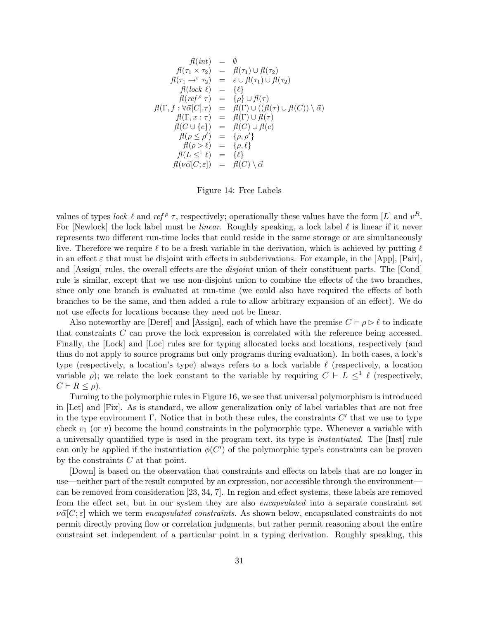$$
f(t) = \emptyset
$$
  
\n
$$
f(t) = \emptyset
$$
  
\n
$$
f(t) = \{f(t) \mid t \in \mathcal{F}(t)\}
$$
  
\n
$$
f(t) = \{f(t) \mid t \in \mathcal{F}(t)\}
$$
  
\n
$$
f(t) = \{f(t) \mid t \in \mathcal{F}(t)\}
$$
  
\n
$$
f(t) = \{f(t) \mid t \in \mathcal{F}(t)\}
$$
  
\n
$$
f(t) = \{f(t) \mid t \in \mathcal{F}(t)\}
$$
  
\n
$$
f(t) = \{f(t) \mid t \in \mathcal{F}(t)\}
$$
  
\n
$$
f(t) = \{f(t) \mid t \in \mathcal{F}(t)\}
$$
  
\n
$$
f(t) = \{f(t) \mid t \in \mathcal{F}(t)\}
$$
  
\n
$$
f(t) = \{f(t) \mid t \in \mathcal{F}(t)\}
$$
  
\n
$$
f(t) = \{f(t) \mid t \in \mathcal{F}(t)\}
$$
  
\n
$$
f(t) = \{f(t) \mid t \in \mathcal{F}(t)\}
$$
  
\n
$$
f(t) = \{f(t) \mid t \in \mathcal{F}(t)\}
$$
  
\n
$$
f(t) = \{f(t) \mid t \in \mathcal{F}(t)\}
$$
  
\n
$$
f(t) = \{f(t) \mid t \in \mathcal{F}(t)\}
$$
  
\n
$$
f(t) = \{f(t) \mid t \in \mathcal{F}(t)\}
$$

Figure 14: Free Labels

values of types lock  $\ell$  and ref  $\ell \tau$ , respectively; operationally these values have the form [L] and  $v^R$ . For [Newlock] the lock label must be *linear*. Roughly speaking, a lock label  $\ell$  is linear if it never represents two different run-time locks that could reside in the same storage or are simultaneously live. Therefore we require  $\ell$  to be a fresh variable in the derivation, which is achieved by putting  $\ell$ in an effect  $\varepsilon$  that must be disjoint with effects in subderivations. For example, in the [App], [Pair], and [Assign] rules, the overall effects are the *disjoint* union of their constituent parts. The [Cond] rule is similar, except that we use non-disjoint union to combine the effects of the two branches, since only one branch is evaluated at run-time (we could also have required the effects of both branches to be the same, and then added a rule to allow arbitrary expansion of an effect). We do not use effects for locations because they need not be linear.

Also noteworthy are [Deref] and [Assign], each of which have the premise  $C \vdash \rho \triangleright \ell$  to indicate that constraints C can prove the lock expression is correlated with the reference being accessed. Finally, the [Lock] and [Loc] rules are for typing allocated locks and locations, respectively (and thus do not apply to source programs but only programs during evaluation). In both cases, a lock's type (respectively, a location's type) always refers to a lock variable  $\ell$  (respectively, a location variable  $\rho$ ); we relate the lock constant to the variable by requiring  $C \vdash L \leq^{1} \ell$  (respectively,  $C \vdash R \leq \rho$ ).

Turning to the polymorphic rules in Figure 16, we see that universal polymorphism is introduced in [Let] and [Fix]. As is standard, we allow generalization only of label variables that are not free in the type environment  $\Gamma$ . Notice that in both these rules, the constraints  $C'$  that we use to type check  $v_1$  (or v) become the bound constraints in the polymorphic type. Whenever a variable with a universally quantified type is used in the program text, its type is instantiated. The [Inst] rule can only be applied if the instantiation  $\phi(C')$  of the polymorphic type's constraints can be proven by the constraints  $C$  at that point.

[Down] is based on the observation that constraints and effects on labels that are no longer in use—neither part of the result computed by an expression, nor accessible through the environment can be removed from consideration [23, 34, 7]. In region and effect systems, these labels are removed from the effect set, but in our system they are also encapsulated into a separate constraint set  $\nu\vec{\alpha}[C;\varepsilon]$  which we term encapsulated constraints. As shown below, encapsulated constraints do not permit directly proving flow or correlation judgments, but rather permit reasoning about the entire constraint set independent of a particular point in a typing derivation. Roughly speaking, this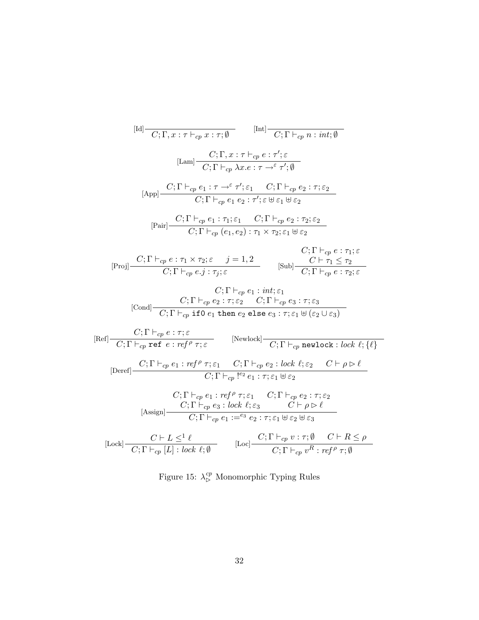$$
[Id] \frac{}{C; \Gamma, x : \tau \vdash_{\varphi} x : \tau; \emptyset} \qquad [Int] \frac{}{C; \Gamma \vdash_{\varphi} n : int; \emptyset}
$$
\n
$$
[Lam] \frac{}{C; \Gamma, x : \tau \vdash_{\varphi} e : \tau'; \varepsilon}{C; \Gamma \vdash_{\varphi} \lambda x.e : \tau \rightharpoonup^{\varepsilon} \tau'; \emptyset}
$$
\n
$$
[App] \frac{}{C; \Gamma \vdash_{\varphi} e_1 : \tau \rightharpoonup^{\varepsilon} \tau'; \varepsilon_1 \quad C; \Gamma \vdash_{\varphi} e_2 : \tau; \varepsilon_2}{C; \Gamma \vdash_{\varphi} e_1 e_2 : \tau'; \varepsilon \uplus \varepsilon_1 \uplus \varepsilon_2}
$$
\n
$$
[Pair] \frac{}{C; \Gamma \vdash_{\varphi} e_1 : \tau_1; \varepsilon_1 \quad C; \Gamma \vdash_{\varphi} e_2 : \tau_2; \varepsilon_2}{C; \Gamma \vdash_{\varphi} e_1 : \tau_1; \varepsilon_1 \quad C; \Gamma \vdash_{\varphi} e_2 : \tau_2; \varepsilon_2}
$$
\n
$$
[Proj] \frac{}{C; \Gamma \vdash_{\varphi} e : \tau_1 \times \tau_2; \varepsilon \quad j = 1, 2}{C; \Gamma \vdash_{\varphi} e_1; \tau_1; \varepsilon} \qquad [Sub] \frac{}{C \vdash \tau_1 \leq \tau_2}{C; \Gamma \vdash_{\varphi} e : \tau_1; \varepsilon}
$$
\n
$$
[Cond] \frac{}{C; \Gamma \vdash_{\varphi} e; \tau; \varepsilon_2 \quad C; \Gamma \vdash_{\varphi} e_3 : \tau; \varepsilon_3}{C; \Gamma \vdash_{\varphi} e_1 : \text{int}; \varepsilon_1 \quad [Sub] \frac{}{C \vdash \tau_1 \leq \tau_2}{C; \Gamma \vdash_{\varphi} e : \tau_2; \varepsilon}
$$
\n
$$
[Red] \frac{}{C; \Gamma \vdash_{\varphi} e : \tau; \varepsilon}{C; \Gamma \vdash_{\varphi} e : \text{ref} \rho \tau; \varepsilon} \qquad [Newlock] \frac{}{C; \Gamma
$$

Figure 15:  $\lambda_{\triangleright}^{cp}$  Monomorphic Typing Rules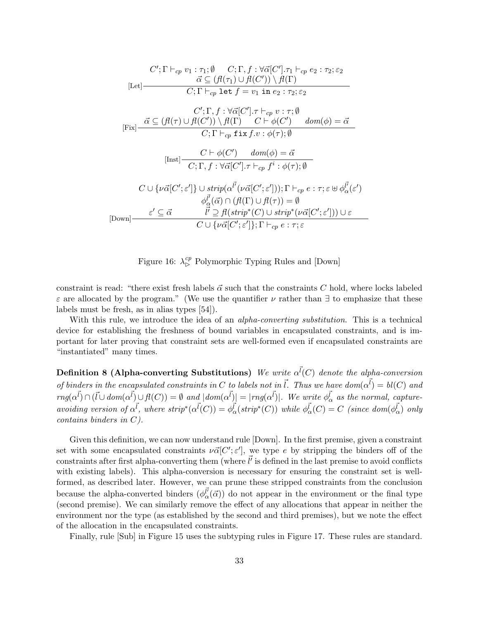$$
C'; \Gamma \vdash_{cp} v_1 : \tau_1; \emptyset \qquad C; \Gamma, f : \forall \vec{\alpha}[C'], \tau_1 \vdash_{cp} e_2 : \tau_2; \varepsilon_2
$$
\n[Let]\n
$$
\overrightarrow{\alpha} \subseteq (\mathcal{H}(\tau_1) \cup \mathcal{H}(C')) \setminus \mathcal{H}(\Gamma)
$$
\n
$$
C; \Gamma \vdash_{cp} \text{ let } f = v_1 \text{ in } e_2 : \tau_2; \varepsilon_2
$$
\n
$$
C'; \Gamma, f : \forall \vec{\alpha}[C'], \tau \vdash_{cp} v : \tau; \emptyset
$$
\n[Fix]\n
$$
\overrightarrow{\alpha} \subseteq (\mathcal{H}(\tau) \cup \mathcal{H}(C')) \setminus \mathcal{H}(\Gamma) \qquad C \vdash \phi(C') \qquad dom(\phi) = \overrightarrow{\alpha}
$$
\n
$$
C; \Gamma \vdash_{cp} \text{ fix } f.v : \phi(\tau); \emptyset
$$
\n[Inst]\n
$$
\overrightarrow{C}; \Gamma, f : \forall \vec{\alpha}[C'], \tau \vdash_{cp} f^i : \phi(\tau); \emptyset
$$
\n
$$
C \cup \{\nu \vec{\alpha}[C'; \varepsilon']\} \cup \text{strip}(\alpha^{\vec{U}}(\nu \vec{\alpha}[C'; \varepsilon'))); \Gamma \vdash_{cp} e : \tau; \varepsilon \uplus \phi^{\vec{U}}_{\alpha}(\varepsilon')
$$
\n
$$
\phi^{\vec{U}}_{\alpha}(\vec{\alpha}) \cap (\mathcal{H}(\Gamma) \cup \mathcal{H}(\tau)) = \emptyset
$$
\n[Down]\n
$$
\overrightarrow{\varepsilon} \subseteq \overrightarrow{\alpha} \qquad \overrightarrow{\vec{U}} \supseteq \mathcal{H}(\text{strip}^*(C) \cup \text{strip}^*(\nu \vec{\alpha}[C'; \varepsilon'))) \cup \varepsilon
$$
\n[Down]\n
$$
\overrightarrow{C} \cup \{\nu \vec{\alpha}[C'; \varepsilon']\}; \Gamma \vdash_{cp} e : \tau; \varepsilon
$$

Figure 16:  $\lambda_{\triangleright}^{cp}$  Polymorphic Typing Rules and [Down]

constraint is read: "there exist fresh labels  $\vec{\alpha}$  such that the constraints C hold, where locks labeled  $\varepsilon$  are allocated by the program." (We use the quantifier  $\nu$  rather than  $\exists$  to emphasize that these labels must be fresh, as in alias types [54]).

With this rule, we introduce the idea of an *alpha-converting substitution*. This is a technical device for establishing the freshness of bound variables in encapsulated constraints, and is important for later proving that constraint sets are well-formed even if encapsulated constraints are "instantiated" many times.

Definition 8 (Alpha-converting Substitutions) We write  $\alpha^{\vec{l}}(C)$  denote the alpha-conversion of binders in the encapsulated constraints in C to labels not in  $\vec{l}$ . Thus we have dom $(\alpha^{\vec{l}}) = bl(C)$  and  $rmg(\alpha^{\vec{l}}) \cap (\vec{l} \cup dom(\alpha^{\vec{l}}) \cup \vec{H}(C)) = \emptyset$  and  $|dom(\alpha^{\vec{l}})| = |rmg(\alpha^{\vec{l}})|$ . We write  $\phi_{\alpha}^{\vec{l}}$  as the normal, captureavoiding version of  $\alpha^{\vec{l}}$ , where  $strip^*(\alpha^{\vec{l}}(C)) = \phi^{\vec{l}}_{\alpha}(strip^*(C))$  while  $\phi^{\vec{l}}_{\alpha}(C) = C$  (since  $dom(\phi^{\vec{l}}_{\alpha})$  only contains binders in C).

Given this definition, we can now understand rule [Down]. In the first premise, given a constraint set with some encapsulated constraints  $\nu \vec{\alpha}$  | C';  $\varepsilon'$ |, we type e by stripping the binders off of the constraints after first alpha-converting them (where  $\vec{l'}$  is defined in the last premise to avoid conflicts with existing labels). This alpha-conversion is necessary for ensuring the constraint set is wellformed, as described later. However, we can prune these stripped constraints from the conclusion because the alpha-converted binders  $(\phi_{\alpha}^{\vec{l}'}(\vec{\alpha}))$  do not appear in the environment or the final type (second premise). We can similarly remove the effect of any allocations that appear in neither the environment nor the type (as established by the second and third premises), but we note the effect of the allocation in the encapsulated constraints.

Finally, rule [Sub] in Figure 15 uses the subtyping rules in Figure 17. These rules are standard.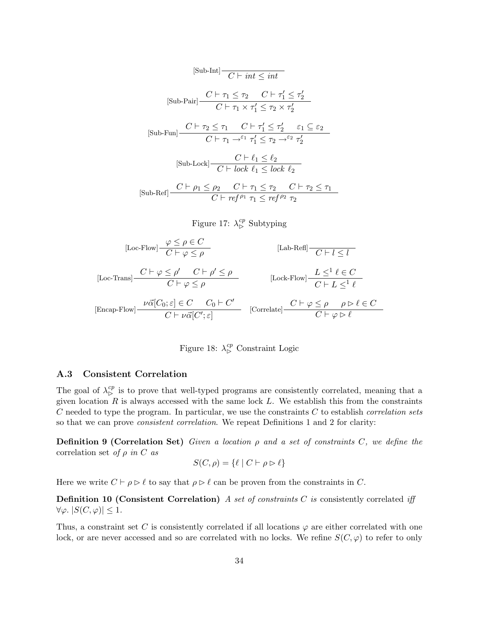$$
[\text{Sub-Int}] \frac{C \vdash \text{int} \leq \text{int}}{C \vdash \text{int} \leq \text{int}} \\
[\text{Sub-Pair}] \frac{C \vdash \tau_1 \leq \tau_2 \quad C \vdash \tau_1' \leq \tau_2'}{C \vdash \tau_1 \times \tau_1' \leq \tau_2 \times \tau_2'} \\
[\text{Sub-Fun}] \frac{C \vdash \tau_2 \leq \tau_1 \quad C \vdash \tau_1' \leq \tau_2' \quad \varepsilon_1 \subseteq \varepsilon_2}{C \vdash \tau_1 \rightarrow^{\varepsilon_1} \tau_1' \leq \tau_2 \rightarrow^{\varepsilon_2} \tau_2'} \\
[\text{Sub-Lock}] \frac{C \vdash \ell_1 \leq \ell_2}{C \vdash \text{lock } \ell_1 \leq \text{lock } \ell_2} \\
[\text{Sub-Ref}] \frac{C \vdash \rho_1 \leq \rho_2 \quad C \vdash \tau_1 \leq \tau_2 \quad C \vdash \tau_2 \leq \tau_1}{C \vdash \text{ref } \rho_1 \tau_1 \leq \text{ref } \rho_2 \tau_2}
$$

# Figure 17:  $\lambda_{\triangleright}^{cp}$  Subtyping

$$
[\text{Loc-Flow}] \frac{\varphi \le \rho \in C}{C \vdash \varphi \le \rho} \qquad [\text{Lab-Refl}] \frac{\neg C \vdash l \le l}{C \vdash l \le l}
$$
\n
$$
[\text{Loc-Trans}] \frac{C \vdash \varphi \le \rho' \quad C \vdash \rho' \le \rho}{C \vdash \varphi \le \rho} \qquad [\text{Lock-Flow}] \frac{L \le l \ell \in C}{C \vdash L \le l \ell}
$$
\n
$$
[\text{Encap-Flow}] \frac{\nu \vec{\alpha}[C_0; \varepsilon] \in C \quad C_0 \vdash C'}{C \vdash \nu \vec{\alpha}[C'; \varepsilon]} \qquad [\text{Correlate}] \frac{C \vdash \varphi \le \rho \quad \rho \triangleright \ell \in C}{C \vdash \varphi \triangleright \ell}
$$

Figure 18:  $\lambda_{\triangleright}^{cp}$  Constraint Logic

### A.3 Consistent Correlation

The goal of  $\lambda_{\rm b}^{cp}$  is to prove that well-typed programs are consistently correlated, meaning that a given location  $R$  is always accessed with the same lock  $L$ . We establish this from the constraints  $C$  needed to type the program. In particular, we use the constraints  $C$  to establish *correlation sets* so that we can prove consistent correlation. We repeat Definitions 1 and 2 for clarity:

**Definition 9 (Correlation Set)** Given a location  $\rho$  and a set of constraints C, we define the correlation set of  $\rho$  in C as

$$
S(C, \rho) = \{ \ell \mid C \vdash \rho \rhd \ell \}
$$

Here we write  $C \vdash \rho \triangleright \ell$  to say that  $\rho \triangleright \ell$  can be proven from the constraints in C.

**Definition 10 (Consistent Correlation)** A set of constraints  $C$  is consistently correlated iff  $\forall \varphi. |S(C, \varphi)| \leq 1.$ 

Thus, a constraint set C is consistently correlated if all locations  $\varphi$  are either correlated with one lock, or are never accessed and so are correlated with no locks. We refine  $S(C, \varphi)$  to refer to only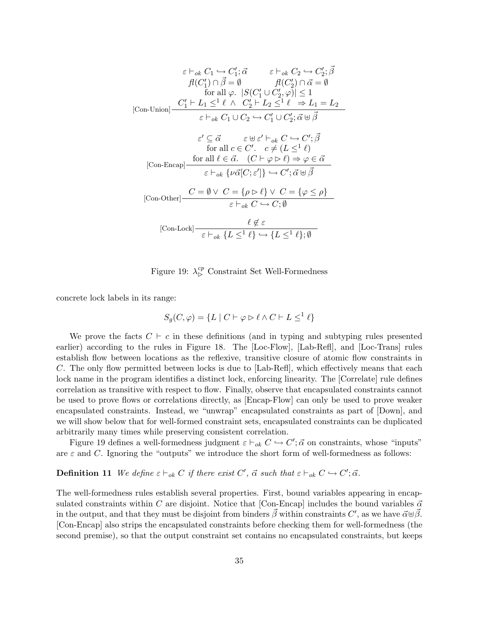$$
\varepsilon \vdash_{ok} C_{1} \hookrightarrow C'_{1}; \vec{\alpha} \qquad \varepsilon \vdash_{ok} C_{2} \hookrightarrow C'_{2}; \vec{\beta}
$$
\n
$$
\begin{array}{c} \n\mathcal{H}(C'_{1}) \cap \vec{\beta} = \emptyset \qquad \mathcal{H}(C'_{2}) \cap \vec{\alpha} = \emptyset \\ \n\text{for all } \varphi. \ |S(C'_{1} \cup C'_{2}, \varphi)| \leq 1 \\ \n\text{[Con-Union]} \quad \frac{C'_{1} \vdash L_{1} \leq^{1} \ell \ \wedge \ C'_{2} \vdash L_{2} \leq^{1} \ell \ \Rightarrow L_{1} = L_{2} }{\varepsilon \vdash_{ok} C_{1} \cup C_{2} \rightarrow C'_{1} \cup C'_{2}; \vec{\alpha} \uplus \vec{\beta}} \n\end{array}
$$
\n
$$
\varepsilon' \subseteq \vec{\alpha} \qquad \varepsilon \uplus \varepsilon' \vdash_{ok} C \hookrightarrow C'; \vec{\beta}
$$
\n
$$
\text{for all } c \in C'. \quad c \neq (L \leq^{1} \ell)
$$
\n
$$
\text{[Con-Encap]} \quad \frac{\text{for all } \ell \in \vec{\alpha}. \quad (C \vdash \varphi \rhd \ell) \Rightarrow \varphi \in \vec{\alpha}}{\varepsilon \vdash_{ok} \{\nu \vec{\alpha}[C; \varepsilon']\} \hookrightarrow C'; \vec{\alpha} \uplus \vec{\beta}}
$$
\n
$$
\text{[Con-Other]} \quad \frac{C = \emptyset \lor C = \{\rho \rhd \ell\} \lor C = \{\varphi \leq \rho\}}{\varepsilon \vdash_{ok} C \hookrightarrow C; \emptyset}
$$
\n
$$
\text{[Con-Lock]} \quad \frac{\ell \notin \varepsilon}{\varepsilon \vdash_{ok} \{L \leq^{1} \ell\} \hookrightarrow \{L \leq^{1} \ell\}; \emptyset}
$$

Figure 19:  $\lambda_{\triangleright}^{cp}$  Constraint Set Well-Formedness

concrete lock labels in its range:

$$
S_g(C, \varphi) = \{ L \mid C \vdash \varphi \rhd \ell \land C \vdash L \le^1 \ell \}
$$

We prove the facts  $C \vdash c$  in these definitions (and in typing and subtyping rules presented earlier) according to the rules in Figure 18. The [Loc-Flow], [Lab-Refl], and [Loc-Trans] rules establish flow between locations as the reflexive, transitive closure of atomic flow constraints in C. The only flow permitted between locks is due to [Lab-Refl], which effectively means that each lock name in the program identifies a distinct lock, enforcing linearity. The [Correlate] rule defines correlation as transitive with respect to flow. Finally, observe that encapsulated constraints cannot be used to prove flows or correlations directly, as [Encap-Flow] can only be used to prove weaker encapsulated constraints. Instead, we "unwrap" encapsulated constraints as part of [Down], and we will show below that for well-formed constraint sets, encapsulated constraints can be duplicated arbitrarily many times while preserving consistent correlation.

Figure 19 defines a well-formedness judgment  $\varepsilon \vdash_{ok} C \hookrightarrow C'; \vec{\alpha}$  on constraints, whose "inputs" are  $\varepsilon$  and C. Ignoring the "outputs" we introduce the short form of well-formedness as follows:

# **Definition 11** We define  $\varepsilon \vdash_{ok} C$  if there exist  $C'$ ,  $\vec{\alpha}$  such that  $\varepsilon \vdash_{ok} C \hookrightarrow C'; \vec{\alpha}$ .

The well-formedness rules establish several properties. First, bound variables appearing in encapsulated constraints within C are disjoint. Notice that [Con-Encap] includes the bound variables  $\vec{\alpha}$ in the output, and that they must be disjoint from binders  $\vec{\beta}$  within constraints C', as we have  $\vec{\alpha} \oplus \vec{\beta}$ . [Con-Encap] also strips the encapsulated constraints before checking them for well-formedness (the second premise), so that the output constraint set contains no encapsulated constraints, but keeps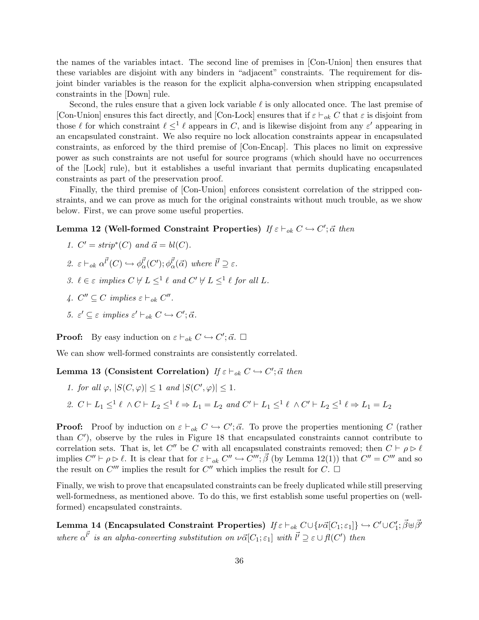the names of the variables intact. The second line of premises in [Con-Union] then ensures that these variables are disjoint with any binders in "adjacent" constraints. The requirement for disjoint binder variables is the reason for the explicit alpha-conversion when stripping encapsulated constraints in the [Down] rule.

Second, the rules ensure that a given lock variable  $\ell$  is only allocated once. The last premise of [Con-Union] ensures this fact directly, and [Con-Lock] ensures that if  $\varepsilon \vdash_{ok} C$  that  $\varepsilon$  is disjoint from those  $\ell$  for which constraint  $\ell \leq^1 \ell$  appears in C, and is likewise disjoint from any  $\varepsilon'$  appearing in an encapsulated constraint. We also require no lock allocation constraints appear in encapsulated constraints, as enforced by the third premise of [Con-Encap]. This places no limit on expressive power as such constraints are not useful for source programs (which should have no occurrences of the [Lock] rule), but it establishes a useful invariant that permits duplicating encapsulated constraints as part of the preservation proof.

Finally, the third premise of [Con-Union] enforces consistent correlation of the stripped constraints, and we can prove as much for the original constraints without much trouble, as we show below. First, we can prove some useful properties.

# Lemma 12 (Well-formed Constraint Properties) If  $\varepsilon \vdash_{ok} C \hookrightarrow C'; \vec{\alpha}$  then

1. 
$$
C' = strip^*(C)
$$
 and  $\vec{\alpha} = bl(C)$ .

- 2.  $\varepsilon \vdash_{ok} \alpha^{\vec{l'}}(C) \hookrightarrow \phi^{\vec{l'}}_{\alpha}(C'); \phi^{\vec{l'}}_{\alpha}(\vec{\alpha})$  where  $\vec{l'} \supseteq \varepsilon$ .
- 3.  $\ell \in \varepsilon$  implies  $C \not\vdash L \leq^1 \ell$  and  $C' \not\vdash L \leq^1 \ell$  for all L.
- 4.  $C'' \subseteq C$  implies  $\varepsilon \vdash_{ok} C''$ .
- 5.  $\varepsilon' \subseteq \varepsilon$  implies  $\varepsilon' \vdash_{ok} C \hookrightarrow C'; \vec{\alpha}.$

**Proof:** By easy induction on  $\varepsilon \vdash_{ok} C \hookrightarrow C'; \vec{\alpha}. \square$ 

We can show well-formed constraints are consistently correlated.

Lemma 13 (Consistent Correlation) If  $\varepsilon \vdash_{ok} C \hookrightarrow C'; \vec{\alpha}$  then

- 1. for all  $\varphi$ ,  $|S(C, \varphi)| \leq 1$  and  $|S(C', \varphi)| \leq 1$ .
- 2.  $C \vdash L_1 \leq^1 \ell \land C \vdash L_2 \leq^1 \ell \Rightarrow L_1 = L_2$  and  $C' \vdash L_1 \leq^1 \ell \land C' \vdash L_2 \leq^1 \ell \Rightarrow L_1 = L_2$

**Proof:** Proof by induction on  $\varepsilon \vdash_{ok} C \hookrightarrow C'; \vec{\alpha}$ . To prove the properties mentioning C (rather than  $C'$ ), observe by the rules in Figure 18 that encapsulated constraints cannot contribute to correlation sets. That is, let C'' be C with all encapsulated constraints removed; then  $C \vdash \rho \triangleright \ell$ implies  $C'' \vdash \rho \rhd \ell$ . It is clear that for  $\varepsilon \vdash_{ok} C'' \hookrightarrow C'''$ ;  $\vec{\beta}$  (by Lemma 12(1)) that  $C'' = C'''$  and so the result on  $C'''$  implies the result for  $C''$  which implies the result for  $C$ .

Finally, we wish to prove that encapsulated constraints can be freely duplicated while still preserving well-formedness, as mentioned above. To do this, we first establish some useful properties on (wellformed) encapsulated constraints.

 ${\bf Lemma~14}$  (Encapsulated Constraint Properties)  $\mathit{If}~\varepsilon \vdash_{ok} C \cup \{\nu \vec{\alpha}[C_1;\varepsilon_1]\} \hookrightarrow C' \cup C_1'; \vec{\beta} \uplus \vec{\beta'}$ where  $\alpha^{l'}$  is an alpha-converting substitution on  $\nu\vec{\alpha}[C_1;\varepsilon_1]$  with  $l' \supseteq \varepsilon \cup \vec{\mu}(C')$  then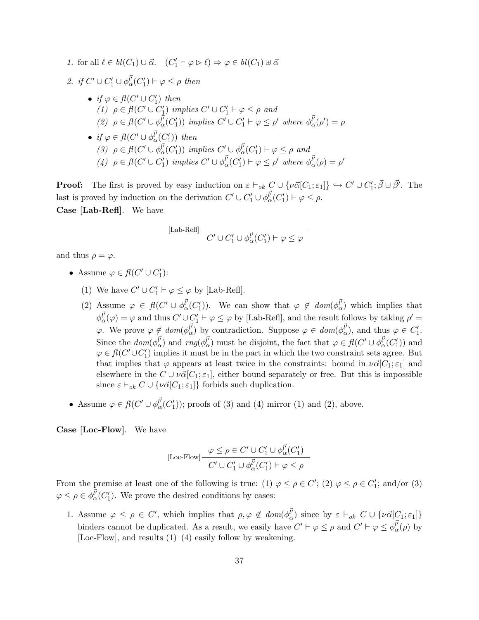1. for all  $\ell \in bl(C_1) \cup \vec{\alpha}$ .  $(C'_1 \vdash \varphi \rhd \ell) \Rightarrow \varphi \in bl(C_1) \uplus \vec{\alpha}$ 

2. if  $C' \cup C_1' \cup \phi_\alpha^{\vec{l'}}(C_1') \vdash \varphi \leq \rho$  then

- if  $\varphi \in \mathit{fl}(C' \cup C'_1)$  then (1)  $\rho \in \mathit{fl}(C' \cup C'_1)$  implies  $C' \cup C'_1 \vdash \varphi \leq \rho$  and (2)  $\rho \in \text{fl}(C' \cup \phi_{\alpha}^{\vec{l'}}(C'_1))$  implies  $C' \cup C'_1 \vdash \varphi \leq \rho'$  where  $\phi_{\alpha}^{\vec{l'}}(\rho') = \rho$
- if  $\varphi \in \mathit{fl}(C' \cup \phi_{\alpha}^{\vec{l'}}(C'_1))$  then (3)  $\rho \in \mathit{fl}(C' \cup \phi_{\alpha}^{\vec{l'}}(C'_1))$  implies  $C' \cup \phi_{\alpha}^{\vec{l'}}(C'_1) \vdash \varphi \leq \rho$  and (4)  $\rho \in \mathit{fl}(C' \cup C'_1)$  implies  $C' \cup \phi_\alpha^{\vec{l'}}(C'_1) \vdash \varphi \leq \rho'$  where  $\phi_\alpha^{\vec{l'}}(\rho) = \rho'$

**Proof:** The first is proved by easy induction on  $\varepsilon \vdash_{ok} C \cup \{ \nu \vec{\alpha}[C_1; \varepsilon_1] \} \hookrightarrow C' \cup C'_1; \vec{\beta} \uplus \vec{\beta'}$ . The last is proved by induction on the derivation  $C' \cup C'_1 \cup \phi_\alpha^{l'}(C'_1) \vdash \varphi \leq \rho$ . Case [Lab-Refl]. We have

$$
[\operatorname{Lab-Refl}] \frac{\overline{C'} \cup C'_1 \cup \phi_\alpha^{\vec{l'}}(C'_1) \vdash \varphi \leq \varphi}{}
$$

and thus  $\rho = \varphi$ .

- Assume  $\varphi \in \mathit{fl}(C' \cup C'_1)$ :
	- (1) We have  $C' \cup C'_1 \vdash \varphi \leq \varphi$  by [Lab-Refl].
	- (2) Assume  $\varphi \in \mathit{fl}(C' \cup \phi_{\alpha}^{\vec{l'}}(C'_1))$ . We can show that  $\varphi \notin \mathit{dom}(\phi_{\alpha}^{\vec{l'}})$  which implies that  $\phi_{\alpha}^{\vec{l'}}(\varphi) = \varphi$  and thus  $C' \cup C'_1 \vdash \varphi \leq \varphi$  by [Lab-Refl], and the result follows by taking  $\rho' =$  $\varphi$ . We prove  $\varphi \notin dom(\phi_{\alpha}^{\vec{l'}})$  by contradiction. Suppose  $\varphi \in dom(\phi_{\alpha}^{\vec{l'}})$ , and thus  $\varphi \in C'_1$ . Since the  $dom(\phi_{\alpha}^{l'}')$  and  $rng(\phi_{\alpha}^{l'}')$  must be disjoint, the fact that  $\varphi \in fl(C' \cup \phi_{\alpha}^{l'}(C'_1))$  and  $\varphi \in \mathit{fl}(C' \cup C'_1)$  implies it must be in the part in which the two constraint sets agree. But that implies that  $\varphi$  appears at least twice in the constraints: bound in  $\nu\vec{\alpha}[C_1;\varepsilon_1]$  and elsewhere in the  $C \cup \nu \vec{\alpha}[C_1; \varepsilon_1]$ , either bound separately or free. But this is impossible since  $\varepsilon \vdash_{ok} C \cup {\{\nu\vec{\alpha}[C_1;\varepsilon_1]\}}$  forbids such duplication.
- Assume  $\varphi \in \mathit{fl}(C' \cup \phi_{\alpha}^{\vec{l'}}(C'_1));$  proofs of (3) and (4) mirror (1) and (2), above.

Case [Loc-Flow]. We have

$$
[\text{Loc-Flow}] \frac{\varphi \le \rho \in C' \cup C'_1 \cup \phi_{\alpha}^{\vec{l'}}(C'_1)}{C' \cup C'_1 \cup \phi_{\alpha}^{\vec{l'}}(C'_1) \vdash \varphi \le \rho}
$$

From the premise at least one of the following is true: (1)  $\varphi \leq \rho \in C'$ ; (2)  $\varphi \leq \rho \in C'$ ; and/or (3)  $\varphi \leq \rho \in \phi_{\alpha}^{\vec{l'}}(C'_1)$ . We prove the desired conditions by cases:

1. Assume  $\varphi \leq \rho \in C'$ , which implies that  $\rho, \varphi \notin dom(\phi_{\alpha}^{\vec{l}})$  since by  $\varepsilon \vdash_{ok} C \cup \{\nu \vec{\alpha}[C_1; \varepsilon_1]\}$ binders cannot be duplicated. As a result, we easily have  $C' \vdash \varphi \leq \rho$  and  $C' \vdash \varphi \leq \phi_{\alpha}^{l'}(\rho)$  by [Loc-Flow], and results  $(1)$ – $(4)$  easily follow by weakening.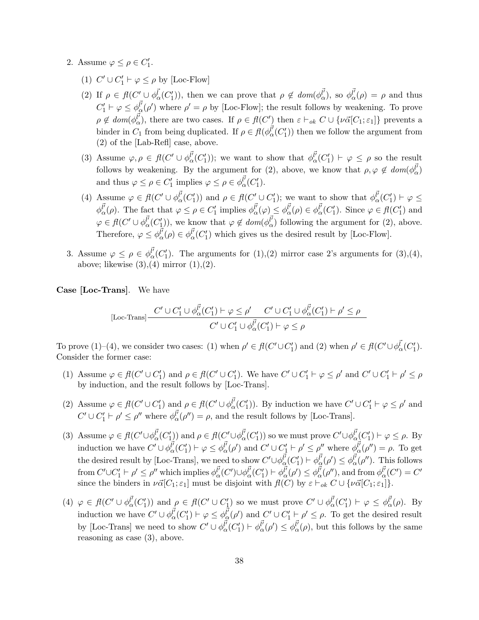- 2. Assume  $\varphi \leq \rho \in C'_1$ .
	- (1)  $C' \cup C'_1 \vdash \varphi \le \rho$  by [Loc-Flow]
	- (2) If  $\rho \in \mathcal{H}(C' \cup \phi_{\alpha}^{\vec{l}}(C'_{1})),$  then we can prove that  $\rho \notin dom(\phi_{\alpha}^{\vec{l}}),$  so  $\phi_{\alpha}^{\vec{l}}(\rho) = \rho$  and thus  $C'_1 \vdash \varphi \leq \phi_{\alpha}^{\vec{l}}(\rho')$  where  $\rho' = \rho$  by [Loc-Flow]; the result follows by weakening. To prove  $\rho \notin dom(\phi_{\alpha}^{\vec{l'}}),$  there are two cases. If  $\rho \in fl(C')$  then  $\varepsilon \vdash_{ok} C \cup \{\nu \vec{\alpha}[C_1;\varepsilon_1]\}$  prevents a binder in  $C_1$  from being duplicated. If  $\rho \in \mathcal{H}(\phi_\alpha^{l'}(C_1'))$  then we follow the argument from (2) of the [Lab-Refl] case, above.
	- (3) Assume  $\varphi, \rho \in \mathcal{H}(C' \cup \phi_{\alpha}^{\vec{l'}}(C'_1));$  we want to show that  $\phi_{\alpha}^{\vec{l'}}(C'_1) \vdash \varphi \leq \rho$  so the result follows by weakening. By the argument for (2), above, we know that  $\rho, \varphi \notin \text{dom}(\phi_{\alpha}^{\vec{l'}})$ and thus  $\varphi \leq \rho \in C'_1$  implies  $\varphi \leq \rho \in \phi_\alpha^{l'}(C'_1)$ .
	- (4) Assume  $\varphi \in \mathit{fl}(C' \cup \phi_{\alpha}^{\vec{l'}}(C'_1))$  and  $\rho \in \mathit{fl}(C' \cup C'_1)$ ; we want to show that  $\phi_{\alpha}^{\vec{l'}}(C'_1) \vdash \varphi \leq$  $\phi_{\alpha}^{\vec{l}'}(\rho)$ . The fact that  $\varphi \leq \rho \in C'_1$  implies  $\phi_{\alpha}^{\vec{l}'}(\varphi) \leq \phi_{\alpha}^{\vec{l}'}(\rho) \in \phi_{\alpha}^{\vec{l}'}(C'_1)$ . Since  $\varphi \in \mathit{fl}(C'_1)$  and  $\varphi \in \mathit{fl}(C' \cup \phi_{\alpha}^{\vec{l'}}(C'_1)),$  we know that  $\varphi \notin \mathit{dom}(\phi_{\alpha}^{\vec{l'}})$  following the argument for (2), above. Therefore,  $\varphi \leq \phi_{\alpha}^{l'}(\rho) \in \phi_{\alpha}^{l'}(C'_{1})$  which gives us the desired result by [Loc-Flow].
- 3. Assume  $\varphi \leq \rho \in \phi_{\alpha}^{\vec{l'}}(C'_1)$ . The arguments for  $(1),(2)$  mirror case 2's arguments for  $(3),(4)$ , above; likewise  $(3),(4)$  mirror  $(1),(2)$ .

Case [Loc-Trans]. We have

[Loc-Trans] 
$$
\frac{C' \cup C'_1 \cup \phi_{\alpha}^{l'}(C'_1) \vdash \varphi \leq \rho' \quad C' \cup C'_1 \cup \phi_{\alpha}^{l'}(C'_1) \vdash \rho' \leq \rho}{C' \cup C'_1 \cup \phi_{\alpha}^{l'}(C'_1) \vdash \varphi \leq \rho}
$$

To prove  $(1)$ – $(4)$ , we consider two cases:  $(1)$  when  $\rho' \in fl(C' \cup C'_1)$  and  $(2)$  when  $\rho' \in fl(C' \cup \phi_{\alpha}^{\vec{l}}(C'_1)$ . Consider the former case:

- (1) Assume  $\varphi \in \mathcal{H}(C' \cup C'_1)$  and  $\rho \in \mathcal{H}(C' \cup C'_1)$ . We have  $C' \cup C'_1 \vdash \varphi \leq \rho'$  and  $C' \cup C'_1 \vdash \rho' \leq \rho'$ by induction, and the result follows by [Loc-Trans].
- (2) Assume  $\varphi \in \mathcal{H}(C' \cup C'_1)$  and  $\rho \in \mathcal{H}(C' \cup \phi^{\vec{l'}}_{{\alpha}}(C'_1))$ . By induction we have  $C' \cup C'_1 \vdash \varphi \leq {\rho'}$  and  $C' \cup C'_{1} \vdash \rho' \leq \rho''$  where  $\phi_{\alpha}^{\vec{l'}}(\rho'') = \rho$ , and the result follows by [Loc-Trans].
- (3) Assume  $\varphi \in \mathcal{H}(C' \cup \phi_{\alpha}^{\vec{l'}}(C'_1))$  and  $\rho \in \mathcal{H}(C' \cup \phi_{\alpha}^{\vec{l'}}(C'_1))$  so we must prove  $C' \cup \phi_{\alpha}^{\vec{l'}}(C'_1) \vdash \varphi \leq \rho$ . By induction we have  $C' \cup \phi_{\alpha}^{\vec{l'}}(C'_1) \vdash \varphi \leq \phi_{\alpha}^{\vec{l'}}(\rho')$  and  $C' \cup C'_1 \vdash \rho' \leq \rho''$  where  $\phi_{\alpha}^{\vec{l'}}(\rho'') = \rho$ . To get the desired result by [Loc-Trans], we need to show  $C' \cup \phi_{\alpha}^{\vec{l'}}(C'_1) \vdash \phi_{\alpha}^{\vec{l'}}(\rho') \leq \phi_{\alpha}^{\vec{l'}}(\rho'')$ . This follows from  $C' \cup C'_1 \vdash \rho' \leq \rho''$  which implies  $\phi^{\vec{l'}}_{\alpha}(C') \cup \phi^{\vec{l'}}_{\alpha}(C'_1) \vdash \phi^{\vec{l'}}_{\alpha}(\rho') \leq \phi^{\vec{l'}}_{\alpha}(\rho'')$ , and from  $\phi^{\vec{l'}}_{\alpha}(C') = C'$ since the binders in  $\nu\vec{\alpha}[C_1;\varepsilon_1]$  must be disjoint with  $f(C)$  by  $\varepsilon \vdash_{ok} C \cup {\nu\vec{\alpha}[C_1;\varepsilon_1]}$ .
- (4)  $\varphi \in \mathcal{H}(C' \cup \phi_{\alpha}^{\vec{l'}}(C'_1))$  and  $\rho \in \mathcal{H}(C' \cup C'_1)$  so we must prove  $C' \cup \phi_{\alpha}^{\vec{l'}}(C'_1) \vdash \varphi \leq \phi_{\alpha}^{\vec{l'}}(\rho)$ . By induction we have  $C' \cup \phi_{\alpha}^{\vec{l'}}(C'_1) \vdash \varphi \leq \phi_{\alpha}^{\vec{l'}}(\rho')$  and  $C' \cup C'_1 \vdash \rho' \leq \rho$ . To get the desired result by [Loc-Trans] we need to show  $C' \cup \phi_{\alpha}^{\vec{l'}}(C'_1) \vdash \phi_{\alpha}^{\vec{l'}}(\rho') \leq \phi_{\alpha}^{\vec{l'}}(\rho)$ , but this follows by the same reasoning as case (3), above.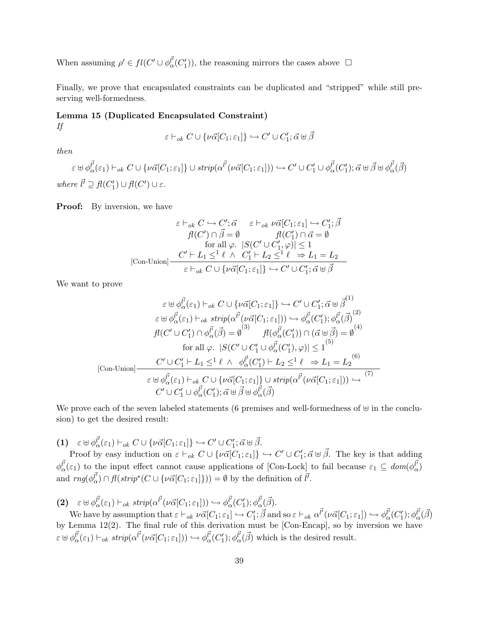When assuming  $\rho' \in fl(C' \cup \phi_{\alpha}^{\vec{l'}}(C'_1)),$  the reasoning mirrors the cases above  $\Box$ 

Finally, we prove that encapsulated constraints can be duplicated and "stripped" while still preserving well-formedness.

### Lemma 15 (Duplicated Encapsulated Constraint) If

$$
\varepsilon \vdash_{ok} C \cup \{\nu \vec{\alpha}[C_1;\varepsilon_1]\} \hookrightarrow C' \cup C'_1;\vec{\alpha} \uplus \vec{\beta}
$$

then

 $\varepsilon \uplus \phi_\alpha^{\vec{l'}}(\varepsilon_1) \vdash_{ok} C \cup \{\nu \vec{\alpha}[C_1;\varepsilon_1]\} \cup strip(\alpha^{\vec{l'}}(\nu \vec{\alpha}[C_1;\varepsilon_1])) \hookrightarrow C' \cup C'_1 \cup \phi^{\vec{l'}}_\alpha(C'_1) ; \vec{\alpha} \uplus \vec{\beta} \uplus \phi_\alpha^{\vec{l'}}(\vec{\beta})$ where  $\vec{l'} \supseteq \mathcal{H}(C'_1) \cup \mathcal{H}(C') \cup \varepsilon$ .

**Proof:** By inversion, we have

$$
\varepsilon \vdash_{ok} C \hookrightarrow C'; \vec{\alpha} \qquad \varepsilon \vdash_{ok} \nu \vec{\alpha}[C_1; \varepsilon_1] \hookrightarrow C'_1; \vec{\beta}
$$
  
\n
$$
\vec{f}(C') \cap \vec{\beta} = \emptyset \qquad \qquad \vec{f}(C'_1) \cap \vec{\alpha} = \emptyset
$$
  
\nfor all  $\varphi$ .  $|S(C' \cup C'_1, \varphi)| \le 1$   
\n[Con-Union] 
$$
\frac{C' \vdash L_1 \le 1 \ \ell \ \land \ C'_1 \vdash L_2 \le 1 \ \ell \ \Rightarrow L_1 = L_2}{\varepsilon \vdash_{ok} C \cup \{\nu \vec{\alpha}[C_1; \varepsilon_1]\} \hookrightarrow C' \cup C'_1; \vec{\alpha} \uplus \vec{\beta}}
$$

We want to prove

$$
\varepsilon \oplus \phi_{\alpha}^{\vec{l}}(\varepsilon_{1}) \vdash_{ok} C \cup \{\nu \vec{\alpha}[C_{1}; \varepsilon_{1}]\} \hookrightarrow C' \cup C'_{1}; \vec{\alpha} \oplus \vec{\beta}^{(1)}
$$

$$
\varepsilon \oplus \phi_{\alpha}^{\vec{l}}(\varepsilon_{1}) \vdash_{ok} strip(\alpha^{\vec{l}}(\nu \vec{\alpha}[C_{1}; \varepsilon_{1}])) \hookrightarrow \phi_{\alpha}^{\vec{l}}(C'_{1}); \phi_{\alpha}^{\vec{l}}(\vec{\beta})^{(2)}
$$

$$
f(C' \cup C'_{1}) \cap \phi_{\alpha}^{\vec{l}}(\vec{\beta}) = \emptyset \qquad f(\phi_{\alpha}^{\vec{l}}(C'_{1})) \cap (\vec{\alpha} \oplus \vec{\beta}) = \emptyset^{(4)}
$$
for all  $\varphi$ .  $|S(C' \cup C'_{1} \cup \phi_{\alpha}^{\vec{l}}(C'_{1}), \varphi)| \leq 1^{(5)}$ 
$$
C' \cup C'_{1} \vdash L_{1} \leq^{\perp} \ell \ \wedge \ \phi_{\alpha}^{\vec{l}}(C'_{1}) \vdash L_{2} \leq^{\perp} \ell \ \Rightarrow L_{1} = L_{2}^{(6)}
$$
[Con-Union] 
$$
\varepsilon \oplus \phi_{\alpha}^{\vec{l}}(\varepsilon_{1}) \vdash_{ok} C \cup \{\nu \vec{\alpha}[C_{1}; \varepsilon_{1}]\} \cup strip(\alpha^{\vec{l}}(\nu \vec{\alpha}[C_{1}; \varepsilon_{1}])) \hookrightarrow \qquad (7)
$$

$$
C' \cup C'_{1} \cup \phi_{\alpha}^{\vec{l}}(C'_{1}); \vec{\alpha} \oplus \vec{\beta} \oplus \phi_{\alpha}^{\vec{l}}(\vec{\beta})
$$

We prove each of the seven labeled statements (6 premises and well-formedness of  $\uplus$  in the conclusion) to get the desired result:

(1)  $\varepsilon \boxplus \phi_{\alpha}^{\vec{l}}(\varepsilon_1) \vdash_{ok} C \cup \{\nu\vec{\alpha}[C_1;\varepsilon_1]\} \hookrightarrow C' \cup C'_1; \vec{\alpha} \boxplus \vec{\beta}.$ 

Proof by easy induction on  $\varepsilon \vdash_{ok} C \cup \{\nu \vec{\alpha}[C_1;\varepsilon_1]\} \hookrightarrow C' \cup C'_1; \vec{\alpha} \uplus \vec{\beta}$ . The key is that adding  $\phi_{\alpha}^{\vec{l}}(\varepsilon_1)$  to the input effect cannot cause applications of [Con-Lock] to fail because  $\varepsilon_1 \subseteq dom(\phi_{\alpha}^{\vec{l}})$ and  $rng(\phi_{\alpha}^{\vec{l'}}) \cap fl(strip^*(C \cup \{ \nu\vec{\alpha}[C_1;\varepsilon_1]\})) = \emptyset$  by the definition of  $\vec{l'}$ .

(2) 
$$
\varepsilon \oplus \phi_{\alpha}^{\vec{l}}(\varepsilon_1) \vdash_{ok} strip(\alpha^{\vec{l}}(\nu \vec{\alpha}[C_1; \varepsilon_1])) \hookrightarrow \phi_{\alpha}^{\vec{l}}(C'_1); \phi_{\alpha}^{\vec{l}}(\vec{\beta}).
$$
  
We have by assumption that  $\varepsilon \vdash_{\varepsilon} \psi_{\alpha}^{\vec{\alpha}}(C_1; \varepsilon_1) \in \mathcal{S}'$ , and

We have by assumption that  $\varepsilon \vdash_{ok} \nu \vec{\alpha}[C_1; \varepsilon_1] \hookrightarrow C'_1; \vec{\beta}$  and so  $\varepsilon \vdash_{ok} \alpha^{\vec{l'}}(\nu \vec{\alpha}[C_1; \varepsilon_1]) \hookrightarrow \phi^{\vec{l'}}_{\alpha}(C'_1); \phi^{\vec{l'}}_{\alpha}(\vec{\beta})$ by Lemma 12(2). The final rule of this derivation must be [Con-Encap], so by inversion we have  $\varepsilon \uplus \phi_{\alpha}^{\vec{l'}}(\varepsilon_1) \vdash_{ok} strip(\alpha^{\vec{l'}}(\nu \vec{\alpha}[C_1; \varepsilon_1])) \hookrightarrow \phi_{\alpha}^{\vec{l'}}(C'_1); \phi_{\alpha}^{\vec{l'}}(\vec{\beta})$  which is the desired result.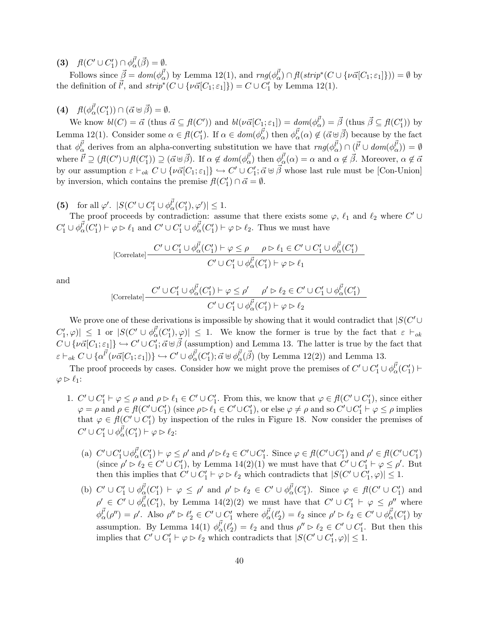(3)  $f(C' \cup C'_1) \cap \phi_\alpha^{l'}(\vec{\beta}) = \emptyset.$ 

Follows since  $\vec{\beta} = dom(\phi_{\alpha}^{\vec{l'}})$  by Lemma 12(1), and  $rng(\phi_{\alpha}^{\vec{l'}}) \cap fl(strip^*(C \cup {\nu\vec{\alpha}}[C_1; \epsilon_1])) = \emptyset$  by the definition of  $\vec{l'}$ , and  $strip^*(C \cup \{\nu\vec{\alpha}[C_1;\varepsilon_1]\}) = C \cup C'_1$  by Lemma 12(1).

(4) 
$$
f(\phi_{\alpha}^{\vec{l'}}(C'_1)) \cap (\vec{\alpha} \oplus \vec{\beta}) = \emptyset.
$$

We know  $bl(C) = \vec{\alpha}$  (thus  $\vec{\alpha} \subseteq fl(C')$ ) and  $bl(\nu \vec{\alpha}[C_1; \epsilon_1]) = dom(\phi_{\alpha}^{\vec{\mu}}) = \vec{\beta}$  (thus  $\vec{\beta} \subseteq fl(C'_1)$ ) by Lemma 12(1). Consider some  $\alpha \in \mathcal{H}(C'_1)$ . If  $\alpha \in dom(\phi_{\alpha}^{\vec{l'}})$  then  $\phi_{\alpha}^{\vec{l'}}(\alpha) \notin (\vec{\alpha} \oplus \vec{\beta})$  because by the fact that  $\phi_{\alpha}^{\vec{l'}}$  derives from an alpha-converting substitution we have that  $rng(\phi_{\alpha}^{\vec{l'}}) \cap (\vec{l'} \cup dom(\phi_{\alpha}^{\vec{l'}})) = \emptyset$ where  $\vec{l'} \supseteq (fl(C') \cup fl(C'_1)) \supseteq (\vec{\alpha} \boxplus \vec{\beta})$ . If  $\alpha \notin dom(\phi_{\alpha}^{\vec{l'}})$  then  $\phi_{\alpha}^{\vec{l'}}(\alpha) = \alpha$  and  $\alpha \notin \vec{\beta}$ . Moreover,  $\alpha \notin \vec{\alpha}$ by our assumption  $\varepsilon \vdash_{ok} C \cup \{\nu \vec{\alpha}[C_1;\varepsilon_1]\} \hookrightarrow C' \cup C'_1; \vec{\alpha} \uplus \vec{\beta}$  whose last rule must be [Con-Union] by inversion, which contains the premise  $f(C'_1) \cap \vec{\alpha} = \emptyset$ .

(5) for all  $\varphi'$ .  $|S(C' \cup C_1' \cup \phi_{\alpha}^{l'}(C_1'), \varphi')| \leq 1$ .

The proof proceeds by contradiction: assume that there exists some  $\varphi$ ,  $\ell_1$  and  $\ell_2$  where  $C' \cup$  $C'_1 \cup \phi_\alpha^{\vec{l'}}(C'_1) \vdash \varphi \rhd \ell_1$  and  $C' \cup C'_1 \cup \phi_\alpha^{\vec{l'}}(C'_1) \vdash \varphi \rhd \ell_2$ . Thus we must have

[Correlate] 
$$
\frac{C' \cup C'_1 \cup \phi_\alpha^{\vec{l'}}(C'_1) \vdash \varphi \le \rho \qquad \rho \rhd \ell_1 \in C' \cup C'_1 \cup \phi_\alpha^{\vec{l'}}(C'_1)}{C' \cup C'_1 \cup \phi_\alpha^{\vec{l'}}(C'_1) \vdash \varphi \rhd \ell_1}
$$

and

$$
[\text{Correlate}] \frac{C' \cup C'_1 \cup \phi^{\vec{l'}}_{\alpha}(C'_1) \vdash \varphi \leq \rho' \quad \rho' \rhd \ell_2 \in C' \cup C'_1 \cup \phi^{\vec{l'}}_{\alpha}(C'_1)}{C' \cup C'_1 \cup \phi^{\vec{l'}}_{\alpha}(C'_1) \vdash \varphi \rhd \ell_2}
$$

We prove one of these derivations is impossible by showing that it would contradict that  $|S(C')|$  $|C'_1, \varphi\rangle| \leq 1$  or  $|S(C' \cup \phi_{\alpha}^{l'}(C'_1), \varphi)| \leq 1$ . We know the former is true by the fact that  $\varepsilon \vdash_{ok}$  $C \cup \{\nu \vec{\alpha}[C_1;\varepsilon_1]\} \hookrightarrow C' \cup C_1'; \vec{\alpha} \uplus \vec{\beta}$  (assumption) and Lemma 13. The latter is true by the fact that  $\varepsilon \vdash_{ok} C \cup \{\alpha^{\vec{l'}}(\nu \vec{\alpha}[C_1;\varepsilon_1])\} \hookrightarrow C' \cup \phi^{\vec{l'}}_{\alpha}(C'_1);\vec{\alpha} \uplus \phi^{\vec{l'}}_{\alpha}(\vec{\beta}) \text{ (by Lemma 12(2)) and Lemma 13.}$ 

The proof proceeds by cases. Consider how we might prove the premises of  $C' \cup C_1' \cup \phi_{\alpha}^{l'}(C_1')$  $\varphi \triangleright \ell_1$ :

- 1.  $C' \cup C_1' \vdash \varphi \leq \rho$  and  $\rho \rhd \ell_1 \in C' \cup C_1'$ . From this, we know that  $\varphi \in \mathit{fl}(C' \cup C_1')$ , since either  $\varphi = \rho$  and  $\rho \in \mathit{fl}(C' \cup C'_1)$  (since  $\rho \triangleright \ell_1 \in C' \cup C'_1$ ), or else  $\varphi \neq \rho$  and so  $C' \cup C'_1 \vdash \varphi \leq \rho$  implies that  $\varphi \in \mathit{fl}(C' \cup C'_1)$  by inspection of the rules in Figure 18. Now consider the premises of  $C' \cup C_1' \cup \phi_\alpha^{l'}(C_1') \vdash \varphi \rhd \ell_2$ :
	- (a)  $C' \cup C'_1 \cup \phi^{\vec{l'}}_0(C'_1) \vdash \varphi \leq \rho'$  and  $\rho' \triangleright \ell_2 \in C' \cup C'_1$ . Since  $\varphi \in \mathit{fl}(C' \cup C'_1)$  and  $\rho' \in \mathit{fl}(C' \cup C'_1)$ (since  $\rho' \rhd \ell_2 \in C' \cup C'_1$ ), by Lemma 14(2)(1) we must have that  $C' \cup C'_1 \vdash \varphi \leq \rho'$ . But then this implies that  $C' \cup C_1' \vdash \varphi \triangleright \ell_2$  which contradicts that  $|S(C' \cup C_1', \varphi)| \leq 1$ .
	- (b)  $C' \cup C_1' \cup \phi_{\alpha}^{l'}(C_1') \vdash \varphi \leq \rho'$  and  $\rho' \triangleright \ell_2 \in C' \cup \phi_{\alpha}^{l'}(C_1').$  Since  $\varphi \in \mathit{fl}(C' \cup C_1')$  and  $\rho' \in C' \cup \phi_{\alpha}^{\vec{l'}}(C'_1)$ , by Lemma 14(2)(2) we must have that  $C' \cup C'_1 \vdash \varphi \leq \rho''$  where  $\phi_{\alpha}^{\vec{l}}(\rho'') = \rho'$ . Also  $\rho'' \triangleright \ell'_2 \in C' \cup C'_1$  where  $\phi_{\alpha}^{\vec{l'}}(\ell'_2) = \ell_2$  since  $\rho' \triangleright \ell_2 \in C' \cup \phi_{\alpha}^{\vec{l'}}(C'_1)$  by assumption. By Lemma 14(1)  $\phi_{\alpha}^{l'}(\ell'_2) = \ell_2$  and thus  $\rho'' \triangleright \ell_2 \in C' \cup C'_1$ . But then this implies that  $C' \cup C'_1 \vdash \varphi \rhd \ell_2$  which contradicts that  $|S(C' \cup C'_1, \varphi)| \leq 1$ .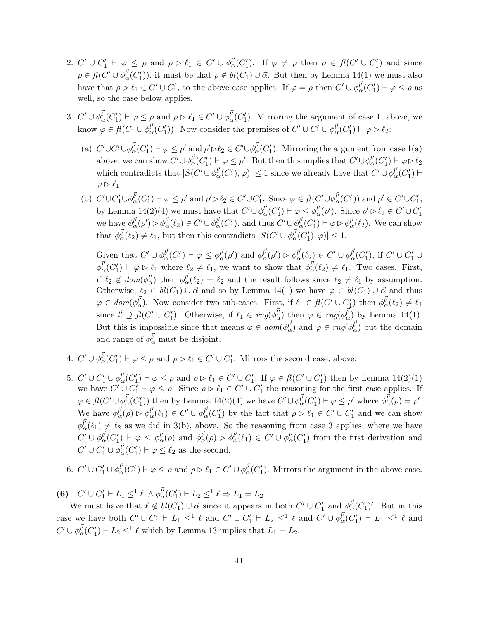- 2.  $C' \cup C'_1 \vdash \varphi \leq \rho$  and  $\rho \vartriangleright \ell_1 \in C' \cup \phi^{\vec{l'}}_{{\alpha}}(C'_1)$ . If  $\varphi \neq \rho$  then  $\rho \in \mathit{fl}(C' \cup C'_1)$  and since  $\rho \in fl(C' \cup \phi_\alpha^{l'}(C'_1)),$  it must be that  $\rho \notin bl(C_1) \cup \vec{\alpha}$ . But then by Lemma 14(1) we must also have that  $\rho \triangleright \ell_1 \in C' \cup C'_1$ , so the above case applies. If  $\varphi = \rho$  then  $C' \cup \phi_\alpha^{l'}(C'_1) \vdash \varphi \le \rho$  as well, so the case below applies.
- 3.  $C' \cup \phi_{\alpha}^{l'}(C'_1) \vdash \varphi \leq \rho$  and  $\rho \triangleright \ell_1 \in C' \cup \phi_{\alpha}^{l'}(C'_1)$ . Mirroring the argument of case 1, above, we know  $\varphi \in \mathit{fl}(C_1 \cup \phi_\alpha^{\vec{l'}}(C'_1))$ . Now consider the premises of  $C' \cup C'_1 \cup \phi_\alpha^{\vec{l'}}(C'_1) \vdash \varphi \rhd \ell_2$ :
	- (a)  $C' \cup C'_1 \cup \phi_\alpha^{\vec{l'}}(C'_1) \vdash \varphi \leq \rho'$  and  $\rho' \triangleright \ell_2 \in C' \cup \phi_\alpha^{\vec{l'}}(C'_1)$ . Mirroring the argument from case 1(a) above, we can show  $C' \cup \phi_{\alpha}^{\vec{l'}}(C'_1) \vdash \varphi \leq \rho'$ . But then this implies that  $C' \cup \phi_{\alpha}^{\vec{l'}}(C'_1) \vdash \varphi \triangleright \ell_2$ which contradicts that  $|S(C' \cup \phi_{\alpha}^{\vec{l'}}(C'_1), \varphi)| \leq 1$  since we already have that  $C' \cup \phi_{\alpha}^{\vec{l'}}(C'_1)$   $\vdash$  $\varphi \triangleright \ell_1.$
	- (b)  $C' \cup C'_1 \cup \phi^{\vec{l'}}_0(C'_1) \vdash \varphi \leq \rho'$  and  $\rho' \triangleright \ell_2 \in C' \cup C'_1$ . Since  $\varphi \in \mathit{fl}(C' \cup \phi^{\vec{l'}}_0(C'_1))$  and  $\rho' \in C' \cup C'_1$ , by Lemma 14(2)(4) we must have that  $C' \cup \phi_{\alpha}^{l'}(C'_1) \vdash \varphi \leq \phi_{\alpha}^{l'}(\rho')$ . Since  $\rho' \triangleright \ell_2 \in C' \cup C'_1$ we have  $\phi_{\alpha}^{\vec{l}'}(\rho') \rhd \phi_{\alpha}^{\vec{l}'}(\ell_2) \in C' \cup \phi_{\alpha}^{\vec{l}'}(C_1'),$  and thus  $C' \cup \phi_{\alpha}^{\vec{l}'}(C_1') \vdash \varphi \rhd \phi_{\alpha}^{\vec{l}'}(\ell_2).$  We can show that  $\phi_{\alpha}^{\vec{l'}}(\ell_2) \neq \ell_1$ , but then this contradicts  $|S(C' \cup \phi_{\alpha}^{\vec{l'}}(C'_1), \varphi)| \leq 1$ .

Given that  $C' \cup \phi_{\alpha}^{\vec{l'}}(C'_1) \vdash \varphi \leq \phi_{\alpha}^{\vec{l'}}(\rho')$  and  $\phi_{\alpha}^{\vec{l'}}(\rho') \rhd \phi_{\alpha}^{\vec{l'}}(\ell_2) \in C' \cup \phi_{\alpha}^{\vec{l'}}(C'_1)$ , if  $C' \cup C'_1 \cup$  $\phi_{\alpha}^{\vec{l}'}(C'_1) \vdash \varphi \triangleright \ell_1$  where  $\ell_2 \neq \ell_1$ , we want to show that  $\phi_{\alpha}^{\vec{l}'}(\ell_2) \neq \ell_1$ . Two cases. First, if  $\ell_2 \notin dom(\phi_{\alpha}^{\vec{l'}})$  then  $\phi_{\alpha}^{\vec{l'}}(\ell_2) = \ell_2$  and the result follows since  $\ell_2 \neq \ell_1$  by assumption. Otherwise,  $\ell_2 \in bl(C_1) \cup \vec{\alpha}$  and so by Lemma 14(1) we have  $\varphi \in bl(C_1) \cup \vec{\alpha}$  and thus  $\varphi \in dom(\phi_{\alpha}^{\vec{l'}})$ . Now consider two sub-cases. First, if  $\ell_1 \in fl(C' \cup C'_1)$  then  $\phi_{\alpha}^{\vec{l'}}(\ell_2) \neq \ell_1$ since  $\vec{l'} \supseteq \vec{f} (C' \cup C'_1)$ . Otherwise, if  $\ell_1 \in rng(\phi_{\alpha}^{\vec{l'}})$  then  $\varphi \in rng(\phi_{\alpha}^{\vec{l'}})$  by Lemma 14(1). But this is impossible since that means  $\varphi \in dom(\phi_{\alpha}^{\vec{l'}})$  and  $\varphi \in rng(\phi_{\alpha}^{\vec{l'}})$  but the domain and range of  $\phi_{\alpha}^{\vec{l'}}$  must be disjoint.

- 4.  $C' \cup \phi_{\alpha}^{\vec{l'}}(C'_1) \vdash \varphi \leq \rho$  and  $\rho \triangleright \ell_1 \in C' \cup C'_1$ . Mirrors the second case, above.
- 5.  $C' \cup C_1' \cup \phi_{\alpha}^{l'}(C_1') \vdash \varphi \leq \rho$  and  $\rho \triangleright \ell_1 \in C' \cup C_1'$ . If  $\varphi \in \mathit{fl}(C' \cup C_1')$  then by Lemma 14(2)(1) we have  $C' \cup C_1' \vdash \varphi \leq \rho$ . Since  $\rho \triangleright \ell_1 \in C' \cup C_1'$  the reasoning for the first case applies. If  $\varphi \in \mathit{fl}(C' \cup \phi_{\alpha}^{\vec{l'}}(C'_1))$  then by Lemma 14(2)(4) we have  $C' \cup \phi_{\alpha}^{\vec{l'}}(C'_1) \vdash \varphi \leq \rho'$  where  $\phi_{\alpha}^{\vec{l'}}(\rho) = \rho'.$ We have  $\phi_{\alpha}^{\vec{l}'}(\rho) \triangleright \phi_{\alpha}^{\vec{l}'}(\ell_1) \in C' \cup \phi_{\alpha}^{\vec{l}'}(C_1')$  by the fact that  $\rho \triangleright \ell_1 \in C' \cup C_1'$  and we can show  $\phi_{\alpha}^{\vec{l}}(\ell_1) \neq \ell_2$  as we did in 3(b), above. So the reasoning from case 3 applies, where we have  $C' \cup \phi_\alpha^{\vec{l'}}(C'_1) \vdash \varphi \leq \phi_\alpha^{\vec{l'}}(\rho)$  and  $\phi_\alpha^{\vec{l'}}(\rho) \rhd \phi_\alpha^{\vec{l'}}(\ell_1) \in C' \cup \phi_\alpha^{\vec{l'}}(C'_1)$  from the first derivation and  $C' \cup C'_1 \cup \phi_\alpha^{\vec{l'}}(C'_1) \vdash \varphi \leq \ell_2$  as the second.
- 6.  $C' \cup C_1' \cup \phi_{\alpha}^{l'}(C_1') \vdash \varphi \leq \rho$  and  $\rho \triangleright \ell_1 \in C' \cup \phi_{\alpha}^{l'}(C_1').$  Mirrors the argument in the above case.

(6)  $C' \cup C'_1 \vdash L_1 \leq^1 \ell \wedge \phi_{\alpha}^{\vec{l'}}(C'_1) \vdash L_2 \leq^1 \ell \Rightarrow L_1 = L_2.$ 

We must have that  $\ell \notin bl(C_1) \cup \vec{\alpha}$  since it appears in both  $C' \cup C'_1$  and  $\phi_\alpha^{\vec{l'}}(C_1)'$ . But in this case we have both  $C' \cup C_1' \vdash L_1 \leq^1 \ell$  and  $C' \cup C_1' \vdash L_2 \leq^1 \ell$  and  $C' \cup \phi_{\alpha}^{\vec{l}}(C_1') \vdash L_1 \leq^1 \ell$  and  $C' \cup \phi_\alpha^{\vec{l'}}(C'_1) \vdash L_2 \leq^1 \ell$  which by Lemma 13 implies that  $L_1 = L_2$ .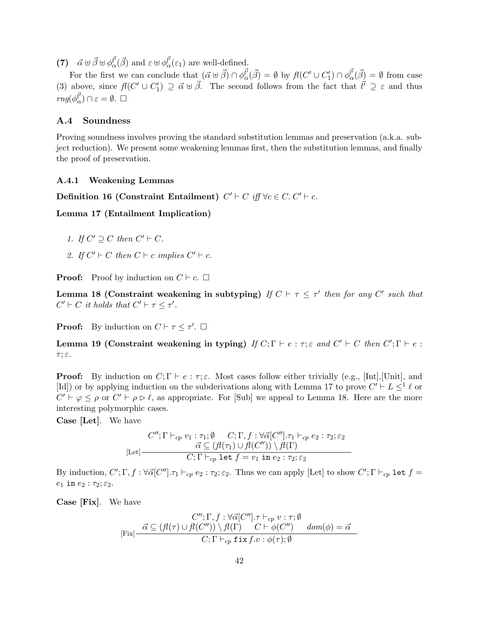(7)  $\vec{\alpha} \boxplus \vec{\beta} \boxplus \phi_{\alpha}^{\vec{l}}(\vec{\beta})$  and  $\varepsilon \boxplus \phi_{\alpha}^{\vec{l}}(\varepsilon_1)$  are well-defined.

For the first we can conclude that  $(\vec{\alpha} \oplus \vec{\beta}) \cap \phi_{\alpha}^{\vec{l'}}(\vec{\beta}) = \emptyset$  by  $\mathit{fl}(C' \cup C'_1) \cap \phi_{\alpha}^{\vec{l'}}(\vec{\beta}) = \emptyset$  from case (3) above, since  $f(C' \cup C'_1) \supseteq \vec{\alpha} \oplus \vec{\beta}$ . The second follows from the fact that  $\vec{l}' \supseteq \varepsilon$  and thus  $rng(\phi_{\alpha}^{\vec{l'}})\cap \varepsilon=\emptyset.$   $\Box$ 

### A.4 Soundness

Proving soundness involves proving the standard substitution lemmas and preservation (a.k.a. subject reduction). We present some weakening lemmas first, then the substitution lemmas, and finally the proof of preservation.

### A.4.1 Weakening Lemmas

Definition 16 (Constraint Entailment)  $C' \vdash C$  iff  $\forall c \in C$ .  $C' \vdash c$ .

Lemma 17 (Entailment Implication)

- 1. If  $C' \supseteq C$  then  $C' \vdash C$ .
- 2. If  $C' \vdash C$  then  $C \vdash c$  implies  $C' \vdash c$ .

**Proof:** Proof by induction on  $C \vdash c$ .  $\Box$ 

Lemma 18 (Constraint weakening in subtyping) If  $C \vdash \tau \leq \tau'$  then for any C' such that  $C' \vdash C$  it holds that  $C' \vdash \tau \leq \tau'.$ 

**Proof:** By induction on  $C \vdash \tau \leq \tau'$ .  $\Box$ 

Lemma 19 (Constraint weakening in typing) If  $C; \Gamma \vdash e : \tau; \varepsilon$  and  $C' \vdash C$  then  $C'; \Gamma \vdash e : \tau; \varepsilon$  $τ; ε.$ 

**Proof:** By induction on  $C; \Gamma \vdash e : \tau; \varepsilon$ . Most cases follow either trivially (e.g., [Int],[Unit], and [Id]) or by applying induction on the subderivations along with Lemma 17 to prove  $C' \vdash L \leq^1 \ell$  or  $C' \vdash \varphi \leq \rho$  or  $C' \vdash \rho \rhd \ell$ , as appropriate. For [Sub] we appeal to Lemma 18. Here are the more interesting polymorphic cases.

Case [Let]. We have

$$
C''; \Gamma \vdash_{cp} v_1 : \tau_1; \emptyset \qquad C; \Gamma, f : \forall \vec{\alpha}[C''], \tau_1 \vdash_{cp} e_2 : \tau_2; \varepsilon_2
$$

$$
\vec{\alpha} \subseteq (\mathcal{H}(\tau_1) \cup \mathcal{H}(C'')) \setminus \mathcal{H}(\Gamma)
$$

$$
C; \Gamma \vdash_{cp} \text{let } f = v_1 \text{ in } e_2 : \tau_2; \varepsilon_2
$$

By induction,  $C'; \Gamma, f : \forall \vec{\alpha}[C''], \tau_1 \vdash_{cp} e_2 : \tau_2; \varepsilon_2$ . Thus we can apply [Let] to show  $C'; \Gamma \vdash_{cp} \texttt{let} f =$  $e_1$  in  $e_2$ :  $\tau_2$ ;  $\varepsilon_2$ .

Case [Fix]. We have

$$
C''; \Gamma, f : \forall \vec{\alpha}[C''], \tau \vdash_{cp} v : \tau; \emptyset
$$
  
[Fix]  $\frac{\vec{\alpha} \subseteq (\mathcal{H}(\tau) \cup \mathcal{H}(C'')) \setminus \mathcal{H}(\Gamma) \quad C \vdash \phi(C'') \quad dom(\phi) = \vec{\alpha}}{C; \Gamma \vdash_{cp} \text{fix } f.v : \phi(\tau); \emptyset}$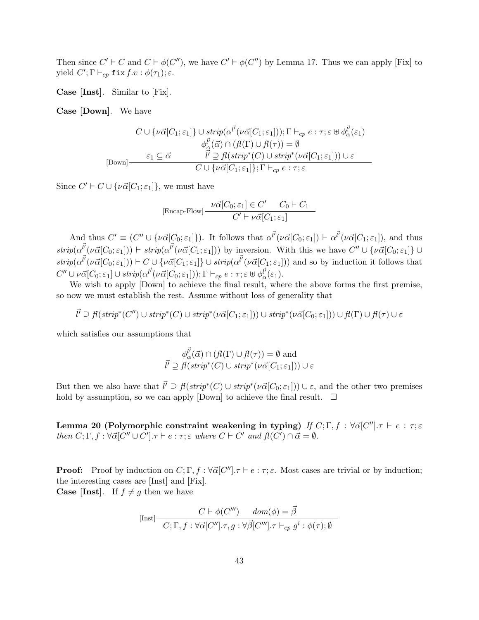Then since  $C' \vdash C$  and  $C \vdash \phi(C'')$ , we have  $C' \vdash \phi(C'')$  by Lemma 17. Thus we can apply [Fix] to yield  $C'; \Gamma \vdash_{cp} \texttt{fix} f.v : \phi(\tau_1); \varepsilon.$ 

Case [Inst]. Similar to [Fix].

Case [Down]. We have

$$
C \cup \{\nu \vec{\alpha}[C_1;\varepsilon_1]\} \cup \text{strip}(\alpha^{\vec{l'}}(\nu \vec{\alpha}[C_1;\varepsilon_1])), \Gamma \vdash_{cp} e : \tau; \varepsilon \uplus \phi^{\vec{l'}}_{\alpha}(\varepsilon_1) \n\phi^{\vec{l'}}_{\alpha}(\vec{\alpha}) \cap (\beta(\Gamma) \cup \beta(\tau)) = \emptyset \n[Down] \quad \begin{array}{c} \varepsilon_1 \subseteq \vec{\alpha} & \vec{l'} \supseteq \beta(\text{strip}^*(C) \cup \text{strip}^*(\nu \vec{\alpha}[C_1;\varepsilon_1])) \cup \varepsilon \\ C \cup \{\nu \vec{\alpha}[C_1;\varepsilon_1]\}; \Gamma \vdash_{cp} e : \tau; \varepsilon \end{array}
$$

Since  $C' \vdash C \cup {\nu\vec{\alpha}[C_1;\varepsilon_1]},$  we must have

[Encap-Flow] 
$$
\frac{\nu \vec{\alpha}[C_0; \varepsilon_1] \in C' \quad C_0 \vdash C_1}{C' \vdash \nu \vec{\alpha}[C_1; \varepsilon_1]}
$$

And thus  $C' \equiv (C'' \cup {\{\nu\vec{\alpha}[C_0;\varepsilon_1]\}})$ . It follows that  $\alpha^{l'}(\nu\vec{\alpha}[C_0;\varepsilon_1]) \vdash \alpha^{l'}(\nu\vec{\alpha}[C_1;\varepsilon_1])$ , and thus  $strip(\alpha^{l'}(\nu\vec{\alpha}[C_0;\varepsilon_1])) \vdash strip(\alpha^{l'}(\nu\vec{\alpha}[C_1;\varepsilon_1]))$  by inversion. With this we have  $C'' \cup {\nu\vec{\alpha}[C_0;\varepsilon_1]} \cup$  $strip(\alpha^{l'}(\nu\vec{\alpha}[C_0;\varepsilon_1])) \vdash C \cup \{\nu\vec{\alpha}[C_1;\varepsilon_1]\} \cup strip(\alpha^{l'}(\nu\vec{\alpha}[C_1;\varepsilon_1]))$  and so by induction it follows that  $C'' \cup \nu \vec{\alpha}[C_0; \varepsilon_1] \cup strip(\alpha^{l'}(\nu \vec{\alpha}[C_0; \varepsilon_1])); \Gamma \vdash_{cp} e : \tau; \varepsilon \uplus \phi_{\alpha}^{l'}(\varepsilon_1).$ 

We wish to apply [Down] to achieve the final result, where the above forms the first premise, so now we must establish the rest. Assume without loss of generality that

 $\bar{l'}\supseteq \overline{f}(strip^*(C'')\cup strip^*(C)\cup strip^*(\nu\vec{\alpha}[C_1;\varepsilon_1]))\cup strip^*(\nu\vec{\alpha}[C_0;\varepsilon_1]))\cup\overline{f}(\Gamma)\cup\overline{f}(\tau)\cup\varepsilon$ 

which satisfies our assumptions that

$$
\phi^{\vec{l'}}_{\alpha}(\vec{\alpha}) \cap (f(\Gamma) \cup f(\tau)) = \emptyset \text{ and}
$$
  

$$
\vec{l'} \supseteq f(\text{strip}^*(C) \cup \text{strip}^*(\nu \vec{\alpha}[C_1; \varepsilon_1])) \cup \varepsilon
$$

But then we also have that  $\vec{l}' \supseteq \vec{f}(strip^*(C) \cup strip^*(\nu\vec{\alpha}[C_0;\varepsilon_1])) \cup \varepsilon$ , and the other two premises hold by assumption, so we can apply [Down] to achieve the final result.  $\Box$ 

Lemma 20 (Polymorphic constraint weakening in typing) If  $C; \Gamma, f : \forall \vec{\alpha} [C''], \tau \vdash e : \tau; \varepsilon$ then  $C; \Gamma, f : \forall \vec{\alpha} [C'' \cup C'] \cdot \tau \vdash e : \tau; \varepsilon$  where  $C \vdash C'$  and  $f(C') \cap \vec{\alpha} = \emptyset$ .

**Proof:** Proof by induction on  $C; \Gamma, f : \forall \vec{\alpha} | C'' | . \tau \vdash e : \tau; \epsilon$ . Most cases are trivial or by induction; the interesting cases are [Inst] and [Fix]. **Case [Inst].** If  $f \neq g$  then we have

$$
[\text{Inst}] \frac{C \vdash \phi(C''') \quad dom(\phi) = \vec{\beta}}{C; \Gamma, f : \forall \vec{\alpha}[C''], \tau, g : \forall \vec{\beta}[C'''], \tau \vdash_{cp} g^i : \phi(\tau); \emptyset}
$$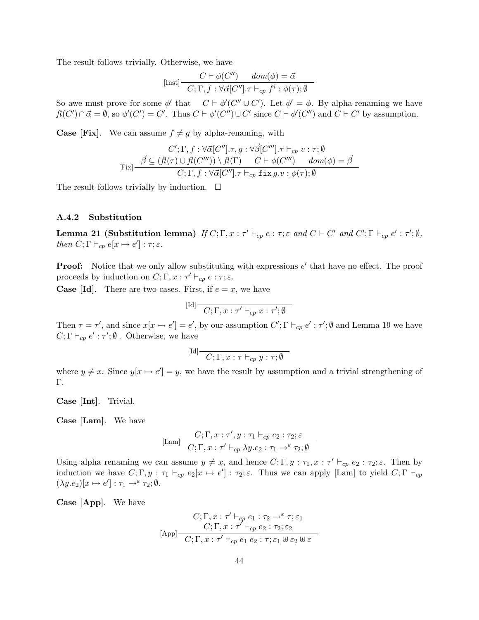The result follows trivially. Otherwise, we have

$$
[\text{Inst}] \frac{C \vdash \phi(C'') \quad dom(\phi) = \vec{\alpha}}{C; \Gamma, f : \forall \vec{\alpha}[C''], \tau \vdash_{cp} f^i : \phi(\tau); \emptyset}
$$

So awe must prove for some  $\phi'$  that  $C \vdash \phi'(C'' \cup C')$ . Let  $\phi' = \phi$ . By alpha-renaming we have  $f(C') \cap \vec{\alpha} = \emptyset$ , so  $\phi'(C') = C'$ . Thus  $C \vdash \phi'(C'') \cup C'$  since  $C \vdash \phi'(C'')$  and  $C \vdash C'$  by assumption.

**Case [Fix].** We can assume  $f \neq g$  by alpha-renaming, with

$$
C';\Gamma,f:\forall\vec{\alpha}[C''],\tau,g:\forall\vec{\beta}[C'''],\tau\vdash_{cp}v:\tau;\emptyset
$$
  

$$
[\text{Fix}]\frac{\vec{\beta}\subseteq(f(\tau)\cup f(C'''))\setminus f(\Gamma)}{C;\Gamma,f:\forall\vec{\alpha}[C''],\tau\vdash_{cp}\text{fix }g.v:\phi(\tau);\emptyset}
$$

The result follows trivially by induction.  $\Box$ 

#### A.4.2 Substitution

**Lemma 21 (Substitution lemma)** If  $C; \Gamma, x : \tau' \vdash_{cp} e : \tau; \varepsilon$  and  $C \vdash C'$  and  $C'; \Gamma \vdash_{cp} e' : \tau'; \emptyset$ , then  $C; \Gamma \vdash_{cp} e[x \mapsto e'] : \tau; \varepsilon.$ 

**Proof:** Notice that we only allow substituting with expressions  $e'$  that have no effect. The proof proceeds by induction on  $C; \Gamma, x : \tau' \vdash_{cp} e : \tau; \varepsilon$ .

**Case [Id].** There are two cases. First, if  $e = x$ , we have

$$
[\mathrm{Id}] \overline{C; \Gamma, x : \tau' \vdash_{cp} x : \tau'; \emptyset}
$$

Then  $\tau = \tau'$ , and since  $x[x \mapsto e'] = e'$ , by our assumption  $C'; \Gamma \vdash_{cp} e' : \tau'; \emptyset$  and Lemma 19 we have  $C; \Gamma \vdash_{cp} e' : \tau'; \emptyset$  . Otherwise, we have

$$
[\mathrm{Id}] \frac{}{\mathbb C;\Gamma,x:\tau \vdash_{\mathit{cp}} y:\tau;\emptyset}
$$

where  $y \neq x$ . Since  $y[x \mapsto e']=y$ , we have the result by assumption and a trivial strengthening of Γ.

Case [Int]. Trivial.

Case [Lam]. We have

$$
[\mathrm{Lam}] \frac{C; \Gamma, x: \tau', y: \tau_1 \vdash_{cp} e_2: \tau_2; \varepsilon}{C; \Gamma, x: \tau' \vdash_{cp} \lambda y. e_2: \tau_1 \rightarrow^{\varepsilon} \tau_2; \emptyset}
$$

Using alpha renaming we can assume  $y \neq x$ , and hence  $C; \Gamma, y : \tau_1, x : \tau' \vdash_{cp} e_2 : \tau_2; \varepsilon$ . Then by induction we have  $C; \Gamma, y : \tau_1 \vdash_{cp} e_2[x \mapsto e'] : \tau_2; \varepsilon$ . Thus we can apply [Lam] to yield  $C; \Gamma \vdash_{cp} e_2[x \mapsto e'] : \tau_2; \varepsilon$ .  $(\lambda y.e_2)[x \mapsto e'] : \tau_1 \to^{\varepsilon} \tau_2; \emptyset.$ 

Case [App]. We have

$$
C; \Gamma, x : \tau' \vdash_{cp} e_1 : \tau_2 \to^{\varepsilon} \tau; \varepsilon_1
$$
  
\n
$$
C; \Gamma, x : \tau' \vdash_{cp} e_2 : \tau_2; \varepsilon_2
$$
  
\n
$$
C; \Gamma, x : \tau' \vdash_{cp} e_1 e_2 : \tau; \varepsilon_1 \uplus \varepsilon_2 \uplus \varepsilon
$$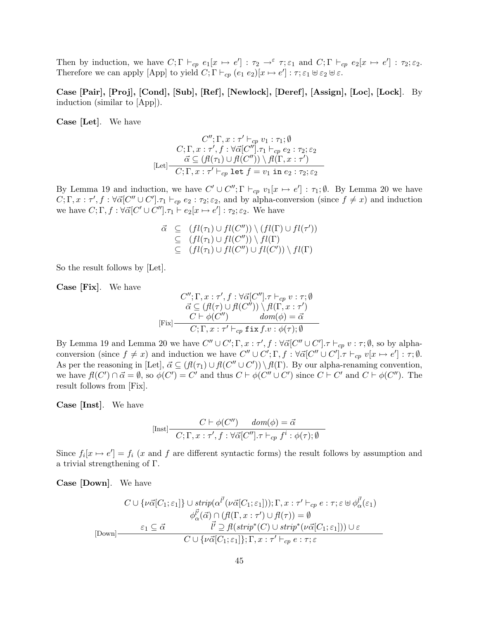Then by induction, we have  $C; \Gamma \vdash_{cp} e_1[x \mapsto e'] : \tau_2 \to^{\varepsilon} \tau; \varepsilon_1$  and  $C; \Gamma \vdash_{cp} e_2[x \mapsto e'] : \tau_2; \varepsilon_2$ . Therefore we can apply [App] to yield  $C; \Gamma \vdash_{cp} (e_1 e_2)[x \mapsto e'] : \tau; \varepsilon_1 \uplus \varepsilon_2 \uplus \varepsilon$ .

Case [Pair], [Proj], [Cond], [Sub], [Ref], [Newlock], [Deref], [Assign], [Loc], [Lock]. By induction (similar to [App]).

Case [Let]. We have

$$
C''; \Gamma, x : \tau' \vdash_{cp} v_1 : \tau_1; \emptyset
$$
  

$$
C; \Gamma, x : \tau', f : \forall \vec{\alpha}[C''], \tau_1 \vdash_{cp} e_2 : \tau_2; \varepsilon_2
$$
  

$$
\vec{\alpha} \subseteq (\mathit{f}(\tau_1) \cup \mathit{f}(C'')) \setminus \mathit{f}(\Gamma, x : \tau')
$$
  
[Let] 
$$
\overline{C; \Gamma, x : \tau' \vdash_{cp} \text{ let } f = v_1 \text{ in } e_2 : \tau_2; \varepsilon_2}
$$

By Lemma 19 and induction, we have  $C' \cup C''$ ;  $\Gamma \vdash_{cp} v_1[x \mapsto e'] : \tau_1$ ;  $\emptyset$ . By Lemma 20 we have  $C; \Gamma, x : \tau', f : \forall \vec{\alpha} [C'' \cup C'] \cdot \tau_1 \vdash_{cp} e_2 : \tau_2; \varepsilon_2$ , and by alpha-conversion (since  $f \neq x$ ) and induction we have  $C; \Gamma, f: \forall \vec{\alpha} [C' \cup C''] . \tau_1 \vdash e_2[x \mapsto e'] : \tau_2; \varepsilon_2$ . We have

$$
\vec{\alpha} \subseteq (fl(\tau_1) \cup fl(C'')) \setminus (fl(\Gamma) \cup fl(\tau')) \subseteq (fl(\tau_1) \cup fl(C'')) \setminus fl(\Gamma) \subseteq (fl(\tau_1) \cup fl(C'') \cup fl(C')) \setminus fl(\Gamma)
$$

So the result follows by [Let].

Case [Fix]. We have

$$
C''; \Gamma, x : \tau', f : \forall \vec{\alpha}[C''], \tau \vdash_{cp} v : \tau; \emptyset
$$

$$
\vec{\alpha} \subseteq (\mathit{fl}(\tau) \cup \mathit{fl}(C'')) \setminus \mathit{fl}(\Gamma, x : \tau')
$$

$$
C \vdash \phi(C'') \qquad \mathit{dom}(\phi) = \vec{\alpha}
$$

$$
C; \Gamma, x : \tau' \vdash_{cp} \mathtt{fix} f.v : \phi(\tau); \emptyset
$$

By Lemma 19 and Lemma 20 we have  $C'' \cup C'; \Gamma, x : \tau', f : \forall \vec{\alpha} [C'' \cup C']. \tau \vdash_{cp} v : \tau; \emptyset$ , so by alphaconversion (since  $f \neq x$ ) and induction we have  $C'' \cup C'; \Gamma, f : \forall \vec{\alpha} [C'' \cup C'] \cdot \tau \vdash_{cp} v[x \mapsto e'] : \tau; \emptyset$ . As per the reasoning in [Let],  $\vec{\alpha} \subseteq (\mathcal{H}(\tau_1) \cup \mathcal{H}(C'' \cup C')) \setminus \mathcal{H}(\Gamma)$ . By our alpha-renaming convention, we have  $f(C') \cap \vec{\alpha} = \emptyset$ , so  $\phi(C') = C'$  and thus  $C \vdash \phi(C'' \cup C')$  since  $C \vdash C'$  and  $C \vdash \phi(C'')$ . The result follows from [Fix].

Case [Inst]. We have

$$
[\text{Inst}] \frac{C \vdash \phi(C'') \quad \text{dom}(\phi) = \vec{\alpha}}{C; \Gamma, x : \tau', f : \forall \vec{\alpha}[C''], \tau \vdash_{cp} f^i : \phi(\tau); \emptyset}
$$

Since  $f_i[x \mapsto e']=f_i(x)$  and f are different syntactic forms) the result follows by assumption and a trivial strengthening of Γ.

Case [Down]. We have

$$
C \cup \{\nu \vec{\alpha}[C_1;\varepsilon_1]\} \cup \text{strip}(\alpha^{\vec{l'}}(\nu \vec{\alpha}[C_1;\varepsilon_1])), \Gamma, x : \tau' \vdash_{cp} e : \tau; \varepsilon \uplus \phi^{\vec{l'}}_{\alpha}(\varepsilon_1) \n\phi^{\vec{l'}}_{\alpha}(\vec{\alpha}) \cap (\mathit{fl}(\Gamma, x : \tau') \cup \mathit{fl}(\tau)) = \emptyset \n[Down] \quad \begin{array}{c} \varepsilon_1 \subseteq \vec{\alpha} & \vec{l'} \supseteq \mathit{fl}(\text{strip}^*(C) \cup \text{strip}^*(\nu \vec{\alpha}[C_1;\varepsilon_1])) \cup \varepsilon \\ C \cup \{\nu \vec{\alpha}[C_1;\varepsilon_1]\}; \Gamma, x : \tau' \vdash_{cp} e : \tau; \varepsilon \end{array}
$$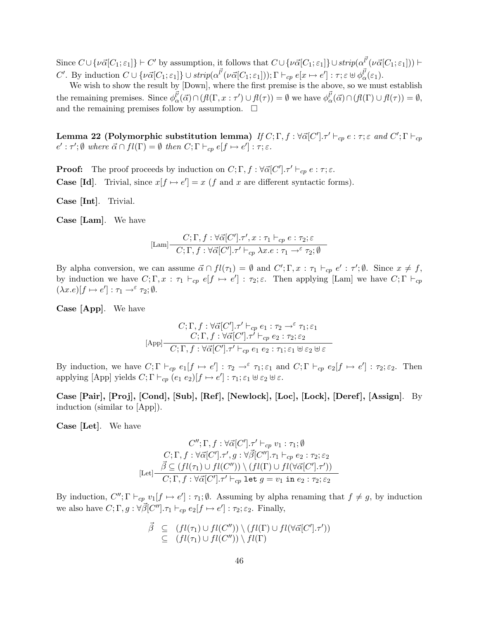Since  $C \cup \{\nu \vec{\alpha}[C_1;\varepsilon_1]\} \vdash C'$  by assumption, it follows that  $C \cup \{\nu \vec{\alpha}[C_1;\varepsilon_1]\} \cup strip(\alpha^{\vec{l'}}(\nu \vec{\alpha}[C_1;\varepsilon_1])) \vdash$ C'. By induction  $C \cup \{\nu \vec{\alpha}[C_1;\varepsilon_1]\} \cup strip(\alpha^{\vec{l'}}(\nu \vec{\alpha}[C_1;\varepsilon_1])); \Gamma \vdash_{cp} e[x \mapsto e'] : \tau; \varepsilon \uplus \phi^{\vec{l'}}_{\alpha}(\varepsilon_1).$ 

We wish to show the result by [Down], where the first premise is the above, so we must establish the remaining premises. Since  $\phi_{\alpha}^{\vec{l'}}(\vec{\alpha}) \cap (f_l(\Gamma, x : \tau') \cup f_l(\tau)) = \emptyset$  we have  $\phi_{\alpha}^{\vec{l'}}(\vec{\alpha}) \cap (f_l(\Gamma) \cup f_l(\tau)) = \emptyset$ , and the remaining premises follow by assumption.  $\Box$ 

Lemma 22 (Polymorphic substitution lemma) If  $C;\Gamma,f:\forall \vec\alpha[C'] . \tau' \vdash_{cp} e:\tau;\varepsilon$  and  $C';\Gamma \vdash_{cp}$  $e': \tau'; \emptyset$  where  $\vec{\alpha} \cap fl(\Gamma) = \emptyset$  then  $C; \Gamma \vdash_{cp} e[f \mapsto e'] : \tau; \varepsilon$ .

**Proof:** The proof proceeds by induction on  $C; \Gamma, f : \forall \vec{\alpha}[C'], \tau' \vdash_{cp} e : \tau; \epsilon$ . **Case [Id].** Trivial, since  $x[f \mapsto e'] = x$  (f and x are different syntactic forms).

Case [Int]. Trivial.

Case [Lam]. We have

$$
[\mathrm{Lam}] \frac{C;\Gamma, f: \forall \vec{\alpha}[C']. \tau', x: \tau_1 \vdash_{cp} e: \tau_2; \varepsilon}{C;\Gamma, f: \forall \vec{\alpha}[C']. \tau' \vdash_{cp} \lambda x. e: \tau_1 \rightarrow^{\varepsilon} \tau_2; \emptyset}
$$

By alpha conversion, we can assume  $\vec{\alpha} \cap fl(\tau_1) = \emptyset$  and  $C'; \Gamma, x : \tau_1 \vdash_{cp} e' : \tau'; \emptyset$ . Since  $x \neq f$ , by induction we have  $C; \Gamma, x : \tau_1 \vdash_{cp} e[f \mapsto e'] : \tau_2; \varepsilon$ . Then applying [Lam] we have  $C; \Gamma \vdash_{cp} e[f \mapsto e'] : \tau_2; \varepsilon$ .  $(\lambda x.e)[f \mapsto e'] : \tau_1 \to^{\varepsilon} \tau_2; \emptyset.$ 

Case [App]. We have

$$
C; \Gamma, f: \forall \vec{\alpha}[C'], \tau' \vdash_{cp} e_1 : \tau_2 \to^{\varepsilon} \tau_1; \varepsilon_1
$$
  
\n
$$
C; \Gamma, f: \forall \vec{\alpha}[C'], \tau' \vdash_{cp} e_2 : \tau_2; \varepsilon_2
$$
  
\n[App] 
$$
C; \Gamma, f: \forall \vec{\alpha}[C'], \tau' \vdash_{cp} e_1 e_2 : \tau_1; \varepsilon_1 \uplus \varepsilon_2 \uplus \varepsilon
$$

By induction, we have  $C; \Gamma \vdash_{cp} e_1[f \mapsto e'] : \tau_2 \to^{\varepsilon} \tau_1; \varepsilon_1$  and  $C; \Gamma \vdash_{cp} e_2[f \mapsto e'] : \tau_2; \varepsilon_2$ . Then applying [App] yields  $C; \Gamma \vdash_{cp} (e_1 e_2)[f \mapsto e'] : \tau_1; \varepsilon_1 \uplus \varepsilon_2 \uplus \varepsilon.$ 

Case [Pair], [Proj], [Cond], [Sub], [Ref ], [Newlock], [Loc], [Lock], [Deref ], [Assign]. By induction (similar to [App]).

Case [Let]. We have

$$
C''; \Gamma, f : \forall \vec{\alpha}[C'], \tau' \vdash_{cp} v_1 : \tau_1; \emptyset
$$
  

$$
C; \Gamma, f : \forall \vec{\alpha}[C'], \tau', g : \forall \vec{\beta}[C''], \tau_1 \vdash_{cp} e_2 : \tau_2; \varepsilon_2
$$
  

$$
\vec{\beta} \subseteq (fl(\tau_1) \cup fl(C'')) \setminus (fl(\Gamma) \cup fl(\forall \vec{\alpha}[C'], \tau'))
$$
  
[Let] 
$$
C; \Gamma, f : \forall \vec{\alpha}[C'], \tau' \vdash_{cp} \text{ let } g = v_1 \text{ in } e_2 : \tau_2; \varepsilon_2
$$

By induction,  $C''$ ;  $\Gamma \vdash_{cp} v_1[f \mapsto e'] : \tau_1$ ; Ø. Assuming by alpha renaming that  $f \neq g$ , by induction we also have  $C; \Gamma, g: \forall \vec{\beta}[C''], \tau_1 \vdash_{cp} e_2[f \mapsto e'] : \tau_2; \varepsilon_2$ . Finally,

$$
\begin{array}{rcl}\n\vec{\beta} & \subseteq & (fl(\tau_1) \cup fl(C'')) \setminus (fl(\Gamma) \cup fl(\forall \vec{\alpha}[C'], \tau')) \\
& \subseteq & (fl(\tau_1) \cup fl(C'')) \setminus fl(\Gamma)\n\end{array}
$$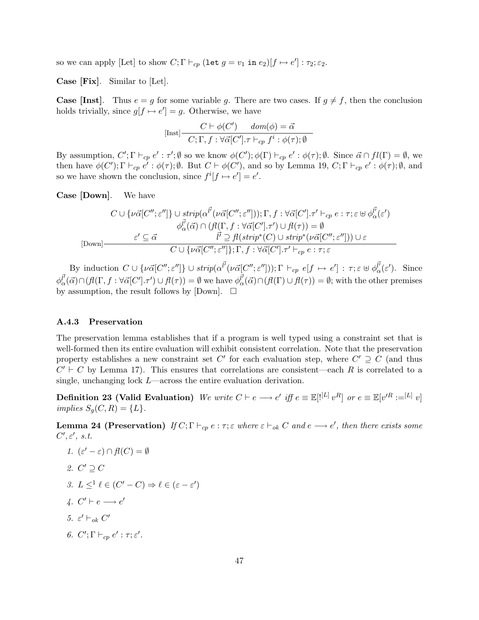so we can apply [Let] to show  $C; \Gamma \vdash_{cp} (\text{let } g = v_1 \text{ in } e_2)[f \mapsto e'] : \tau_2; \varepsilon_2.$ 

Case [Fix]. Similar to [Let].

**Case [Inst].** Thus  $e = g$  for some variable g. There are two cases. If  $g \neq f$ , then the conclusion holds trivially, since  $g[f \mapsto e'] = g$ . Otherwise, we have

$$
[\text{Inst}] \frac{C \vdash \phi(C') \quad dom(\phi) = \vec{\alpha}}{C; \Gamma, f : \forall \vec{\alpha}[C']. \tau \vdash_{cp} f^i : \phi(\tau); \emptyset}
$$

By assumption,  $C'; \Gamma \vdash_{cp} e' : \tau'; \emptyset$  so we know  $\phi(C'); \phi(\Gamma) \vdash_{cp} e' : \phi(\tau); \emptyset$ . Since  $\vec{\alpha} \cap fl(\Gamma) = \emptyset$ , we then have  $\phi(C')$ ;  $\Gamma \vdash_{cp} e' : \phi(\tau)$ ;  $\emptyset$ . But  $C \vdash \phi(C')$ , and so by Lemma 19,  $C$ ;  $\Gamma \vdash_{cp} e' : \phi(\tau)$ ;  $\emptyset$ , and so we have shown the conclusion, since  $f^{i}[f \mapsto e'] = e'$ .

Case [Down]. We have

$$
C \cup \{\nu \vec{\alpha}[C'', \varepsilon'']\} \cup \text{strip}(\alpha^{\vec{l'}}(\nu \vec{\alpha}[C'', \varepsilon''])); \Gamma, f : \forall \vec{\alpha}[C'], \tau' \vdash_{cp} e : \tau; \varepsilon \uplus \phi^{\vec{l'}}_{\alpha}(\varepsilon')
$$

$$
\phi^{\vec{l'}}_{\alpha}(\vec{\alpha}) \cap (f(\Gamma, f : \forall \vec{\alpha}[C'], \tau') \cup f(\tau)) = \emptyset
$$

$$
\varepsilon' \subseteq \vec{\alpha} \qquad \qquad \vec{l'} \supseteq f(\text{strip}^*(C) \cup \text{strip}^*(\nu \vec{\alpha}[C''; \varepsilon'']) \cup \varepsilon
$$

$$
C \cup \{\nu \vec{\alpha}[C'', \varepsilon'']\}; \Gamma, f : \forall \vec{\alpha}[C'], \tau' \vdash_{cp} e : \tau; \varepsilon
$$

By induction  $C \cup \{\nu \vec{\alpha}[C'', \varepsilon'']\} \cup strip(\alpha^{l'}(\nu \vec{\alpha}[C''; \varepsilon''])); \Gamma \vdash_{cp} e[f \mapsto e'] : \tau; \varepsilon \uplus \phi_{\alpha}^{l'}(\varepsilon').$  Since  $\phi_{\alpha}^{\vec{l'}}(\vec{\alpha}) \cap (f_l(\Gamma, f : \forall \vec{\alpha}[C'], \tau') \cup f_l(\tau)) = \emptyset$  we have  $\phi_{\alpha}^{\vec{l'}}(\vec{\alpha}) \cap (f_l(\Gamma) \cup f_l(\tau)) = \emptyset$ ; with the other premises by assumption, the result follows by [Down].  $\square$ 

#### A.4.3 Preservation

The preservation lemma establishes that if a program is well typed using a constraint set that is well-formed then its entire evaluation will exhibit consistent correlation. Note that the preservation property establishes a new constraint set C' for each evaluation step, where  $C' \supseteq C$  (and thus  $C' \vdash C$  by Lemma 17). This ensures that correlations are consistent—each R is correlated to a single, unchanging lock L—across the entire evaluation derivation.

Definition 23 (Valid Evaluation) We write  $C \vdash e \longrightarrow e'$  iff  $e \equiv \mathbb{E}[{}^{[L]} v^R]$  or  $e \equiv \mathbb{E}[v'^R := [L]$  v] implies  $S_g(C, R) = \{L\}.$ 

**Lemma 24 (Preservation)** If  $C; \Gamma \vdash_{cp} e : \tau; \varepsilon$  where  $\varepsilon \vdash_{ok} C$  and  $e \longrightarrow e'$ , then there exists some  $C', \varepsilon', s.t.$ 

- 1.  $(\varepsilon' \varepsilon) \cap \mathit{fl}(C) = \emptyset$
- 2.  $C' \supseteq C$
- 3.  $L \leq^1 \ell \in (C' C) \Rightarrow \ell \in (\varepsilon \varepsilon')$
- 4.  $C' \vdash e \longrightarrow e'$
- 5.  $\varepsilon' \vdash_{ok} C'$
- 6.  $C'; \Gamma \vdash_{cp} e' : \tau; \varepsilon'.$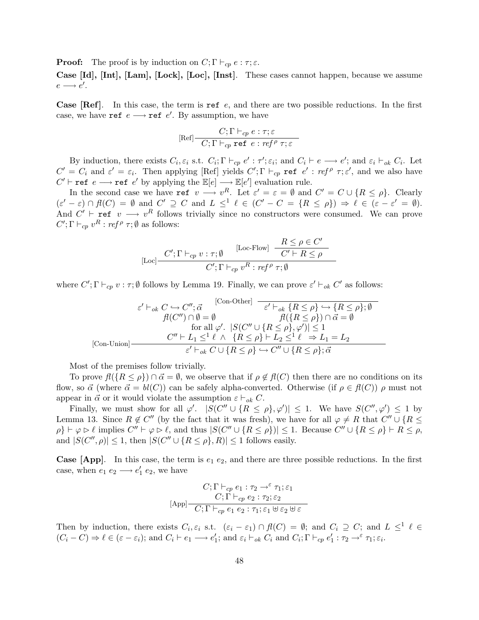**Proof:** The proof is by induction on  $C; \Gamma \vdash_{cp} e : \tau; \varepsilon$ .

Case [Id], [Int], [Lam], [Lock], [Loc], [Inst]. These cases cannot happen, because we assume  $e \longrightarrow e'.$ 

**Case [Ref].** In this case, the term is ref e, and there are two possible reductions. In the first case, we have ref  $e \rightarrow$  ref  $e'$ . By assumption, we have

$$
[\text{Ref}] \frac{C; \Gamma \vdash_{cp} e : \tau; \varepsilon}{C; \Gamma \vdash_{cp} \text{ref } e : ref^{\rho} \tau; \varepsilon}
$$

By induction, there exists  $C_i$ ,  $\varepsilon_i$  s.t.  $C_i$ ;  $\Gamma \vdash_{cp} e' : \tau'; \varepsilon_i$ ; and  $C_i \vdash e \longrightarrow e'$ ; and  $\varepsilon_i \vdash_{ok} C_i$ . Let  $C' = C_i$  and  $\varepsilon' = \varepsilon_i$ . Then applying [Ref] yields  $C'; \Gamma \vdash_{cp}$  ref  $e' : ref^\rho \tau; \varepsilon'$ , and we also have  $C' \vdash \texttt{ref} \ e \longrightarrow \texttt{ref} \ e'$  by applying the  $\mathbb{E}[e] \longrightarrow \mathbb{E}[e']$  evaluation rule.

In the second case we have ref  $v \longrightarrow v^R$ . Let  $\varepsilon' = \varepsilon = \emptyset$  and  $C' = C \cup \{R \le \rho\}$ . Clearly  $(\varepsilon' - \varepsilon) \cap \mathcal{H}(C) = \emptyset$  and  $C' \supseteq C$  and  $L \leq^{1} \ell \in (C' - C = \{R \leq \rho\}) \Rightarrow \ell \in (\varepsilon - \varepsilon' = \emptyset).$ And  $C' \vdash$  ref  $v \longrightarrow v^R$  follows trivially since no constructors were consumed. We can prove  $C'; \Gamma \vdash_{cp} v^R : ref^\rho \tau; \emptyset$  as follows:

$$
[\text{Loc}] \frac{C'; \Gamma \vdash_{cp} v : \tau; \emptyset}{C'; \Gamma \vdash_{cp} v^R : \text{ref}^{\rho} \tau; \emptyset} \frac{R \le \rho \in C'}{C' \vdash R \le \rho}
$$

where  $C'; \Gamma \vdash_{cp} v : \tau; \emptyset$  follows by Lemma 19. Finally, we can prove  $\varepsilon' \vdash_{ok} C'$  as follows:

$$
\varepsilon' \vdash_{ok} C \hookrightarrow C'', \vec{\alpha} \qquad \qquad \text{[Con-Other]} \quad \frac{\varepsilon' \vdash_{ok} \{R \leq \rho\} \hookrightarrow \{R \leq \rho\}; \emptyset}{f! (C'') \cap \emptyset = \emptyset} \qquad f! (\{R \leq \rho\}) \cap \vec{\alpha} = \emptyset
$$
\n
$$
\text{for all } \varphi'. \quad |S(C'' \cup \{R \leq \rho\}, \varphi')| \leq 1
$$
\n
$$
\text{[Con-Union]} \qquad \qquad \frac{C'' \vdash L_1 \leq^1 \ell \ \wedge \ \{R \leq \rho\} \vdash L_2 \leq^1 \ell \ \Rightarrow L_1 = L_2}{\varepsilon' \vdash_{ok} C \cup \{R \leq \rho\} \hookrightarrow C'' \cup \{R \leq \rho\}; \vec{\alpha}}
$$

Most of the premises follow trivially.

To prove  $f(\lbrace R \leq \rho \rbrace) \cap \vec{\alpha} = \emptyset$ , we observe that if  $\rho \notin f(C)$  then there are no conditions on its flow, so  $\vec{\alpha}$  (where  $\vec{\alpha} = bl(C)$ ) can be safely alpha-converted. Otherwise (if  $\rho \in fl(C)$ )  $\rho$  must not appear in  $\vec{\alpha}$  or it would violate the assumption  $\varepsilon \vdash_{ok} C$ .

Finally, we must show for all  $\varphi'$ .  $|S(C'' \cup \{R \leq \rho\}, \varphi')| \leq 1$ . We have  $S(C'', \varphi') \leq 1$  by Lemma 13. Since  $R \notin C''$  (by the fact that it was fresh), we have for all  $\varphi \neq R$  that  $C'' \cup \{R \leq \varphi\}$  $\rho$   $\vdash \varphi \rhd \ell$  implies  $C'' \vdash \varphi \rhd \ell$ , and thus  $|S(C'' \cup \{R \leq \rho\})| \leq 1$ . Because  $C'' \cup \{R \leq \rho\} \vdash R \leq \rho$ , and  $|S(C'', \rho)| \leq 1$ , then  $|S(C'' \cup \{R \leq \rho\}, R)| \leq 1$  follows easily.

**Case [App].** In this case, the term is  $e_1$   $e_2$ , and there are three possible reductions. In the first case, when  $e_1 e_2 \longrightarrow e'_1 e_2$ , we have

$$
C; \Gamma \vdash_{cp} e_1 : \tau_2 \to^{\varepsilon} \tau_1; \varepsilon_1
$$
  
\n
$$
C; \Gamma \vdash_{cp} e_2 : \tau_2; \varepsilon_2
$$
  
\n[App] 
$$
C; \Gamma \vdash_{cp} e_1 e_2 : \tau_1; \varepsilon_1 \uplus \varepsilon_2 \uplus \varepsilon
$$

Then by induction, there exists  $C_i, \varepsilon_i$  s.t.  $(\varepsilon_i - \varepsilon_1) \cap \mathcal{H}(C) = \emptyset$ ; and  $C_i \supseteq C$ ; and  $L \leq^1 \ell \in$  $(C_i - C) \Rightarrow \ell \in (\varepsilon - \varepsilon_i);$  and  $C_i \vdash e_1 \longrightarrow e'_1;$  and  $\varepsilon_i \vdash_{ok} C_i$  and  $C_i; \Gamma \vdash_{cp} e'_1 : \tau_2 \rightarrow^{\varepsilon} \tau_1; \varepsilon_i.$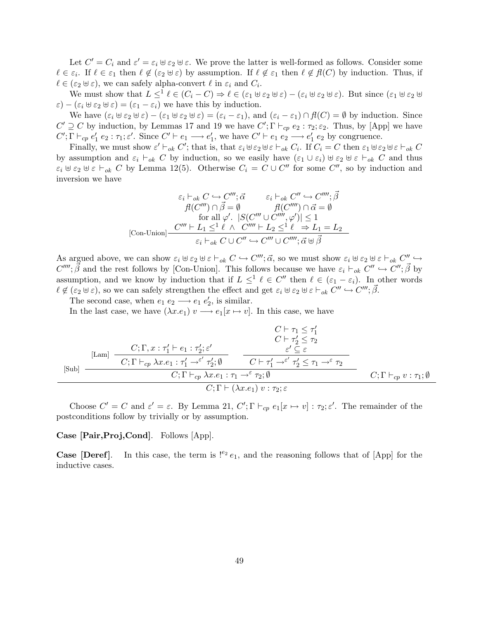Let  $C' = C_i$  and  $\varepsilon' = \varepsilon_i \oplus \varepsilon_2 \oplus \varepsilon$ . We prove the latter is well-formed as follows. Consider some  $\ell \in \varepsilon_i$ . If  $\ell \in \varepsilon_1$  then  $\ell \notin (\varepsilon_2 \cup \varepsilon)$  by assumption. If  $\ell \notin \varepsilon_1$  then  $\ell \notin \mathcal{H}(C)$  by induction. Thus, if  $\ell \in (\varepsilon_2 \oplus \varepsilon)$ , we can safely alpha-convert  $\ell$  in  $\varepsilon_i$  and  $C_i$ .

We must show that  $L \leq^1 \ell \in (C_i - C) \Rightarrow \ell \in (\varepsilon_1 \oplus \varepsilon_2 \oplus \varepsilon) - (\varepsilon_i \oplus \varepsilon_2 \oplus \varepsilon)$ . But since  $(\varepsilon_1 \oplus \varepsilon_2 \oplus \varepsilon)$  $\varepsilon$ ) –  $(\varepsilon_i \boxplus \varepsilon_2 \boxplus \varepsilon) = (\varepsilon_1 - \varepsilon_i)$  we have this by induction.

We have  $(\varepsilon_i \oplus \varepsilon_2 \oplus \varepsilon) - (\varepsilon_1 \oplus \varepsilon_2 \oplus \varepsilon) = (\varepsilon_i - \varepsilon_1)$ , and  $(\varepsilon_i - \varepsilon_1) \cap \mathcal{H}(C) = \emptyset$  by induction. Since  $C' \supseteq C$  by induction, by Lemmas 17 and 19 we have  $C'; \Gamma \vdash_{cp} e_2 : \tau_2; \varepsilon_2$ . Thus, by [App] we have  $C'; \Gamma \vdash_{cp} e'_1 e_2 : \tau_1; \varepsilon'.$  Since  $C' \vdash e_1 \longrightarrow e'_1$ , we have  $C' \vdash e_1 e_2 \longrightarrow e'_1 e_2$  by congruence.

Finally, we must show  $\varepsilon' \vdash_{ok} C'$ ; that is, that  $\varepsilon_i \uplus \varepsilon_2 \uplus \varepsilon \vdash_{ok} C_i$ . If  $C_i = C$  then  $\varepsilon_1 \uplus \varepsilon_2 \uplus \varepsilon \vdash_{ok} C$ by assumption and  $\varepsilon_i \vdash_{ok} C$  by induction, so we easily have  $(\varepsilon_1 \cup \varepsilon_i) \uplus \varepsilon_2 \uplus \varepsilon \vdash_{ok} C$  and thus  $\varepsilon_i \otimes \varepsilon_2 \otimes \varepsilon \vdash_{ok} C$  by Lemma 12(5). Otherwise  $C_i = C \cup C''$  for some  $C''$ , so by induction and inversion we have

$$
\varepsilon_i \vdash_{ok} C \hookrightarrow C'''; \vec{\alpha} \qquad \varepsilon_i \vdash_{ok} C'' \hookrightarrow C''''; \vec{\beta}
$$
  
\n
$$
\vec{H}(C''') \cap \vec{\beta} = \emptyset \qquad \vec{H}(C'''') \cap \vec{\alpha} = \emptyset
$$
  
\nfor all  $\varphi'$ .  $|S(C''' \cup C''''', \varphi')| \le 1$   
\n[Con-Union] 
$$
\frac{C''' \vdash L_1 \le^1 \ell \ \wedge \ C'''' \vdash L_2 \le^1 \ell \ \Rightarrow L_1 = L_2}{\varepsilon_i \vdash_{ok} C \cup C'' \hookrightarrow C''' \cup C''''; \vec{\alpha} \uplus \vec{\beta}}
$$

As argued above, we can show  $\varepsilon_i \cup \varepsilon_2 \cup \varepsilon \vdash_{ok} C \hookrightarrow C'''$ ;  $\vec{\alpha}$ , so we must show  $\varepsilon_i \cup \varepsilon_2 \cup \varepsilon \vdash_{ok} C'' \hookrightarrow$  $C''''$ ;  $\vec{\beta}$  and the rest follows by [Con-Union]. This follows because we have  $\varepsilon_i \vdash_{ok} C'' \hookrightarrow C''$ ;  $\vec{\beta}$  by assumption, and we know by induction that if  $L \leq^{1} \ell \in C''$  then  $\ell \in (\varepsilon_1 - \varepsilon_i)$ . In other words  $\ell \notin (\varepsilon_2 \cup \varepsilon)$ , so we can safely strengthen the effect and get  $\varepsilon_i \cup \varepsilon_2 \cup \varepsilon \vdash_{ok} C'' \hookrightarrow C'''; \vec{\beta}.$ 

The second case, when  $e_1 e_2 \longrightarrow e_1 e'_2$ , is similar.

In the last case, we have  $(\lambda x.e_1)$   $v \rightarrow e_1[x \mapsto v]$ . In this case, we have

$$
C \vdash \tau_1 \leq \tau'_1
$$
\n
$$
C \vdash \tau'_2 \leq \tau_2
$$
\n[Lam] 
$$
\frac{C; \Gamma, x : \tau'_1 \vdash e_1 : \tau'_2; \varepsilon' \qquad \varepsilon' \subseteq \varepsilon}{C; \Gamma \vdash_{cp} \lambda x. e_1 : \tau'_1 \to^{\varepsilon'} \tau'_2; \emptyset} \qquad C \vdash \tau'_1 \to^{\varepsilon'} \tau'_2 \leq \tau_1 \to^{\varepsilon} \tau_2
$$
\n
$$
C; \Gamma \vdash_{cp} \lambda x. e_1 : \tau_1 \to^{\varepsilon} \tau_2; \emptyset
$$
\n
$$
C; \Gamma \vdash (\lambda x. e_1) \ v : \tau_2; \varepsilon
$$
\n
$$
C; \Gamma \vdash_{cp} v : \tau_1; \emptyset
$$

Choose  $C' = C$  and  $\varepsilon' = \varepsilon$ . By Lemma 21,  $C'; \Gamma \vdash_{cp} e_1[x \mapsto v] : \tau_2; \varepsilon'.$  The remainder of the postconditions follow by trivially or by assumption.

#### Case [Pair,Proj,Cond]. Follows [App].

**Case [Deref].** In this case, the term is  $!^{e_2}e_1$ , and the reasoning follows that of [App] for the inductive cases.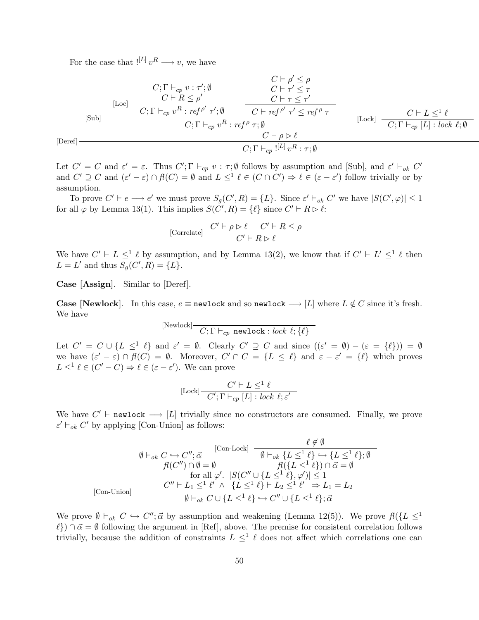For the case that  $!^{[L]}v^R \longrightarrow v$ , we have

$$
C; \Gamma \vdash_{cp} v : \tau'; \emptyset
$$
\n
$$
[Loc] \quad C; \Gamma \vdash_{cp} v : \tau'; \emptyset
$$
\n
$$
[C \vdash R \leq \rho' \quad C \vdash \tau' \leq \tau
$$
\n
$$
[C; \Gamma \vdash_{cp} v^R : ref^{\rho'} \tau'; \emptyset \quad C \vdash ref^{\rho'} \tau' \leq ref^{\rho} \tau
$$
\n
$$
C; \Gamma \vdash_{cp} v^R : ref^{\rho} \tau; \emptyset
$$
\n
$$
C \vdash \rho \triangleright \ell
$$
\n
$$
C; \Gamma \vdash_{cp} [L] : lock \ell; \emptyset
$$
\n
$$
C; \Gamma \vdash_{cp} [L] v^R : \tau; \emptyset
$$

Let  $C' = C$  and  $\varepsilon' = \varepsilon$ . Thus  $C'; \Gamma \vdash_{cp} v : \tau; \emptyset$  follows by assumption and [Sub], and  $\varepsilon' \vdash_{ok} C'$ and  $C' \supseteq C$  and  $(\varepsilon' - \varepsilon) \cap f(C) = \emptyset$  and  $L \leq^1 \ell \in (C \cap C') \Rightarrow \ell \in (\varepsilon - \varepsilon')$  follow trivially or by assumption.

To prove  $C' \vdash e \longrightarrow e'$  we must prove  $S_g(C', R) = \{L\}$ . Since  $\varepsilon' \vdash_{ok} C'$  we have  $|S(C', \varphi)| \leq 1$ for all  $\varphi$  by Lemma 13(1). This implies  $S(\tilde{C}', R) = \{\ell\}$  since  $C' \vdash R \triangleright \ell$ :

$$
[\text{Correlate}] \frac{C' \vdash \rho \rhd \ell \quad C' \vdash R \leq \rho}{C' \vdash R \rhd \ell}
$$

We have  $C' \vdash L \leq^1 \ell$  by assumption, and by Lemma 13(2), we know that if  $C' \vdash L' \leq^1 \ell$  then  $L = L'$  and thus  $S_g(C', R) = \{L\}.$ 

Case [Assign]. Similar to [Deref].

[Deref]

Case [Newlock]. In this case,  $e \equiv$  newlock and so newlock  $\longrightarrow [L]$  where  $L \notin C$  since it's fresh. We have

$$
[\text{Newlock}] \frac{}{C; \Gamma \vdash_{cp} \text{newlock} : lock \ell; \{\ell\}}
$$

Let  $C' = C \cup \{L \leq^{\perp} \ell\}$  and  $\varepsilon' = \emptyset$ . Clearly  $C' \supseteq C$  and since  $((\varepsilon' = \emptyset) - (\varepsilon = \{\ell\})) = \emptyset$ we have  $(\varepsilon' - \varepsilon) \cap \mathcal{H}(C) = \emptyset$ . Moreover,  $C' \cap C = \{L \leq \ell\}$  and  $\varepsilon - \varepsilon' = \{\ell\}$  which proves  $L \leq^{1} \ell \in (C' - C) \Rightarrow \ell \in (\varepsilon - \varepsilon')$ . We can prove

$$
[\text{Lock}] \frac{C' \vdash L \leq^1 \ell}{C'; \Gamma \vdash_{cp} [L] : lock \ell; \varepsilon'}
$$

We have  $C' \vdash \texttt{newlock} \longrightarrow [L]$  trivially since no constructors are consumed. Finally, we prove  $\varepsilon' \vdash_{ok} C'$  by applying [Con-Union] as follows:

$$
\emptyset \vdash_{ok} C \hookrightarrow C'', \vec{\alpha} \qquad \qquad [\text{Con-Lock}] \qquad \qquad \emptyset \neq \emptyset
$$
\n
$$
\emptyset \vdash_{ok} C \hookrightarrow C'', \vec{\alpha} \qquad \qquad \emptyset \vdash_{ok} \{L \leq^1 \ell\} \hookrightarrow \{L \leq^1 \ell\}; \emptyset
$$
\n
$$
\emptyset(C'') \cap \emptyset = \emptyset \qquad \qquad \emptyset((\{L \leq^1 \ell\}) \cap \vec{\alpha} = \emptyset)
$$
\nfor all  $\varphi'$ .  $|S(C'' \cup \{L \leq^1 \ell\}, \varphi')| \leq 1$   
\n[Con-Union] 
$$
\qquad \qquad \emptyset \vdash_{ok} C \cup \{L \leq^1 \ell\} \hookrightarrow C'' \cup \{L \leq^1 \ell\}; \vec{\alpha}
$$

We prove  $\emptyset \vdash_{ok} C \hookrightarrow C''; \vec{\alpha}$  by assumption and weakening (Lemma 12(5)). We prove  $fl({L \leq l})$  $\ell$ )  $\cap$   $\vec{\alpha} = \emptyset$  following the argument in [Ref], above. The premise for consistent correlation follows trivially, because the addition of constraints  $L \leq^{1} \ell$  does not affect which correlations one can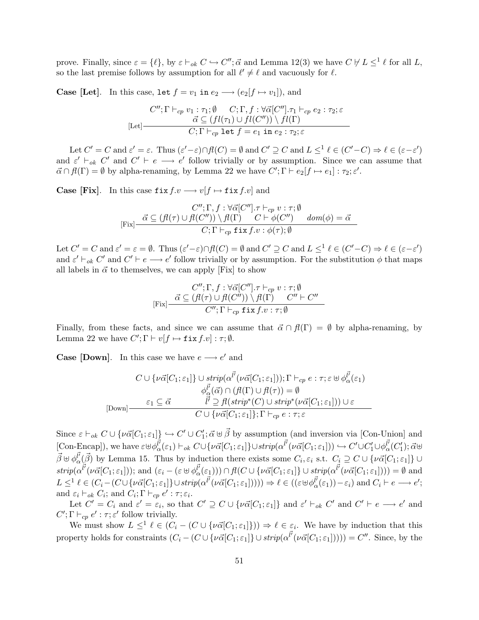prove. Finally, since  $\varepsilon = \{\ell\}$ , by  $\varepsilon \vdash_{ok} C \hookrightarrow C''$ ;  $\vec{\alpha}$  and Lemma 12(3) we have  $C \not\vdash L \leq^1 \ell$  for all L, so the last premise follows by assumption for all  $\ell' \neq \ell$  and vacuously for  $\ell$ .

**Case [Let].** In this case, let  $f = v_1$  in  $e_2 \longrightarrow (e_2[f \mapsto v_1])$ , and

$$
C''; \Gamma \vdash_{cp} v_1 : \tau_1; \emptyset \qquad C; \Gamma, f : \forall \vec{\alpha}[C''], \tau_1 \vdash_{cp} e_2 : \tau_2; \varepsilon
$$
  

$$
\vec{\alpha} \subseteq (fl(\tau_1) \cup fl(C'')) \setminus fl(\Gamma)
$$
  

$$
C; \Gamma \vdash_{cp} \text{let } f = e_1 \text{ in } e_2 : \tau_2; \varepsilon
$$

Let  $C' = C$  and  $\varepsilon' = \varepsilon$ . Thus  $(\varepsilon' - \varepsilon) \cap \mathcal{H}(C) = \emptyset$  and  $C' \supseteq C$  and  $L \leq^1 \ell \in (C' - C) \Rightarrow \ell \in (\varepsilon - \varepsilon')$ and  $\varepsilon' \vdash_{ok} C'$  and  $C' \vdash e \longrightarrow e'$  follow trivially or by assumption. Since we can assume that  $\vec{\alpha} \cap f(\Gamma) = \emptyset$  by alpha-renaming, by Lemma 22 we have  $C'; \Gamma \vdash e_2[f \mapsto e_1] : \tau_2; \varepsilon'.$ 

**Case [Fix].** In this case  $\text{fix } f.v \longrightarrow v[f \mapsto \text{fix } f.v]$  and

$$
C''; \Gamma, f: \forall \vec{\alpha}[C''] \cdot \tau \vdash_{cp} v: \tau; \emptyset
$$
  
[Fix]  $\frac{\vec{\alpha} \subseteq (\mathcal{H}(\tau) \cup \mathcal{H}(C'')) \setminus \mathcal{H}(\Gamma) \qquad C \vdash \phi(C'') \qquad dom(\phi) = \vec{\alpha} \qquad C; \Gamma \vdash_{cp} \text{fix } f. v: \phi(\tau); \emptyset$ 

Let  $C' = C$  and  $\varepsilon' = \varepsilon = \emptyset$ . Thus  $(\varepsilon' - \varepsilon) \cap \mathcal{H}(C) = \emptyset$  and  $C' \supseteq C$  and  $L \leq^1 \ell \in (C' - C) \Rightarrow \ell \in (\varepsilon - \varepsilon')$ and  $\varepsilon' \vdash_{ok} C'$  and  $C' \vdash e \longrightarrow e'$  follow trivially or by assumption. For the substitution  $\phi$  that maps all labels in  $\vec{\alpha}$  to themselves, we can apply [Fix] to show

$$
C''; \Gamma, f : \forall \vec{\alpha} [C''], \tau \vdash_{cp} v : \tau; \emptyset
$$
  
[Fix] 
$$
\frac{\vec{\alpha} \subseteq (\mathcal{H}(\tau) \cup \mathcal{H}(C'')) \setminus \mathcal{H}(\Gamma) \qquad C'' \vdash C''}{C''; \Gamma \vdash_{cp} \text{ fix } f.v : \tau; \emptyset}
$$

Finally, from these facts, and since we can assume that  $\vec{\alpha} \cap \vec{\beta}(\Gamma) = \emptyset$  by alpha-renaming, by Lemma 22 we have  $C'; \Gamma \vdash v[f \mapsto \texttt{fix } f.v] : \tau; \emptyset.$ 

**Case [Down]**. In this case we have  $e \rightarrow e'$  and

$$
C \cup \{\nu \vec{\alpha}[C_1; \varepsilon_1]\} \cup \text{strip}(\alpha^{l'}(\nu \vec{\alpha}[C_1; \varepsilon_1])), \Gamma \vdash_{cp} e : \tau; \varepsilon \uplus \phi_{\alpha}^{l'}(\varepsilon_1) \n\phi_{\alpha}^{l'}(\vec{\alpha}) \cap (f(\Gamma) \cup f(\tau)) = \emptyset \n[Down] \quad \begin{array}{c} \varepsilon_1 \subseteq \vec{\alpha} & l' \supseteq f(\text{strip}^*(C) \cup \text{strip}^*(\nu \vec{\alpha}[C_1; \varepsilon_1])) \cup \varepsilon \\ C \cup \{\nu \vec{\alpha}[C_1; \varepsilon_1]\}; \Gamma \vdash_{cp} e : \tau; \varepsilon \end{array}
$$

Since  $\varepsilon \vdash_{ok} C \cup \{\nu \vec{\alpha}[C_1;\varepsilon_1]\} \hookrightarrow C' \cup C'_1;\vec{\alpha} \uplus \vec{\beta}$  by assumption (and inversion via [Con-Union] and  $[\text{Con-Encap]}],$  we have  $\varepsilon \cup \varphi_{\alpha}^{\vec{l'}}(\varepsilon_1) \vdash_{ok} C \cup \{\nu \vec{\alpha}[C_1;\varepsilon_1]\} \cup strip(\alpha^{\vec{l'}}(\nu \vec{\alpha}[C_1;\varepsilon_1])) \hookrightarrow C' \cup C'_1 \cup \varphi_{\alpha}^{\vec{l'}}(C'_1);\vec{\alpha} \cup \varphi_{\alpha}^{\vec{l'}}(C'_1) \cup \varphi_{\alpha}^{\vec{l'}}(C'_1) \}$  $\vec{\beta} \uplus \phi_{\alpha}^{\vec{l}}(\vec{\beta})$  by Lemma 15. Thus by induction there exists some  $C_i$ ,  $\varepsilon_i$  s.t.  $C_i \supseteq C \cup \{\nu \vec{\alpha}[C_1; \varepsilon_1]\} \cup$  $strip(\alpha^{l'}(\nu\vec{\alpha}[C_1;\varepsilon_1]))$ ; and  $(\varepsilon_i - (\varepsilon \boxplus \phi_{\alpha}^{l'}(\varepsilon_1))) \cap fl(C \cup {\nu\vec{\alpha}[C_1;\varepsilon_1]}) \cup strip(\alpha^{l'}(\nu\vec{\alpha}[C_1;\varepsilon_1])) ) = \emptyset$  and  $L \leq^1 \ell \in (C_i - (C \cup {\lbrace \nu \vec{\alpha} [C_1; \varepsilon_1] \rbrace} \cup strip(\alpha^{\vec{l'}}(\nu \vec{\alpha}[C_1; \varepsilon_1)]))) \Rightarrow \ell \in ((\varepsilon \oplus \phi^{\vec{l'}}_{\alpha}(\varepsilon_1)) - \varepsilon_i) \text{ and } C_i \vdash e \longrightarrow e';$ and  $\varepsilon_i \vdash_{ok} C_i$ ; and  $C_i; \Gamma \vdash_{cp} e' : \tau; \varepsilon_i$ .

Let  $C' = C_i$  and  $\varepsilon' = \varepsilon_i$ , so that  $C' \supseteq C \cup \{ \nu \vec{\alpha} [C_1; \varepsilon_1] \}$  and  $\varepsilon' \vdash_{ok} C'$  and  $C' \vdash e \longrightarrow e'$  and  $C'; \Gamma \vdash_{cp} e' : \tau; \varepsilon'$  follow trivially.

We must show  $L \leq^{1} \ell \in (C_i - (C \cup {\{\nu\vec{\alpha}[C_1;\varepsilon_1]\}})) \Rightarrow \ell \in \varepsilon_i$ . We have by induction that this property holds for constraints  $(C_i - (C \cup \{ \nu \vec{\alpha}[C_1;\varepsilon_1]\} \cup strip(\alpha^{\vec{l'}}(\nu \vec{\alpha}[C_1;\varepsilon_1]))) = C''.$  Since, by the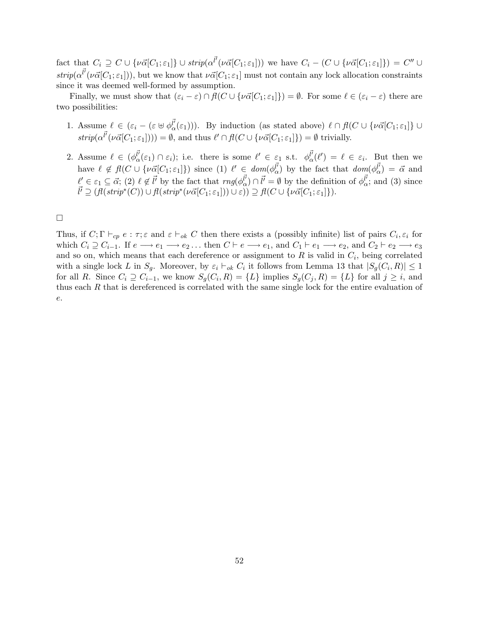fact that  $C_i \supseteq C \cup \{ \nu \vec{\alpha}[C_1;\varepsilon_1] \} \cup \text{strip}(\alpha^{\vec{l'}}(\nu \vec{\alpha}[C_1;\varepsilon_1]))$  we have  $C_i - (C \cup \{ \nu \vec{\alpha}[C_1;\varepsilon_1] \}) = C'' \cup C_i$  $strip(\alpha^{l'}(\nu\vec{\alpha}[C_1;\epsilon_1]))$ , but we know that  $\nu\vec{\alpha}[C_1;\epsilon_1]$  must not contain any lock allocation constraints since it was deemed well-formed by assumption.

Finally, we must show that  $(\varepsilon_i - \varepsilon) \cap \mathcal{H}(C \cup {\{\nu\vec{\alpha}[C_1;\varepsilon_1]\}}) = \emptyset$ . For some  $\ell \in (\varepsilon_i - \varepsilon)$  there are two possibilities:

- 1. Assume  $\ell \in (\varepsilon_i (\varepsilon \cup \phi_{\alpha}^{\vec{l}}(\varepsilon_1)))$ . By induction (as stated above)  $\ell \cap \mathcal{H}(C \cup {\nu \vec{\alpha}}[C_1; \varepsilon_1]) \cup$  $strip(\alpha^{l'}(\nu\vec{\alpha}[C_1;\varepsilon_1])) = \emptyset$ , and thus  $\ell' \cap fl(C \cup {\nu\vec{\alpha}[C_1;\varepsilon_1]}) = \emptyset$  trivially.
- 2. Assume  $\ell \in (\phi_{\alpha}^{\vec{l}}(\varepsilon_1) \cap \varepsilon_i);$  i.e. there is some  $\ell' \in \varepsilon_1$  s.t.  $\phi_{\alpha}^{\vec{l}}(\ell') = \ell \in \varepsilon_i$ . But then we have  $\ell \notin \mathcal{H}(C \cup \{\nu \vec{\alpha}[C_1;\epsilon_1]\})$  since  $(1)$   $\ell' \in dom(\phi_{\alpha}^{l'} )$  by the fact that  $dom(\phi_{\alpha}^{l'} ) = \vec{\alpha}$  and  $\ell' \in \varepsilon_1 \subseteq \vec{\alpha}$ ; (2)  $\ell \notin \vec{l'}$  by the fact that  $rng(\phi_{\alpha}^{\vec{l'}}) \cap \vec{l'} = \emptyset$  by the definition of  $\phi_{\alpha}^{\vec{l'}}$ ; and (3) since  $\overrightarrow{l'} \supseteq (fl(strip^*(C)) \cup fl(strip^*(\nu\overrightarrow{\alpha}[C_1;\varepsilon_1])) \cup \varepsilon)) \supseteq fl(C \cup {\nu\overrightarrow{\alpha}[C_1;\varepsilon_1]}).$

 $\Box$ 

Thus, if  $C; \Gamma \vdash_{cp} e : \tau; \varepsilon$  and  $\varepsilon \vdash_{ok} C$  then there exists a (possibly infinite) list of pairs  $C_i, \varepsilon_i$  for which  $C_i \supseteq C_{i-1}$ . If  $e \longrightarrow e_1 \longrightarrow e_2 \dots$  then  $C \vdash e \longrightarrow e_1$ , and  $C_1 \vdash e_1 \longrightarrow e_2$ , and  $C_2 \vdash e_2 \longrightarrow e_3$ and so on, which means that each dereference or assignment to  $R$  is valid in  $C_i$ , being correlated with a single lock L in  $S_g$ . Moreover, by  $\varepsilon_i \vdash_{ok} C_i$  it follows from Lemma 13 that  $|S_g(C_i, R)| \leq 1$ for all R. Since  $C_i \supseteq C_{i-1}$ , we know  $S_g(C_i, R) = \{L\}$  implies  $S_g(C_j, R) = \{L\}$  for all  $j \geq i$ , and thus each R that is dereferenced is correlated with the same single lock for the entire evaluation of e.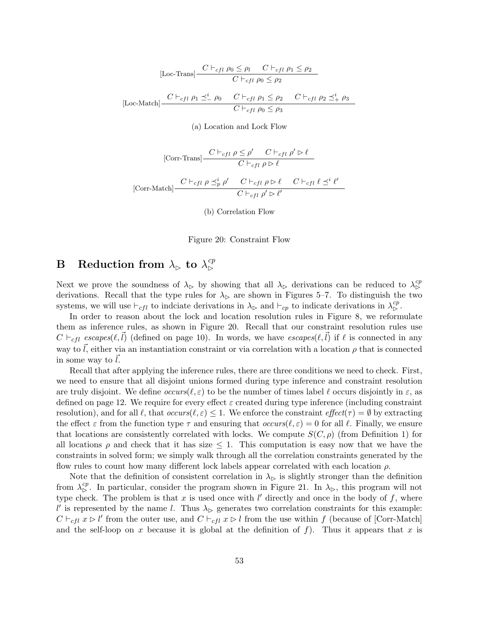[Loc-Trans] 
$$
\frac{C \vdash_{cfl} \rho_0 \le \rho_l \quad C \vdash_{cfl} \rho_1 \le \rho_2}{C \vdash_{cfl} \rho_0 \le \rho_2}
$$
  
[Loc-Match] 
$$
\frac{C \vdash_{cfl} \rho_1 \preceq^i_{-} \rho_0 \quad C \vdash_{cfl} \rho_1 \le \rho_2 \quad C \vdash_{cfl} \rho_2 \preceq^i_{+} \rho_3}{C \vdash_{cfl} \rho_0 \le \rho_3}
$$

(a) Location and Lock Flow

$$
\begin{aligned}\n\text{[Corr-Trans]} &\frac{C \vdash_{cfl} \rho \le \rho' \quad C \vdash_{cfl} \rho' \rhd \ell}{C \vdash_{cfl} \rho \rhd \ell} \\
\text{[Corr-Match]} &\frac{C \vdash_{cfl} \rho \preceq_p^i \rho' \quad C \vdash_{cfl} \rho \rhd \ell \quad C \vdash_{cfl} \ell \preceq_i \ell'}{C \vdash_{cfl} \rho' \rhd \ell'}\n\end{aligned}
$$

(b) Correlation Flow

Figure 20: Constraint Flow

# B Reduction from  $\lambda_{\rhd}$  to  $\lambda_{\rhd}^{cp}$

Next we prove the soundness of  $\lambda_{\triangleright}$  by showing that all  $\lambda_{\triangleright}$  derivations can be reduced to  $\lambda_{\triangleright}^{cp}$ derivations. Recall that the type rules for  $\lambda_{\triangleright}$  are shown in Figures 5–7. To distinguish the two systems, we will use  $\vdash_{cfl}$  to indicate derivations in  $\lambda_{\triangleright}$  and  $\vdash_{cp}$  to indicate derivations in  $\lambda_{\triangleright}^{cp}$ .

In order to reason about the lock and location resolution rules in Figure 8, we reformulate them as inference rules, as shown in Figure 20. Recall that our constraint resolution rules use  $C \vdash_{cfl} \varepsilon$  escapes( $\ell, \vec{l}$ ) (defined on page 10). In words, we have  $\varepsilon$  escapes( $\ell, \vec{l}$ ) if  $\ell$  is connected in any way to  $\vec{l}$ , either via an instantiation constraint or via correlation with a location  $\rho$  that is connected in some way to  $l$ .

Recall that after applying the inference rules, there are three conditions we need to check. First, we need to ensure that all disjoint unions formed during type inference and constraint resolution are truly disjoint. We define  $occurs(\ell, \varepsilon)$  to be the number of times label  $\ell$  occurs disjointly in  $\varepsilon$ , as defined on page 12. We require for every effect  $\varepsilon$  created during type inference (including constraint resolution), and for all  $\ell$ , that  $occurs(\ell, \varepsilon) \leq 1$ . We enforce the constraint  $effect(\tau) = \emptyset$  by extracting the effect  $\varepsilon$  from the function type  $\tau$  and ensuring that  $occurs(\ell, \varepsilon) = 0$  for all  $\ell$ . Finally, we ensure that locations are consistently correlated with locks. We compute  $S(C, \rho)$  (from Definition 1) for all locations  $\rho$  and check that it has size  $\leq 1$ . This computation is easy now that we have the constraints in solved form; we simply walk through all the correlation constraints generated by the flow rules to count how many different lock labels appear correlated with each location  $\rho$ .

Note that the definition of consistent correlation in  $\lambda_{\triangleright}$  is slightly stronger than the definition from  $\lambda_{\rm b}^{cp}$ . In particular, consider the program shown in Figure 21. In  $\lambda_{\rm b}$ , this program will not type check. The problem is that x is used once with  $l'$  directly and once in the body of f, where l' is represented by the name l. Thus  $\lambda_{\triangleright}$  generates two correlation constraints for this example:  $C \vdash_{cfl} x \rhd l'$  from the outer use, and  $C \vdash_{cfl} x \rhd l$  from the use within f (because of [Corr-Match] and the self-loop on x because it is global at the definition of  $f$ ). Thus it appears that x is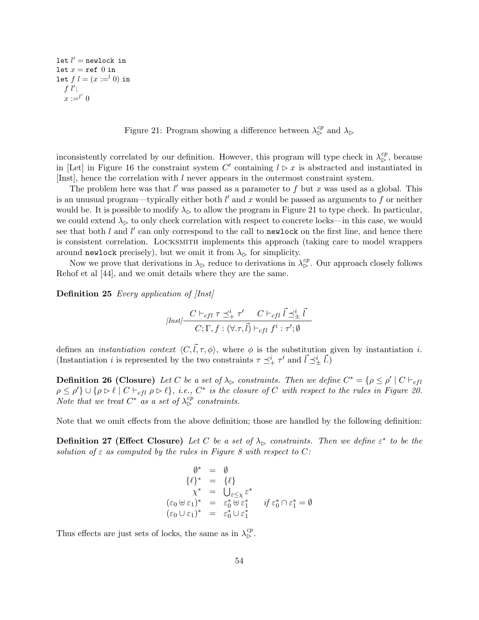$let l' = newlock in$ let  $x = \text{ref } 0$  in let  $f \, l = (x :=^l 0)$  in  $f$   $l'$ ;  $x :=^{l'} 0$ 

Figure 21: Program showing a difference between  $\lambda_{\mathcal{S}}^{cp}$  and  $\lambda_{\mathcal{S}}$ 

inconsistently correlated by our definition. However, this program will type check in  $\lambda_{\rm b}^{cp}$ , because in [Let] in Figure 16 the constraint system C' containing  $l \triangleright x$  is abstracted and instantiated in [Inst], hence the correlation with l never appears in the outermost constraint system.

The problem here was that  $l'$  was passed as a parameter to f but x was used as a global. This is an unusual program—typically either both  $l'$  and x would be passed as arguments to f or neither would be. It is possible to modify  $\lambda_{\triangleright}$  to allow the program in Figure 21 to type check. In particular, we could extend  $\lambda_{\triangleright}$  to only check correlation with respect to concrete locks—in this case, we would see that both  $l$  and  $l'$  can only correspond to the call to newlock on the first line, and hence there is consistent correlation. Locksmith implements this approach (taking care to model wrappers around newlock precisely), but we omit it from  $\lambda_{\triangleright}$  for simplicity.

Now we prove that derivations in  $\lambda_{\triangleright}$  reduce to derivations in  $\lambda_{\triangleright}^{cp}$ . Our approach closely follows Rehof et al [44], and we omit details where they are the same.

Definition 25 Every application of [Inst]

$$
[Inst] \begin{array}{c|c} C \vdash_{cfl} \tau \preceq^i_+ \tau' & C \vdash_{cfl} \vec{l} \preceq^i_\pm \vec{l} \\ \hline C;\Gamma,f:(\forall.\tau,\vec{l}) \vdash_{cfl} f^i:\tau';\emptyset \end{array}
$$

defines an *instantiation context*  $\langle C,\vec{l}, \tau, \phi \rangle$ , where  $\phi$  is the substitution given by instantiation *i*. (Instantiation *i* is represented by the two constraints  $\tau \preceq^i_+ \tau'$  and  $\vec{l} \preceq^i_{\pm} \vec{l}$ .)

**Definition 26 (Closure)** Let C be a set of  $\lambda_{\triangleright}$  constraints. Then we define  $C^* = \{ \rho \le \rho' \mid C \vdash_{cfl} \}$  $\rho \leq \rho'$   $\cup$  { $\rho \rhd \ell$ }  $C \vdash_{cfl} \rho \rhd \ell$ }, i.e.,  $C^*$  is the closure of C with respect to the rules in Figure 20. Note that we treat  $C^*$  as a set of  $\lambda_{\triangleright}^{cp}$  constraints.

Note that we omit effects from the above definition; those are handled by the following definition:

**Definition 27 (Effect Closure)** Let C be a set of  $\lambda_{\triangleright}$  constraints. Then we define  $\varepsilon^*$  to be the solution of  $\varepsilon$  as computed by the rules in Figure 8 with respect to C:

$$
\begin{array}{rcl}\n\emptyset^* & = & \emptyset \\
\{\ell\}^* & = & \{\ell\} \\
\chi^* & = & \bigcup_{\varepsilon \leq \chi} \varepsilon^* \\
(\varepsilon_0 \oplus \varepsilon_1)^* & = & \varepsilon_0^* \oplus \varepsilon_1^* \\
(\varepsilon_0 \cup \varepsilon_1)^* & = & \varepsilon_0^* \cup \varepsilon_1^* \\
\end{array}
$$

Thus effects are just sets of locks, the same as in  $\lambda_{\rm p}^{cp}$ .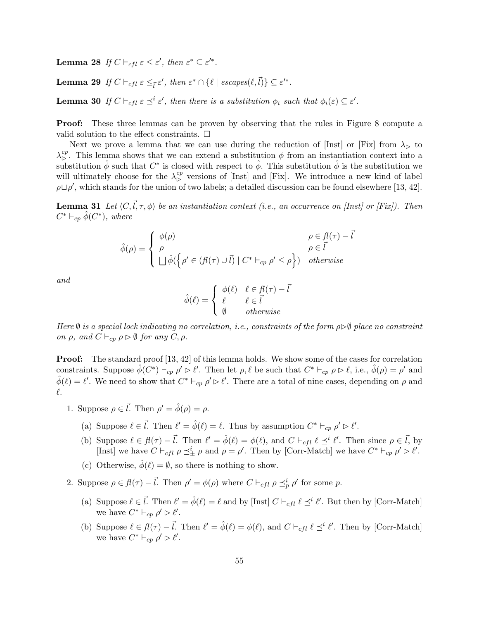**Lemma 28** If  $C \vdash_{cfl} \varepsilon \leq \varepsilon'$ , then  $\varepsilon^* \subseteq \varepsilon'^*$ .

**Lemma 29** If  $C \vdash_{cfl} \varepsilon \leq_{\vec{l}} \varepsilon'$ , then  $\varepsilon^* \cap {\{\ell \mid escapes(\ell, \vec{l})\}} \subseteq \varepsilon'^*$ .

**Lemma 30** If  $C \vdash_{cfl} \varepsilon \preceq^i \varepsilon'$ , then there is a substitution  $\phi_i$  such that  $\phi_i(\varepsilon) \subseteq \varepsilon'$ .

Proof: These three lemmas can be proven by observing that the rules in Figure 8 compute a valid solution to the effect constraints.  $\Box$ 

Next we prove a lemma that we can use during the reduction of [Inst] or [Fix] from  $\lambda_{\triangleright}$  to  $\lambda_{\rm b}^{cp}$ . This lemma shows that we can extend a substitution  $\phi$  from an instantiation context into a substitution  $\hat{\phi}$  such that  $C^*$  is closed with respect to  $\hat{\phi}$ . This substitution  $\hat{\phi}$  is the substitution we will ultimately choose for the  $\lambda_{\rm b}^{cp}$  versions of [Inst] and [Fix]. We introduce a new kind of label  $\rho \Box \rho'$ , which stands for the union of two labels; a detailed discussion can be found elsewhere [13, 42].

**Lemma 31** Let  $\langle C,\vec{l},\tau,\phi\rangle$  be an instantiation context (i.e., an occurrence on [Inst] or [Fix]). Then  $C^* \vdash_{cp} \hat{\phi}(C^*)$ , where

$$
\hat{\phi}(\rho) = \begin{cases} \phi(\rho) & \rho \in \mathcal{H}(\tau) - \bar{l} \\ \rho & \rho \in \vec{l} \\ \Box \hat{\phi}(\rho' \in (\mathcal{H}(\tau) \cup \vec{l}) \mid C^* \vdash_{cp} \rho' \leq \rho \}) & otherwise \end{cases}
$$

and

$$
\hat{\phi}(\ell) = \begin{cases} \phi(\ell) & \ell \in \mathcal{H}(\tau) - \bar{l} \\ \ell & \ell \in \bar{l} \\ \emptyset & otherwise \end{cases}
$$

Here  $\emptyset$  is a special lock indicating no correlation, i.e., constraints of the form  $\rho \triangleright \emptyset$  place no constraint on  $\rho$ , and  $C \vdash_{cp} \rho \rhd \emptyset$  for any  $C, \rho$ .

**Proof:** The standard proof [13, 42] of this lemma holds. We show some of the cases for correlation constraints. Suppose  $\hat{\phi}(C^*) \vdash_{cp} \rho' \triangleright \ell'$ . Then let  $\rho, \ell$  be such that  $C^* \vdash_{cp} \rho \triangleright \ell$ , i.e.,  $\hat{\phi}(\rho) = \rho'$  and  $\hat{\phi}(\ell) = \ell'$ . We need to show that  $C^* \vdash_{cp} \rho' \triangleright \ell'$ . There are a total of nine cases, depending on  $\rho$  and  $\ell$ .

- 1. Suppose  $\rho \in \vec{l}$ . Then  $\rho' = \hat{\phi}(\rho) = \rho$ .
	- (a) Suppose  $\ell \in \vec{l}$ . Then  $\ell' = \hat{\phi}(\ell) = \ell$ . Thus by assumption  $C^* \vdash_{cp} \rho' \rhd \ell'$ .
	- (b) Suppose  $\ell \in \mathcal{H}(\tau) \vec{l}$ . Then  $\ell' = \hat{\phi}(\ell) = \phi(\ell)$ , and  $C \vdash_{cfl} \ell \preceq^i \ell'$ . Then since  $\rho \in \vec{l}$ , by [Inst] we have  $C \vdash_{cfl} \rho \preceq^i_{\pm} \rho$  and  $\rho = \rho'$ . Then by [Corr-Match] we have  $C^* \vdash_{cp} \rho' \rhd \ell'$ .
	- (c) Otherwise,  $\phi(\ell) = \emptyset$ , so there is nothing to show.
- 2. Suppose  $\rho \in \mathcal{H}(\tau) \vec{l}$ . Then  $\rho' = \phi(\rho)$  where  $C \vdash_{cfl} \rho \preceq_p^i \rho'$  for some  $p$ .
	- (a) Suppose  $\ell \in \vec{l}$ . Then  $\ell' = \hat{\phi}(\ell) = \ell$  and by [Inst]  $C \vdash_{cfl} \ell \preceq^i \ell'$ . But then by [Corr-Match] we have  $C^* \vdash_{cp} \rho' \rhd \ell'.$
	- (b) Suppose  $\ell \in \mathcal{H}(\tau) \vec{l}$ . Then  $\ell' = \hat{\phi}(\ell) = \phi(\ell)$ , and  $C \vdash_{cfl} \ell \preceq^i \ell'$ . Then by [Corr-Match] we have  $C^* \vdash_{cp} \rho' \rhd \ell'.$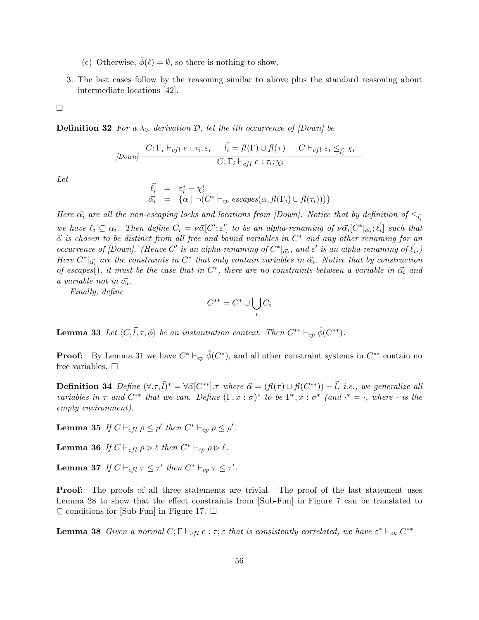- (c) Otherwise,  $\hat{\phi}(\ell) = \emptyset$ , so there is nothing to show.
- 3. The last cases follow by the reasoning similar to above plus the standard reasoning about intermediate locations [42].

 $\Box$ 

**Definition 32** For a  $\lambda_{\triangleright}$  derivation D, let the ith occurrence of [Down] be

$$
[Down] \frac{C; \Gamma_i \vdash_{cfl} e : \tau_i; \varepsilon_i \quad \vec{l_i} = f(\Gamma) \cup f(\tau) \quad C \vdash_{cfl} \varepsilon_i \leq_{\vec{l_i}} \chi_i}{C; \Gamma_i \vdash_{cfl} e : \tau_i; \chi_i}
$$

Let

$$
\begin{array}{rcl}\n\vec{\ell_i} & = & \varepsilon_i^* - \chi_i^* \\
\vec{\alpha_i} & = & \{\alpha \mid \neg(C^* \vdash_{cp} \varepsilon \text{scapes}(\alpha, \textit{fl}(\Gamma_i) \cup \textit{fl}(\tau_i)))\}\n\end{array}
$$

Here  $\vec{\alpha_i}$  are all the non-escaping locks and locations from [Down]. Notice that by definition of  $\leq_{\vec{l_i}}$ we have  $\ell_i \subseteq \alpha_i$ . Then define  $C_i = \nu \vec{\alpha}[C'; \varepsilon']$  to be an alpha-renaming of  $\nu \vec{\alpha_i}[C^*|_{\vec{\alpha_i}};\vec{\ell_i}]$  such that  $\vec{\alpha}$  is chosen to be distinct from all free and bound variables in  $C^*$  and any other renaming for an occurrence of [Down]. (Hence C' is an alpha-renaming of  $C^*|_{\vec{\alpha_i}}$ , and  $\varepsilon'$  is an alpha-renaming of  $\vec{\ell_i}$ .) Here  $C^*|_{\vec{\alpha_i}}$  are the constraints in  $C^*$  that only contain variables in  $\vec{\alpha_i}$ . Notice that by construction of escapes(), it must be the case that in  $C^*$ , there are no constraints between a variable in  $\vec{\alpha}_i$  and a variable not in  $\vec{\alpha_i}$ .

Finally, define

$$
C^{**}=C^*\cup\bigcup_i C_i
$$

**Lemma 33** Let  $\langle C, \vec{l}, \tau, \phi \rangle$  be an instantiation context. Then  $C^{**} \vdash_{cp} \hat{\phi}(C^{**})$ .

**Proof:** By Lemma 31 we have  $C^* \vdash_{cp} \hat{\phi}(C^*)$ , and all other constraint systems in  $C^{**}$  contain no free variables.  $\square$ 

**Definition 34** Define  $(\forall \tau, \vec{l})^* = \forall \vec{\alpha} [C^{**}] \cdot \tau$  where  $\vec{\alpha} = (fl(\tau) \cup fl(C^{**})) - \vec{l}$ , i.e., we generalize all variables in  $\tau$  and  $C^{**}$  that we can. Define  $(\Gamma, x : \sigma)^*$  to be  $\Gamma^*, x : \sigma^*$  (and  $\cdot^* = \cdot$ , where  $\cdot$  is the empty environment).

**Lemma 35** If  $C \vdash_{cfl} \rho \leq \rho'$  then  $C^* \vdash_{cp} \rho \leq \rho'$ .

**Lemma 36** If  $C \vdash_{cfl} \rho \rhd \ell$  then  $C^* \vdash_{cp} \rho \rhd \ell$ .

Lemma 37 If  $C \vdash_{cfl} \tau \leq \tau'$  then  $C^* \vdash_{cp} \tau \leq \tau'.$ 

**Proof:** The proofs of all three statements are trivial. The proof of the last statement uses Lemma 28 to show that the effect constraints from [Sub-Fun] in Figure 7 can be translated to ⊆ conditions for [Sub-Fun] in Figure 17.  $□$ 

**Lemma 38** Given a normal  $C; \Gamma \vdash_{cfl} e : \tau; \varepsilon$  that is consistently correlated, we have  $\varepsilon^* \vdash_{ok} C^{**}$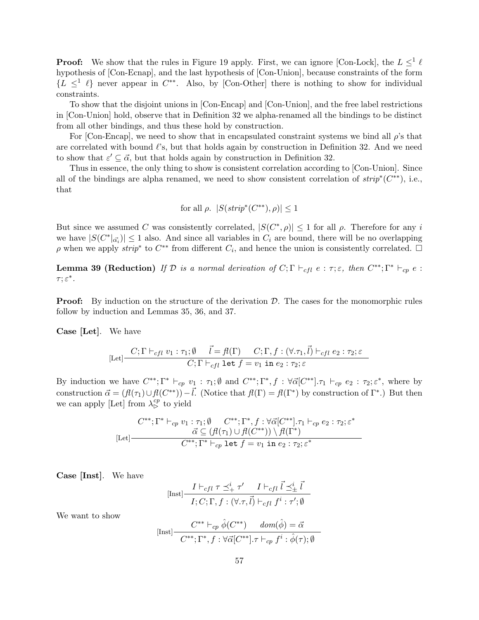**Proof:** We show that the rules in Figure 19 apply. First, we can ignore [Con-Lock], the  $L \leq^{1} \ell$ hypothesis of [Con-Ecnap], and the last hypothesis of [Con-Union], because constraints of the form  $\{L \leq^{1} \ell\}$  never appear in  $C^{**}$ . Also, by [Con-Other] there is nothing to show for individual constraints.

To show that the disjoint unions in [Con-Encap] and [Con-Union], and the free label restrictions in [Con-Union] hold, observe that in Definition 32 we alpha-renamed all the bindings to be distinct from all other bindings, and thus these hold by construction.

For [Con-Encap], we need to show that in encapsulated constraint systems we bind all  $\rho$ 's that are correlated with bound  $\ell$ 's, but that holds again by construction in Definition 32. And we need to show that  $\varepsilon' \subseteq \vec{\alpha}$ , but that holds again by construction in Definition 32.

Thus in essence, the only thing to show is consistent correlation according to [Con-Union]. Since all of the bindings are alpha renamed, we need to show consistent correlation of  $strip^*(C^{**})$ , i.e., that

for all 
$$
\rho
$$
.  $|S(\text{strip}^*(C^{**}), \rho)| \le 1$ 

But since we assumed C was consistently correlated,  $|S(C^*, \rho)| \leq 1$  for all  $\rho$ . Therefore for any i we have  $|S(C^*|_{\vec{\alpha_i}})| \leq 1$  also. And since all variables in  $C_i$  are bound, there will be no overlapping  $\rho$  when we apply  $strip^*$  to  $C^{**}$  from different  $C_i$ , and hence the union is consistently correlated.  $\Box$ 

**Lemma 39 (Reduction)** If  $\mathcal{D}$  is a normal derivation of  $C; \Gamma \vdash_{cfl} e : \tau; \varepsilon$ , then  $C^{**}; \Gamma^* \vdash_{cp} e :$  $\tau; \varepsilon^*$ .

**Proof:** By induction on the structure of the derivation  $D$ . The cases for the monomorphic rules follow by induction and Lemmas 35, 36, and 37.

Case [Let]. We have

$$
[\text{Let}] \frac{C; \Gamma \vdash_{cfl} v_1 : \tau_1; \emptyset \quad \vec{l} = f(\Gamma) \quad C; \Gamma, f : (\forall . \tau_1, \vec{l}) \vdash_{cfl} e_2 : \tau_2; \varepsilon}{C; \Gamma \vdash_{cfl} \text{let } f = v_1 \text{ in } e_2 : \tau_2; \varepsilon}
$$

By induction we have  $C^{**}$ ;  $\Gamma^* \vdash_{cp} v_1 : \tau_1$ ;  $\emptyset$  and  $C^{**}$ ;  $\Gamma^*$ ,  $f : \forall \vec{\alpha} [C^{**}]$ .  $\tau_1 \vdash_{cp} e_2 : \tau_2; \varepsilon^*$ , where by construction  $\vec{\alpha} = (f(\tau_1) \cup f(C^{**})) - \vec{l}$ . (Notice that  $f(\Gamma) = f(\Gamma^*)$  by construction of  $\Gamma^*$ .) But then we can apply [Let] from  $\lambda_{\mathcal{S}}^{cp}$  to yield

$$
C^{**};\Gamma^* \vdash_{cp} v_1 : \tau_1; \emptyset \qquad C^{**};\Gamma^*, f : \forall \vec{\alpha} [C^{**}].\tau_1 \vdash_{cp} e_2 : \tau_2; \varepsilon^*
$$
  

$$
\vec{\alpha} \subseteq (\mathcal{H}(\tau_1) \cup \mathcal{H}(C^{**})) \setminus \mathcal{H}(\Gamma^*)
$$
  

$$
C^{**};\Gamma^* \vdash_{cp} \text{let } f = v_1 \text{ in } e_2 : \tau_2; \varepsilon^*
$$

Case [Inst]. We have

$$
[\text{Inst}] \frac{I \vdash_{cfl} \tau \preceq^i_+ \tau'}{I; C; \Gamma, f : (\forall . \tau, \vec{l}) \vdash_{cfl} f^i : \tau'; \emptyset}
$$

We want to show

$$
[\text{Inst}] \frac{C^{**} \vdash_{cp} \hat{\phi}(C^{**}) \quad dom(\hat{\phi}) = \vec{\alpha}}{C^{**}; \Gamma^*, f : \forall \vec{\alpha}[C^{**}], \tau \vdash_{cp} f^i : \hat{\phi}(\tau); \emptyset}
$$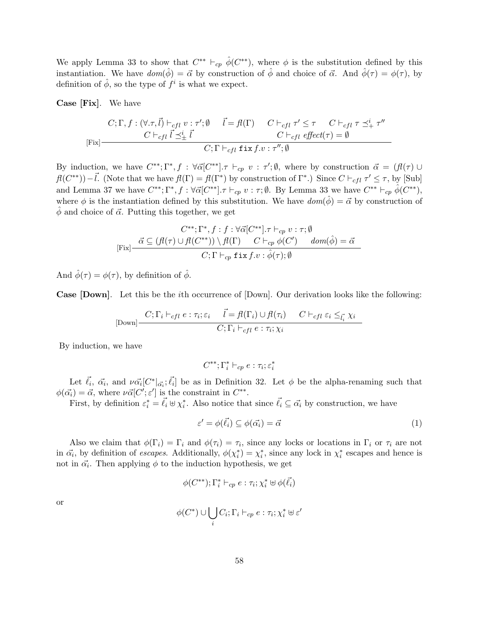We apply Lemma 33 to show that  $C^{**} \vdash_{cp} \hat{\phi}(C^{**})$ , where  $\phi$  is the substitution defined by this instantiation. We have  $dom(\hat{\phi}) = \vec{\alpha}$  by construction of  $\hat{\phi}$  and choice of  $\vec{\alpha}$ . And  $\hat{\phi}(\tau) = \phi(\tau)$ , by definition of  $\hat{\phi}$ , so the type of  $f^i$  is what we expect.

Case [Fix]. We have

$$
C; \Gamma, f: (\forall .\tau, \vec{l}) \vdash_{cfl} v: \tau'; \emptyset \quad \vec{l} = f\ell(\Gamma) \quad C \vdash_{cfl} \tau' \leq \tau \quad C \vdash_{cfl} \tau \preceq^i_+ \tau''
$$
  

$$
C \vdash_{cfl} \vec{l} \preceq^i_{\pm} \vec{l} \qquad \qquad C \vdash_{cfl} \text{first} \tau \cdot \tau'; \emptyset
$$
  

$$
C; \Gamma \vdash_{cfl} \text{first} \tau \cdot \tau'; \emptyset
$$

By induction, we have  $C^{**}$ ;  $\Gamma^*, f : \forall \vec{\alpha} [C^{**}]$ .  $\tau \vdash_{cp} v : \tau'; \emptyset$ , where by construction  $\vec{\alpha} = (\mathcal{H}(\tau) \cup$  $f(C^{**})$ ) –  $\vec{l}$ . (Note that we have  $f(\Gamma) = f(\Gamma^*)$  by construction of  $\Gamma^*$ .) Since  $C \vdash_{cfd} \tau' \leq \tau$ , by [Sub] and Lemma 37 we have  $C^{**}$ ;  $\Gamma^*, f : \forall \vec{\alpha} [C^{**}]$ .  $\tau \vdash_{cp} v : \tau; \emptyset$ . By Lemma 33 we have  $C^{**} \vdash_{cp} \hat{\phi}(C^{**})$ , where  $\phi$  is the instantiation defined by this substitution. We have  $dom(\hat{\phi}) = \vec{\alpha}$  by construction of  $\hat{\phi}$  and choice of  $\vec{\alpha}$ . Putting this together, we get

$$
C^{**}; \Gamma^*, f : f : \forall \vec{\alpha} [C^{**}], \tau \vdash_{cp} v : \tau; \emptyset
$$
  
[Fix] 
$$
\frac{\vec{\alpha} \subseteq (\mathcal{H}(\tau) \cup \mathcal{H}(C^{**})) \setminus \mathcal{H}(\Gamma) \quad C \vdash_{cp} \phi(C') \quad dom(\hat{\phi}) = \vec{\alpha}}{C; \Gamma \vdash_{cp} \text{fix } f.v : \hat{\phi}(\tau); \emptyset}
$$

And  $\hat{\phi}(\tau) = \phi(\tau)$ , by definition of  $\hat{\phi}$ .

Case [Down]. Let this be the ith occurrence of [Down]. Our derivation looks like the following:

$$
\text{[Down]} \frac{C; \Gamma_i \vdash_{cfl} e : \tau_i; \varepsilon_i \quad \vec{l} = f(l(\Gamma_i) \cup f(l(\tau_i)) \quad C \vdash_{cfl} \varepsilon_i \leq_{\vec{l}_i} \chi_i}{C; \Gamma_i \vdash_{cfl} e : \tau_i; \chi_i}
$$

By induction, we have

$$
C^{**};\Gamma_i^*\vdash_{cp} e:\tau_i;\varepsilon_i^*
$$

Let  $\vec{\ell}_i, \vec{\alpha}_i$ , and  $\nu \vec{\alpha_i} [C^*|_{\vec{\alpha_i}}; \vec{\ell_i}]$  be as in Definition 32. Let  $\phi$  be the alpha-renaming such that  $\phi(\vec{\alpha_i}) = \vec{\alpha}$ , where  $\nu \vec{\alpha} [C'; \varepsilon']$  is the constraint in  $C^{**}$ .

First, by definition  $\varepsilon_i^* = \vec{\ell}_i \oplus \chi_i^*$ . Also notice that since  $\vec{\ell}_i \subseteq \vec{\alpha}_i$  by construction, we have

$$
\varepsilon' = \phi(\vec{\ell_i}) \subseteq \phi(\vec{\alpha_i}) = \vec{\alpha} \tag{1}
$$

Also we claim that  $\phi(\Gamma_i) = \Gamma_i$  and  $\phi(\tau_i) = \tau_i$ , since any locks or locations in  $\Gamma_i$  or  $\tau_i$  are not in  $\vec{\alpha_i}$ , by definition of *escapes*. Additionally,  $\phi(\chi_i^*) = \chi_i^*$ , since any lock in  $\chi_i^*$  escapes and hence is not in  $\vec{\alpha_i}$ . Then applying  $\phi$  to the induction hypothesis, we get

$$
\phi(C^{**}); \Gamma_i^* \vdash_{cp} e : \tau_i; \chi_i^* \uplus \phi(\vec{\ell_i})
$$

or

$$
\phi(C^*) \cup \bigcup_i C_i; \Gamma_i \vdash_{cp} e : \tau_i; \chi_i^* \uplus \varepsilon'
$$